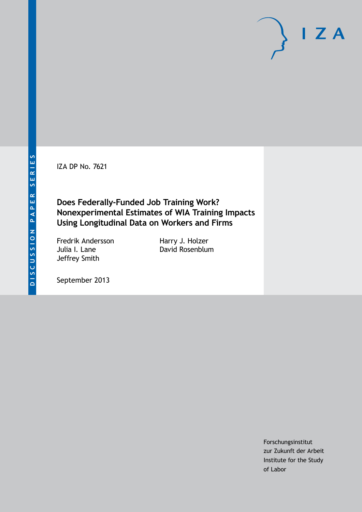IZA DP No. 7621

# **Does Federally-Funded Job Training Work? Nonexperimental Estimates of WIA Training Impacts Using Longitudinal Data on Workers and Firms**

Fredrik Andersson Julia I. Lane Jeffrey Smith

Harry J. Holzer David Rosenblum

September 2013

Forschungsinstitut zur Zukunft der Arbeit Institute for the Study of Labor

 $I Z A$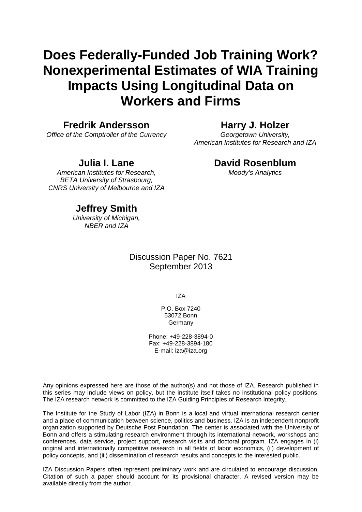# **Does Federally-Funded Job Training Work? Nonexperimental Estimates of WIA Training Impacts Using Longitudinal Data on Workers and Firms**

### **Fredrik Andersson**

*Office of the Comptroller of the Currency*

### **Harry J. Holzer**

*Georgetown University, American Institutes for Research and IZA*

### **Julia I. Lane**

*American Institutes for Research, BETA University of Strasbourg, CNRS University of Melbourne and IZA*

### **David Rosenblum**

*Moody's Analytics*

# **Jeffrey Smith**

*University of Michigan, NBER and IZA*

> Discussion Paper No. 7621 September 2013

> > IZA

P.O. Box 7240 53072 Bonn Germany

Phone: +49-228-3894-0 Fax: +49-228-3894-180 E-mail: [iza@iza.org](mailto:iza@iza.org)

Any opinions expressed here are those of the author(s) and not those of IZA. Research published in this series may include views on policy, but the institute itself takes no institutional policy positions. The IZA research network is committed to the IZA Guiding Principles of Research Integrity.

The Institute for the Study of Labor (IZA) in Bonn is a local and virtual international research center and a place of communication between science, politics and business. IZA is an independent nonprofit organization supported by Deutsche Post Foundation. The center is associated with the University of Bonn and offers a stimulating research environment through its international network, workshops and conferences, data service, project support, research visits and doctoral program. IZA engages in (i) original and internationally competitive research in all fields of labor economics, (ii) development of policy concepts, and (iii) dissemination of research results and concepts to the interested public.

<span id="page-1-0"></span>IZA Discussion Papers often represent preliminary work and are circulated to encourage discussion. Citation of such a paper should account for its provisional character. A revised version may be available directly from the author.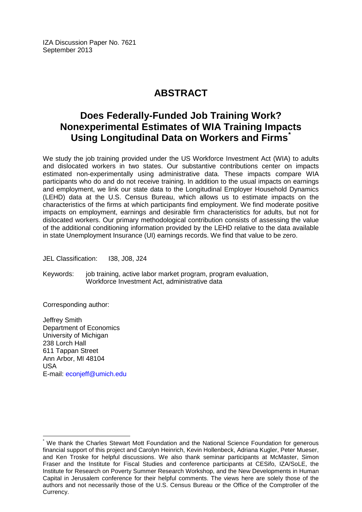IZA Discussion Paper No. 7621 September 2013

# **ABSTRACT**

# **Does Federally-Funded Job Training Work? Nonexperimental Estimates of WIA Training Impacts Using Longitudinal Data on Workers and Firms[\\*](#page-1-0)**

We study the job training provided under the US Workforce Investment Act (WIA) to adults and dislocated workers in two states. Our substantive contributions center on impacts estimated non-experimentally using administrative data. These impacts compare WIA participants who do and do not receive training. In addition to the usual impacts on earnings and employment, we link our state data to the Longitudinal Employer Household Dynamics (LEHD) data at the U.S. Census Bureau, which allows us to estimate impacts on the characteristics of the firms at which participants find employment. We find moderate positive impacts on employment, earnings and desirable firm characteristics for adults, but not for dislocated workers. Our primary methodological contribution consists of assessing the value of the additional conditioning information provided by the LEHD relative to the data available in state Unemployment Insurance (UI) earnings records. We find that value to be zero.

JEL Classification: I38, J08, J24

Keywords: job training, active labor market program, program evaluation, Workforce Investment Act, administrative data

Corresponding author:

Jeffrey Smith Department of Economics University of Michigan 238 Lorch Hall 611 Tappan Street Ann Arbor, MI 48104 USA E-mail: [econjeff@umich.edu](mailto:econjeff@umich.edu)

We thank the Charles Stewart Mott Foundation and the National Science Foundation for generous financial support of this project and Carolyn Heinrich, Kevin Hollenbeck, Adriana Kugler, Peter Mueser, and Ken Troske for helpful discussions. We also thank seminar participants at McMaster, Simon Fraser and the Institute for Fiscal Studies and conference participants at CESifo, IZA/SoLE, the Institute for Research on Poverty Summer Research Workshop, and the New Developments in Human Capital in Jerusalem conference for their helpful comments. The views here are solely those of the authors and not necessarily those of the U.S. Census Bureau or the Office of the Comptroller of the Currency.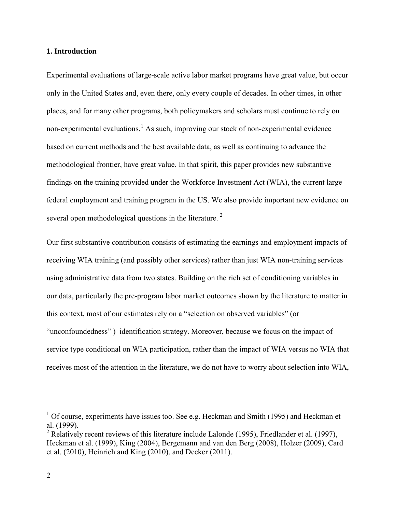#### **1. Introduction**

Experimental evaluations of large-scale active labor market programs have great value, but occur only in the United States and, even there, only every couple of decades. In other times, in other places, and for many other programs, both policymakers and scholars must continue to rely on non-experimental evaluations.<sup>[1](#page-3-0)</sup> As such, improving our stock of non-experimental evidence based on current methods and the best available data, as well as continuing to advance the methodological frontier, have great value. In that spirit, this paper provides new substantive findings on the training provided under the Workforce Investment Act (WIA), the current large federal employment and training program in the US. We also provide important new evidence on several open methodological questions in the literature.<sup>[2](#page-3-1)</sup>

Our first substantive contribution consists of estimating the earnings and employment impacts of receiving WIA training (and possibly other services) rather than just WIA non-training services using administrative data from two states. Building on the rich set of conditioning variables in our data, particularly the pre-program labor market outcomes shown by the literature to matter in this context, most of our estimates rely on a "selection on observed variables" (or "unconfoundedness" ) identification strategy. Moreover, because we focus on the impact of service type conditional on WIA participation, rather than the impact of WIA versus no WIA that receives most of the attention in the literature, we do not have to worry about selection into WIA,

<span id="page-3-0"></span> $1$  Of course, experiments have issues too. See e.g. Heckman and Smith (1995) and Heckman et al. (1999).

<span id="page-3-1"></span><sup>&</sup>lt;sup>2</sup> Relatively recent reviews of this literature include Lalonde (1995), Friedlander et al. (1997), Heckman et al. (1999), King (2004), Bergemann and van den Berg (2008), Holzer (2009), Card et al. (2010), Heinrich and King (2010), and Decker (2011).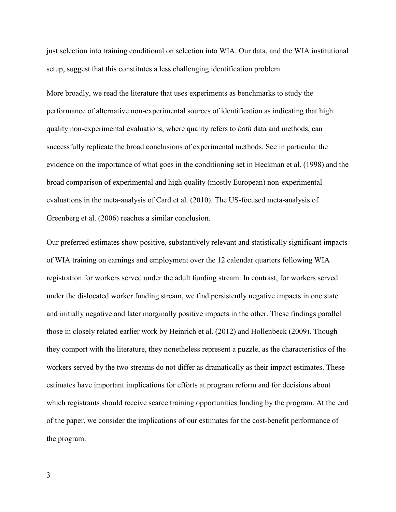just selection into training conditional on selection into WIA. Our data, and the WIA institutional setup, suggest that this constitutes a less challenging identification problem.

More broadly, we read the literature that uses experiments as benchmarks to study the performance of alternative non-experimental sources of identification as indicating that high quality non-experimental evaluations, where quality refers to *both* data and methods, can successfully replicate the broad conclusions of experimental methods. See in particular the evidence on the importance of what goes in the conditioning set in Heckman et al. (1998) and the broad comparison of experimental and high quality (mostly European) non-experimental evaluations in the meta-analysis of Card et al. (2010). The US-focused meta-analysis of Greenberg et al. (2006) reaches a similar conclusion.

Our preferred estimates show positive, substantively relevant and statistically significant impacts of WIA training on earnings and employment over the 12 calendar quarters following WIA registration for workers served under the adult funding stream. In contrast, for workers served under the dislocated worker funding stream, we find persistently negative impacts in one state and initially negative and later marginally positive impacts in the other. These findings parallel those in closely related earlier work by Heinrich et al. (2012) and Hollenbeck (2009). Though they comport with the literature, they nonetheless represent a puzzle, as the characteristics of the workers served by the two streams do not differ as dramatically as their impact estimates. These estimates have important implications for efforts at program reform and for decisions about which registrants should receive scarce training opportunities funding by the program. At the end of the paper, we consider the implications of our estimates for the cost-benefit performance of the program.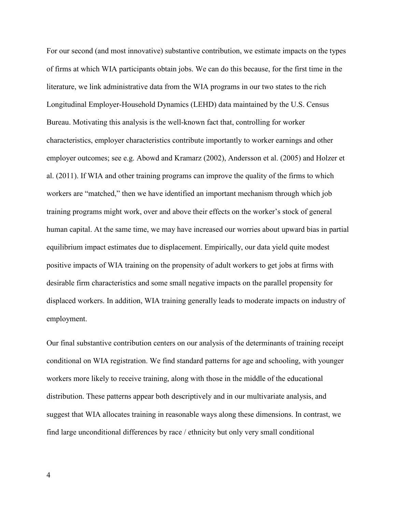For our second (and most innovative) substantive contribution, we estimate impacts on the types of firms at which WIA participants obtain jobs. We can do this because, for the first time in the literature, we link administrative data from the WIA programs in our two states to the rich Longitudinal Employer-Household Dynamics (LEHD) data maintained by the U.S. Census Bureau. Motivating this analysis is the well-known fact that, controlling for worker characteristics, employer characteristics contribute importantly to worker earnings and other employer outcomes; see e.g. Abowd and Kramarz (2002), Andersson et al. (2005) and Holzer et al. (2011). If WIA and other training programs can improve the quality of the firms to which workers are "matched," then we have identified an important mechanism through which job training programs might work, over and above their effects on the worker's stock of general human capital. At the same time, we may have increased our worries about upward bias in partial equilibrium impact estimates due to displacement. Empirically, our data yield quite modest positive impacts of WIA training on the propensity of adult workers to get jobs at firms with desirable firm characteristics and some small negative impacts on the parallel propensity for displaced workers. In addition, WIA training generally leads to moderate impacts on industry of employment.

Our final substantive contribution centers on our analysis of the determinants of training receipt conditional on WIA registration. We find standard patterns for age and schooling, with younger workers more likely to receive training, along with those in the middle of the educational distribution. These patterns appear both descriptively and in our multivariate analysis, and suggest that WIA allocates training in reasonable ways along these dimensions. In contrast, we find large unconditional differences by race / ethnicity but only very small conditional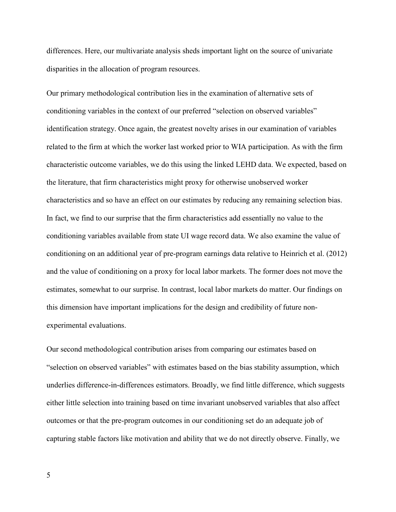differences. Here, our multivariate analysis sheds important light on the source of univariate disparities in the allocation of program resources.

Our primary methodological contribution lies in the examination of alternative sets of conditioning variables in the context of our preferred "selection on observed variables" identification strategy. Once again, the greatest novelty arises in our examination of variables related to the firm at which the worker last worked prior to WIA participation. As with the firm characteristic outcome variables, we do this using the linked LEHD data. We expected, based on the literature, that firm characteristics might proxy for otherwise unobserved worker characteristics and so have an effect on our estimates by reducing any remaining selection bias. In fact, we find to our surprise that the firm characteristics add essentially no value to the conditioning variables available from state UI wage record data. We also examine the value of conditioning on an additional year of pre-program earnings data relative to Heinrich et al. (2012) and the value of conditioning on a proxy for local labor markets. The former does not move the estimates, somewhat to our surprise. In contrast, local labor markets do matter. Our findings on this dimension have important implications for the design and credibility of future nonexperimental evaluations.

Our second methodological contribution arises from comparing our estimates based on "selection on observed variables" with estimates based on the bias stability assumption, which underlies difference-in-differences estimators. Broadly, we find little difference, which suggests either little selection into training based on time invariant unobserved variables that also affect outcomes or that the pre-program outcomes in our conditioning set do an adequate job of capturing stable factors like motivation and ability that we do not directly observe. Finally, we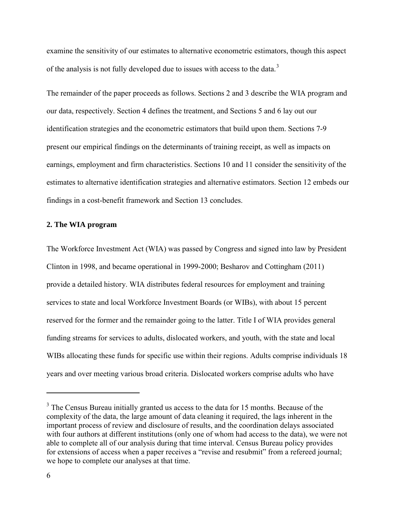examine the sensitivity of our estimates to alternative econometric estimators, though this aspect of the analysis is not fully developed due to issues with access to the data.<sup>[3](#page-7-0)</sup>

The remainder of the paper proceeds as follows. Sections 2 and 3 describe the WIA program and our data, respectively. Section 4 defines the treatment, and Sections 5 and 6 lay out our identification strategies and the econometric estimators that build upon them. Sections 7-9 present our empirical findings on the determinants of training receipt, as well as impacts on earnings, employment and firm characteristics. Sections 10 and 11 consider the sensitivity of the estimates to alternative identification strategies and alternative estimators. Section 12 embeds our findings in a cost-benefit framework and Section 13 concludes.

#### **2. The WIA program**

The Workforce Investment Act (WIA) was passed by Congress and signed into law by President Clinton in 1998, and became operational in 1999-2000; Besharov and Cottingham (2011) provide a detailed history. WIA distributes federal resources for employment and training services to state and local Workforce Investment Boards (or WIBs), with about 15 percent reserved for the former and the remainder going to the latter. Title I of WIA provides general funding streams for services to adults, dislocated workers, and youth, with the state and local WIBs allocating these funds for specific use within their regions. Adults comprise individuals 18 years and over meeting various broad criteria. Dislocated workers comprise adults who have

<span id="page-7-0"></span> $3$  The Census Bureau initially granted us access to the data for 15 months. Because of the complexity of the data, the large amount of data cleaning it required, the lags inherent in the important process of review and disclosure of results, and the coordination delays associated with four authors at different institutions (only one of whom had access to the data), we were not able to complete all of our analysis during that time interval. Census Bureau policy provides for extensions of access when a paper receives a "revise and resubmit" from a refereed journal; we hope to complete our analyses at that time.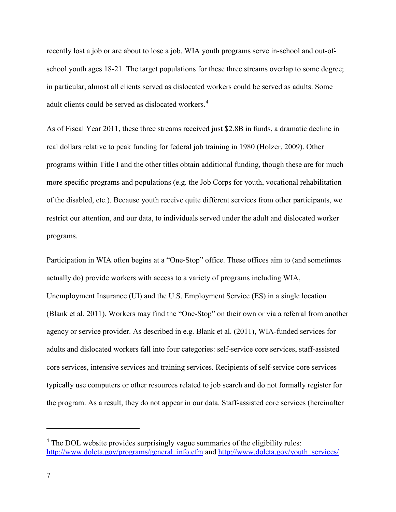recently lost a job or are about to lose a job. WIA youth programs serve in-school and out-ofschool youth ages 18-21. The target populations for these three streams overlap to some degree; in particular, almost all clients served as dislocated workers could be served as adults. Some adult clients could be served as dislocated workers.<sup>[4](#page-8-0)</sup>

As of Fiscal Year 2011, these three streams received just \$2.8B in funds, a dramatic decline in real dollars relative to peak funding for federal job training in 1980 (Holzer, 2009). Other programs within Title I and the other titles obtain additional funding, though these are for much more specific programs and populations (e.g. the Job Corps for youth, vocational rehabilitation of the disabled, etc.). Because youth receive quite different services from other participants, we restrict our attention, and our data, to individuals served under the adult and dislocated worker programs.

Participation in WIA often begins at a "One-Stop" office. These offices aim to (and sometimes actually do) provide workers with access to a variety of programs including WIA, Unemployment Insurance (UI) and the U.S. Employment Service (ES) in a single location (Blank et al. 2011). Workers may find the "One-Stop" on their own or via a referral from another agency or service provider. As described in e.g. Blank et al. (2011), WIA-funded services for adults and dislocated workers fall into four categories: self-service core services, staff-assisted core services, intensive services and training services. Recipients of self-service core services typically use computers or other resources related to job search and do not formally register for the program. As a result, they do not appear in our data. Staff-assisted core services (hereinafter

<span id="page-8-0"></span><sup>&</sup>lt;sup>4</sup> The DOL website provides surprisingly vague summaries of the eligibility rules: [http://www.doleta.gov/programs/general\\_info.cfm](http://www.doleta.gov/programs/general_info.cfm) and [http://www.doleta.gov/youth\\_services/](http://www.doleta.gov/youth_services/)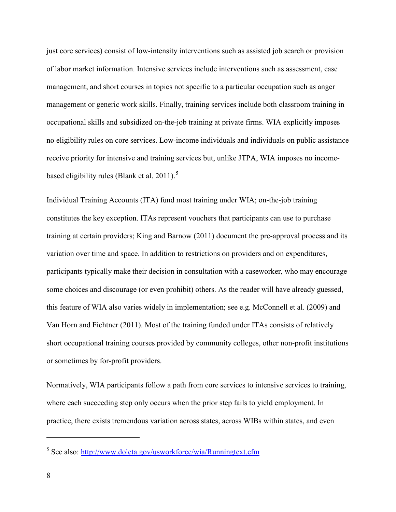just core services) consist of low-intensity interventions such as assisted job search or provision of labor market information. Intensive services include interventions such as assessment, case management, and short courses in topics not specific to a particular occupation such as anger management or generic work skills. Finally, training services include both classroom training in occupational skills and subsidized on-the-job training at private firms. WIA explicitly imposes no eligibility rules on core services. Low-income individuals and individuals on public assistance receive priority for intensive and training services but, unlike JTPA, WIA imposes no income-based eligibility rules (Blank et al. 2011).<sup>[5](#page-9-0)</sup>

Individual Training Accounts (ITA) fund most training under WIA; on-the-job training constitutes the key exception. ITAs represent vouchers that participants can use to purchase training at certain providers; King and Barnow (2011) document the pre-approval process and its variation over time and space. In addition to restrictions on providers and on expenditures, participants typically make their decision in consultation with a caseworker, who may encourage some choices and discourage (or even prohibit) others. As the reader will have already guessed, this feature of WIA also varies widely in implementation; see e.g. McConnell et al. (2009) and Van Horn and Fichtner (2011). Most of the training funded under ITAs consists of relatively short occupational training courses provided by community colleges, other non-profit institutions or sometimes by for-profit providers.

Normatively, WIA participants follow a path from core services to intensive services to training, where each succeeding step only occurs when the prior step fails to yield employment. In practice, there exists tremendous variation across states, across WIBs within states, and even

<span id="page-9-0"></span><sup>5</sup> See also:<http://www.doleta.gov/usworkforce/wia/Runningtext.cfm>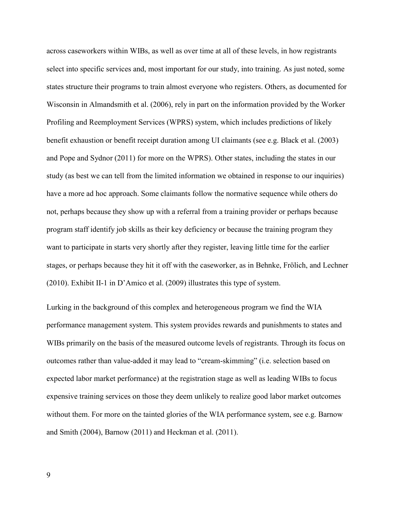across caseworkers within WIBs, as well as over time at all of these levels, in how registrants select into specific services and, most important for our study, into training. As just noted, some states structure their programs to train almost everyone who registers. Others, as documented for Wisconsin in Almandsmith et al. (2006), rely in part on the information provided by the Worker Profiling and Reemployment Services (WPRS) system, which includes predictions of likely benefit exhaustion or benefit receipt duration among UI claimants (see e.g. Black et al. (2003) and Pope and Sydnor (2011) for more on the WPRS). Other states, including the states in our study (as best we can tell from the limited information we obtained in response to our inquiries) have a more ad hoc approach. Some claimants follow the normative sequence while others do not, perhaps because they show up with a referral from a training provider or perhaps because program staff identify job skills as their key deficiency or because the training program they want to participate in starts very shortly after they register, leaving little time for the earlier stages, or perhaps because they hit it off with the caseworker, as in Behnke, Frölich, and Lechner (2010). Exhibit II-1 in D'Amico et al. (2009) illustrates this type of system.

Lurking in the background of this complex and heterogeneous program we find the WIA performance management system. This system provides rewards and punishments to states and WIBs primarily on the basis of the measured outcome levels of registrants. Through its focus on outcomes rather than value-added it may lead to "cream-skimming" (i.e. selection based on expected labor market performance) at the registration stage as well as leading WIBs to focus expensive training services on those they deem unlikely to realize good labor market outcomes without them. For more on the tainted glories of the WIA performance system, see e.g. Barnow and Smith (2004), Barnow (2011) and Heckman et al. (2011).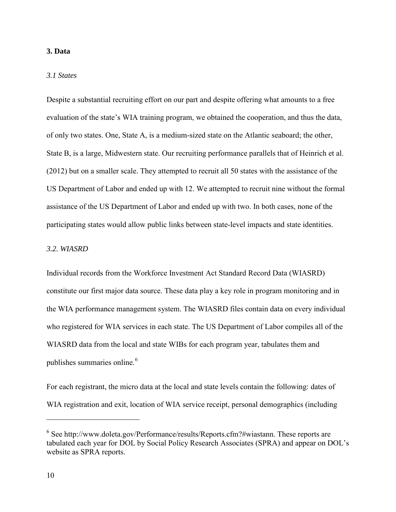#### **3. Data**

#### *3.1 States*

Despite a substantial recruiting effort on our part and despite offering what amounts to a free evaluation of the state's WIA training program, we obtained the cooperation, and thus the data, of only two states. One, State A, is a medium-sized state on the Atlantic seaboard; the other, State B, is a large, Midwestern state. Our recruiting performance parallels that of Heinrich et al. (2012) but on a smaller scale. They attempted to recruit all 50 states with the assistance of the US Department of Labor and ended up with 12. We attempted to recruit nine without the formal assistance of the US Department of Labor and ended up with two. In both cases, none of the participating states would allow public links between state-level impacts and state identities.

#### *3.2. WIASRD*

Individual records from the Workforce Investment Act Standard Record Data (WIASRD) constitute our first major data source. These data play a key role in program monitoring and in the WIA performance management system. The WIASRD files contain data on every individual who registered for WIA services in each state. The US Department of Labor compiles all of the WIASRD data from the local and state WIBs for each program year, tabulates them and publishes summaries online.<sup>[6](#page-11-0)</sup>

For each registrant, the micro data at the local and state levels contain the following: dates of WIA registration and exit, location of WIA service receipt, personal demographics (including

<span id="page-11-0"></span><sup>6</sup> See http://www.doleta.gov/Performance/results/Reports.cfm?#wiastann. These reports are tabulated each year for DOL by Social Policy Research Associates (SPRA) and appear on DOL's website as SPRA reports.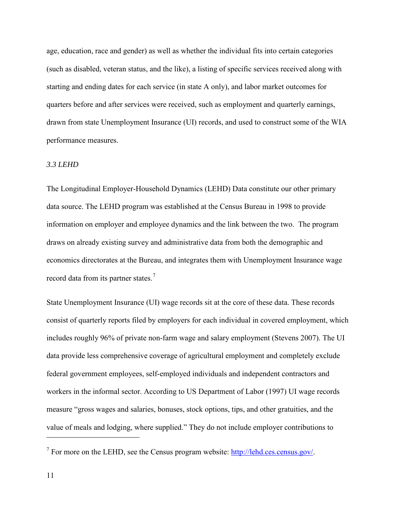age, education, race and gender) as well as whether the individual fits into certain categories (such as disabled, veteran status, and the like), a listing of specific services received along with starting and ending dates for each service (in state A only), and labor market outcomes for quarters before and after services were received, such as employment and quarterly earnings, drawn from state Unemployment Insurance (UI) records, and used to construct some of the WIA performance measures.

#### *3.3 LEHD*

The Longitudinal Employer-Household Dynamics (LEHD) Data constitute our other primary data source. The LEHD program was established at the Census Bureau in 1998 to provide information on employer and employee dynamics and the link between the two. The program draws on already existing survey and administrative data from both the demographic and economics directorates at the Bureau, and integrates them with Unemployment Insurance wage record data from its partner states.<sup>[7](#page-12-0)</sup>

State Unemployment Insurance (UI) wage records sit at the core of these data. These records consist of quarterly reports filed by employers for each individual in covered employment, which includes roughly 96% of private non-farm wage and salary employment (Stevens 2007). The UI data provide less comprehensive coverage of agricultural employment and completely exclude federal government employees, self-employed individuals and independent contractors and workers in the informal sector. According to US Department of Labor (1997) UI wage records measure "gross wages and salaries, bonuses, stock options, tips, and other gratuities, and the value of meals and lodging, where supplied." They do not include employer contributions to

<span id="page-12-0"></span><sup>&</sup>lt;sup>7</sup> For more on the LEHD, see the Census program website:  $\frac{http://lehd.cs.census.gov/}{http://lehd.cs.census.gov/}.$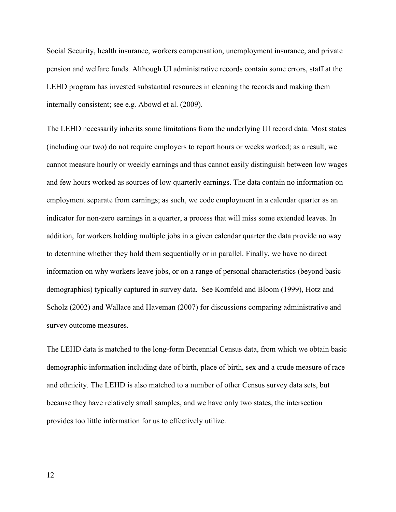Social Security, health insurance, workers compensation, unemployment insurance, and private pension and welfare funds. Although UI administrative records contain some errors, staff at the LEHD program has invested substantial resources in cleaning the records and making them internally consistent; see e.g. Abowd et al. (2009).

The LEHD necessarily inherits some limitations from the underlying UI record data. Most states (including our two) do not require employers to report hours or weeks worked; as a result, we cannot measure hourly or weekly earnings and thus cannot easily distinguish between low wages and few hours worked as sources of low quarterly earnings. The data contain no information on employment separate from earnings; as such, we code employment in a calendar quarter as an indicator for non-zero earnings in a quarter, a process that will miss some extended leaves. In addition, for workers holding multiple jobs in a given calendar quarter the data provide no way to determine whether they hold them sequentially or in parallel. Finally, we have no direct information on why workers leave jobs, or on a range of personal characteristics (beyond basic demographics) typically captured in survey data. See Kornfeld and Bloom (1999), Hotz and Scholz (2002) and Wallace and Haveman (2007) for discussions comparing administrative and survey outcome measures.

The LEHD data is matched to the long-form Decennial Census data, from which we obtain basic demographic information including date of birth, place of birth, sex and a crude measure of race and ethnicity. The LEHD is also matched to a number of other Census survey data sets, but because they have relatively small samples, and we have only two states, the intersection provides too little information for us to effectively utilize.

12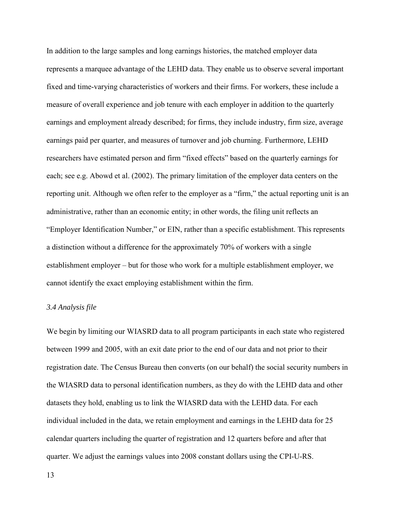In addition to the large samples and long earnings histories, the matched employer data represents a marquee advantage of the LEHD data. They enable us to observe several important fixed and time-varying characteristics of workers and their firms. For workers, these include a measure of overall experience and job tenure with each employer in addition to the quarterly earnings and employment already described; for firms, they include industry, firm size, average earnings paid per quarter, and measures of turnover and job churning. Furthermore, LEHD researchers have estimated person and firm "fixed effects" based on the quarterly earnings for each; see e.g. Abowd et al. (2002). The primary limitation of the employer data centers on the reporting unit. Although we often refer to the employer as a "firm," the actual reporting unit is an administrative, rather than an economic entity; in other words, the filing unit reflects an "Employer Identification Number," or EIN, rather than a specific establishment. This represents a distinction without a difference for the approximately 70% of workers with a single establishment employer – but for those who work for a multiple establishment employer, we cannot identify the exact employing establishment within the firm.

#### *3.4 Analysis file*

We begin by limiting our WIASRD data to all program participants in each state who registered between 1999 and 2005, with an exit date prior to the end of our data and not prior to their registration date. The Census Bureau then converts (on our behalf) the social security numbers in the WIASRD data to personal identification numbers, as they do with the LEHD data and other datasets they hold, enabling us to link the WIASRD data with the LEHD data. For each individual included in the data, we retain employment and earnings in the LEHD data for 25 calendar quarters including the quarter of registration and 12 quarters before and after that quarter. We adjust the earnings values into 2008 constant dollars using the CPI-U-RS.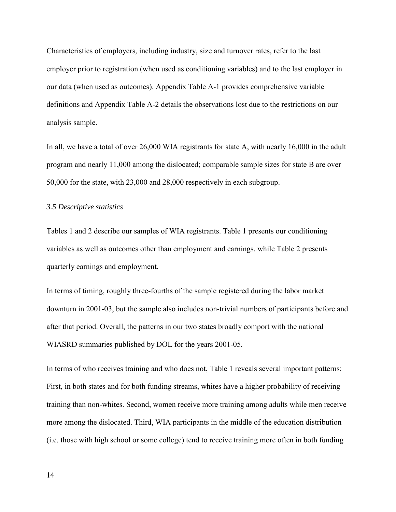Characteristics of employers, including industry, size and turnover rates, refer to the last employer prior to registration (when used as conditioning variables) and to the last employer in our data (when used as outcomes). Appendix Table A-1 provides comprehensive variable definitions and Appendix Table A-2 details the observations lost due to the restrictions on our analysis sample.

In all, we have a total of over 26,000 WIA registrants for state A, with nearly 16,000 in the adult program and nearly 11,000 among the dislocated; comparable sample sizes for state B are over 50,000 for the state, with 23,000 and 28,000 respectively in each subgroup.

#### *3.5 Descriptive statistics*

Tables 1 and 2 describe our samples of WIA registrants. Table 1 presents our conditioning variables as well as outcomes other than employment and earnings, while Table 2 presents quarterly earnings and employment.

In terms of timing, roughly three-fourths of the sample registered during the labor market downturn in 2001-03, but the sample also includes non-trivial numbers of participants before and after that period. Overall, the patterns in our two states broadly comport with the national WIASRD summaries published by DOL for the years 2001-05.

In terms of who receives training and who does not, Table 1 reveals several important patterns: First, in both states and for both funding streams, whites have a higher probability of receiving training than non-whites. Second, women receive more training among adults while men receive more among the dislocated. Third, WIA participants in the middle of the education distribution (i.e. those with high school or some college) tend to receive training more often in both funding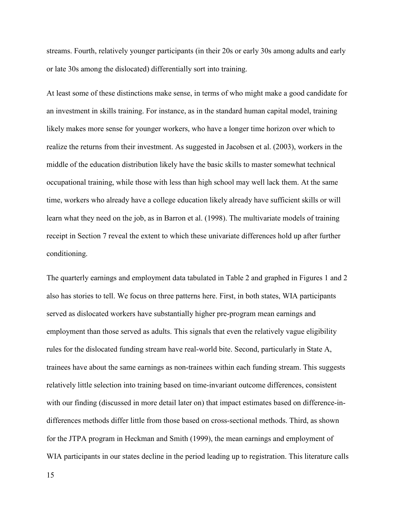streams. Fourth, relatively younger participants (in their 20s or early 30s among adults and early or late 30s among the dislocated) differentially sort into training.

At least some of these distinctions make sense, in terms of who might make a good candidate for an investment in skills training. For instance, as in the standard human capital model, training likely makes more sense for younger workers, who have a longer time horizon over which to realize the returns from their investment. As suggested in Jacobsen et al. (2003), workers in the middle of the education distribution likely have the basic skills to master somewhat technical occupational training, while those with less than high school may well lack them. At the same time, workers who already have a college education likely already have sufficient skills or will learn what they need on the job, as in Barron et al. (1998). The multivariate models of training receipt in Section 7 reveal the extent to which these univariate differences hold up after further conditioning.

The quarterly earnings and employment data tabulated in Table 2 and graphed in Figures 1 and 2 also has stories to tell. We focus on three patterns here. First, in both states, WIA participants served as dislocated workers have substantially higher pre-program mean earnings and employment than those served as adults. This signals that even the relatively vague eligibility rules for the dislocated funding stream have real-world bite. Second, particularly in State A, trainees have about the same earnings as non-trainees within each funding stream. This suggests relatively little selection into training based on time-invariant outcome differences, consistent with our finding (discussed in more detail later on) that impact estimates based on difference-indifferences methods differ little from those based on cross-sectional methods. Third, as shown for the JTPA program in Heckman and Smith (1999), the mean earnings and employment of WIA participants in our states decline in the period leading up to registration. This literature calls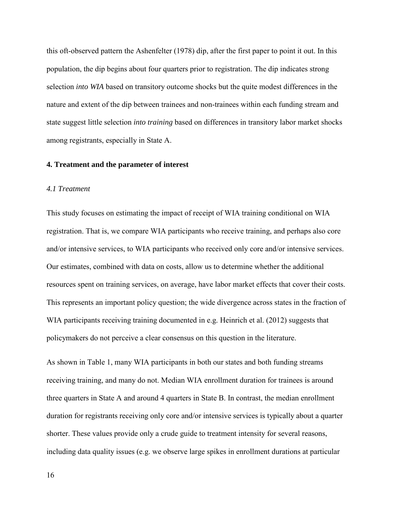this oft-observed pattern the Ashenfelter (1978) dip, after the first paper to point it out. In this population, the dip begins about four quarters prior to registration. The dip indicates strong selection *into WIA* based on transitory outcome shocks but the quite modest differences in the nature and extent of the dip between trainees and non-trainees within each funding stream and state suggest little selection *into training* based on differences in transitory labor market shocks among registrants, especially in State A.

#### **4. Treatment and the parameter of interest**

#### *4.1 Treatment*

This study focuses on estimating the impact of receipt of WIA training conditional on WIA registration. That is, we compare WIA participants who receive training, and perhaps also core and/or intensive services, to WIA participants who received only core and/or intensive services. Our estimates, combined with data on costs, allow us to determine whether the additional resources spent on training services, on average, have labor market effects that cover their costs. This represents an important policy question; the wide divergence across states in the fraction of WIA participants receiving training documented in e.g. Heinrich et al. (2012) suggests that policymakers do not perceive a clear consensus on this question in the literature.

As shown in Table 1, many WIA participants in both our states and both funding streams receiving training, and many do not. Median WIA enrollment duration for trainees is around three quarters in State A and around 4 quarters in State B. In contrast, the median enrollment duration for registrants receiving only core and/or intensive services is typically about a quarter shorter. These values provide only a crude guide to treatment intensity for several reasons, including data quality issues (e.g. we observe large spikes in enrollment durations at particular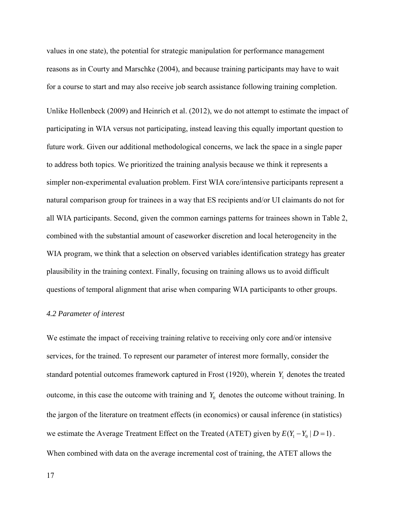values in one state), the potential for strategic manipulation for performance management reasons as in Courty and Marschke (2004), and because training participants may have to wait for a course to start and may also receive job search assistance following training completion.

Unlike Hollenbeck (2009) and Heinrich et al. (2012), we do not attempt to estimate the impact of participating in WIA versus not participating, instead leaving this equally important question to future work. Given our additional methodological concerns, we lack the space in a single paper to address both topics. We prioritized the training analysis because we think it represents a simpler non-experimental evaluation problem. First WIA core/intensive participants represent a natural comparison group for trainees in a way that ES recipients and/or UI claimants do not for all WIA participants. Second, given the common earnings patterns for trainees shown in Table 2, combined with the substantial amount of caseworker discretion and local heterogeneity in the WIA program, we think that a selection on observed variables identification strategy has greater plausibility in the training context. Finally, focusing on training allows us to avoid difficult questions of temporal alignment that arise when comparing WIA participants to other groups.

#### *4.2 Parameter of interest*

We estimate the impact of receiving training relative to receiving only core and/or intensive services, for the trained. To represent our parameter of interest more formally, consider the standard potential outcomes framework captured in Frost  $(1920)$ , wherein  $Y_1$  denotes the treated outcome, in this case the outcome with training and  $Y_0$  denotes the outcome without training. In the jargon of the literature on treatment effects (in economics) or causal inference (in statistics) we estimate the Average Treatment Effect on the Treated (ATET) given by  $E(Y_1 - Y_0 | D = 1)$ . When combined with data on the average incremental cost of training, the ATET allows the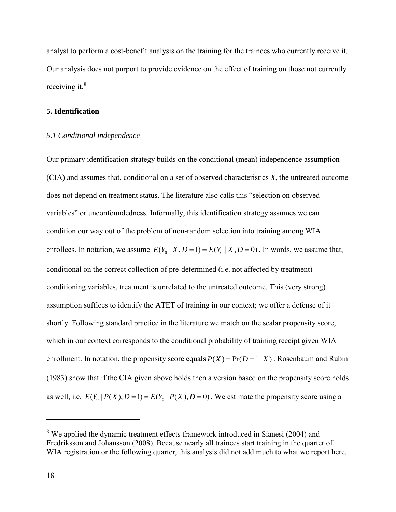analyst to perform a cost-benefit analysis on the training for the trainees who currently receive it. Our analysis does not purport to provide evidence on the effect of training on those not currently receiving it. $8<sup>8</sup>$  $8<sup>8</sup>$ 

#### **5. Identification**

#### *5.1 Conditional independence*

Our primary identification strategy builds on the conditional (mean) independence assumption (CIA) and assumes that, conditional on a set of observed characteristics *X*, the untreated outcome does not depend on treatment status. The literature also calls this "selection on observed variables" or unconfoundedness. Informally, this identification strategy assumes we can condition our way out of the problem of non-random selection into training among WIA enrollees. In notation, we assume  $E(Y_0 | X, D = 1) = E(Y_0 | X, D = 0)$ . In words, we assume that, conditional on the correct collection of pre-determined (i.e. not affected by treatment) conditioning variables, treatment is unrelated to the untreated outcome. This (very strong) assumption suffices to identify the ATET of training in our context; we offer a defense of it shortly. Following standard practice in the literature we match on the scalar propensity score, which in our context corresponds to the conditional probability of training receipt given WIA enrollment. In notation, the propensity score equals  $P(X) = Pr(D = 1 | X)$ . Rosenbaum and Rubin (1983) show that if the CIA given above holds then a version based on the propensity score holds as well, i.e.  $E(Y_0 | P(X), D = 1) = E(Y_0 | P(X), D = 0)$ . We estimate the propensity score using a

<span id="page-19-0"></span><sup>&</sup>lt;sup>8</sup> We applied the dynamic treatment effects framework introduced in Sianesi (2004) and Fredriksson and Johansson (2008). Because nearly all trainees start training in the quarter of WIA registration or the following quarter, this analysis did not add much to what we report here.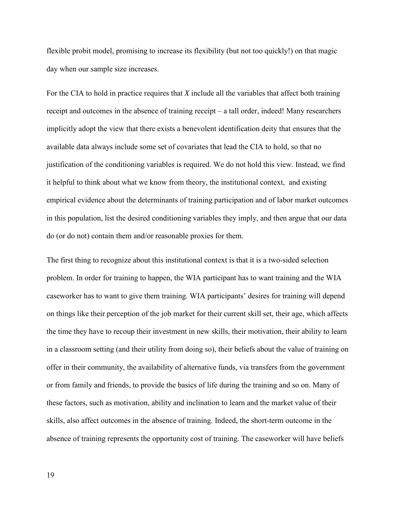flexible probit model, promising to increase its flexibility (but not too quickly!) on that magic day when our sample size increases.

For the CIA to hold in practice requires that *X* include all the variables that affect both training receipt and outcomes in the absence of training receipt – a tall order, indeed! Many researchers implicitly adopt the view that there exists a benevolent identification deity that ensures that the available data always include some set of covariates that lead the CIA to hold, so that no justification of the conditioning variables is required. We do not hold this view. Instead, we find it helpful to think about what we know from theory, the institutional context, and existing empirical evidence about the determinants of training participation and of labor market outcomes in this population, list the desired conditioning variables they imply, and then argue that our data do (or do not) contain them and/or reasonable proxies for them.

The first thing to recognize about this institutional context is that it is a two-sided selection problem. In order for training to happen, the WIA participant has to want training and the WIA caseworker has to want to give them training. WIA participants' desires for training will depend on things like their perception of the job market for their current skill set, their age, which affects the time they have to recoup their investment in new skills, their motivation, their ability to learn in a classroom setting (and their utility from doing so), their beliefs about the value of training on offer in their community, the availability of alternative funds, via transfers from the government or from family and friends, to provide the basics of life during the training and so on. Many of these factors, such as motivation, ability and inclination to learn and the market value of their skills, also affect outcomes in the absence of training. Indeed, the short-term outcome in the absence of training represents the opportunity cost of training. The caseworker will have beliefs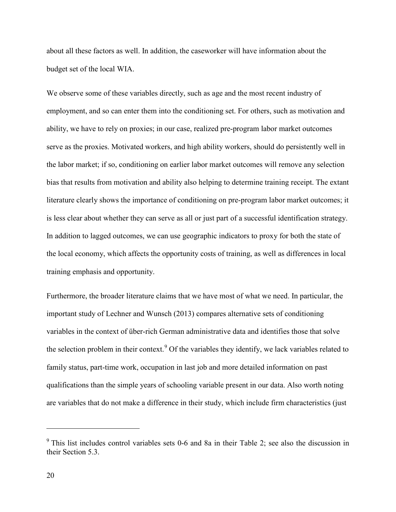about all these factors as well. In addition, the caseworker will have information about the budget set of the local WIA.

We observe some of these variables directly, such as age and the most recent industry of employment, and so can enter them into the conditioning set. For others, such as motivation and ability, we have to rely on proxies; in our case, realized pre-program labor market outcomes serve as the proxies. Motivated workers, and high ability workers, should do persistently well in the labor market; if so, conditioning on earlier labor market outcomes will remove any selection bias that results from motivation and ability also helping to determine training receipt. The extant literature clearly shows the importance of conditioning on pre-program labor market outcomes; it is less clear about whether they can serve as all or just part of a successful identification strategy. In addition to lagged outcomes, we can use geographic indicators to proxy for both the state of the local economy, which affects the opportunity costs of training, as well as differences in local training emphasis and opportunity.

Furthermore, the broader literature claims that we have most of what we need. In particular, the important study of Lechner and Wunsch (2013) compares alternative sets of conditioning variables in the context of über-rich German administrative data and identifies those that solve the selection problem in their context.<sup>[9](#page-21-0)</sup> Of the variables they identify, we lack variables related to family status, part-time work, occupation in last job and more detailed information on past qualifications than the simple years of schooling variable present in our data. Also worth noting are variables that do not make a difference in their study, which include firm characteristics (just

<span id="page-21-0"></span><sup>&</sup>lt;sup>9</sup> This list includes control variables sets 0-6 and 8a in their Table 2; see also the discussion in their Section 5.3.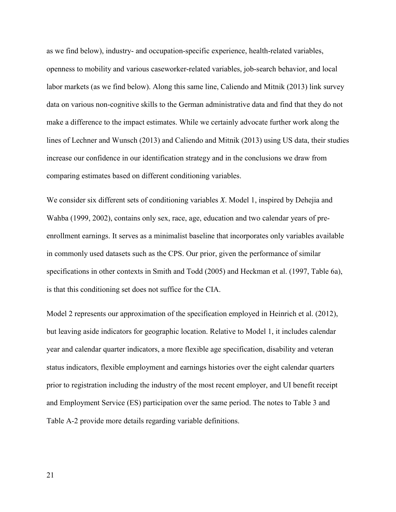as we find below), industry- and occupation-specific experience, health-related variables, openness to mobility and various caseworker-related variables, job-search behavior, and local labor markets (as we find below). Along this same line, Caliendo and Mitnik (2013) link survey data on various non-cognitive skills to the German administrative data and find that they do not make a difference to the impact estimates. While we certainly advocate further work along the lines of Lechner and Wunsch (2013) and Caliendo and Mitnik (2013) using US data, their studies increase our confidence in our identification strategy and in the conclusions we draw from comparing estimates based on different conditioning variables.

We consider six different sets of conditioning variables *X*. Model 1, inspired by Dehejia and Wahba (1999, 2002), contains only sex, race, age, education and two calendar years of preenrollment earnings. It serves as a minimalist baseline that incorporates only variables available in commonly used datasets such as the CPS. Our prior, given the performance of similar specifications in other contexts in Smith and Todd (2005) and Heckman et al. (1997, Table 6a), is that this conditioning set does not suffice for the CIA.

Model 2 represents our approximation of the specification employed in Heinrich et al. (2012), but leaving aside indicators for geographic location. Relative to Model 1, it includes calendar year and calendar quarter indicators, a more flexible age specification, disability and veteran status indicators, flexible employment and earnings histories over the eight calendar quarters prior to registration including the industry of the most recent employer, and UI benefit receipt and Employment Service (ES) participation over the same period. The notes to Table 3 and Table A-2 provide more details regarding variable definitions.

21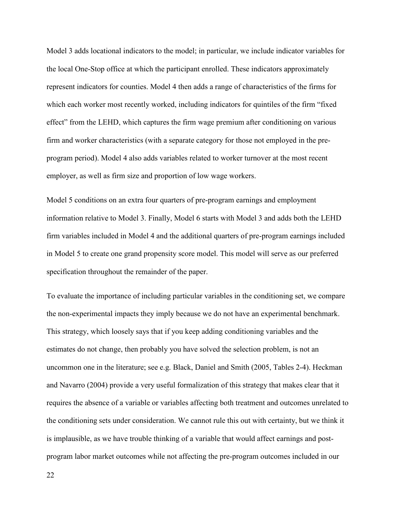Model 3 adds locational indicators to the model; in particular, we include indicator variables for the local One-Stop office at which the participant enrolled. These indicators approximately represent indicators for counties. Model 4 then adds a range of characteristics of the firms for which each worker most recently worked, including indicators for quintiles of the firm "fixed effect" from the LEHD, which captures the firm wage premium after conditioning on various firm and worker characteristics (with a separate category for those not employed in the preprogram period). Model 4 also adds variables related to worker turnover at the most recent employer, as well as firm size and proportion of low wage workers.

Model 5 conditions on an extra four quarters of pre-program earnings and employment information relative to Model 3. Finally, Model 6 starts with Model 3 and adds both the LEHD firm variables included in Model 4 and the additional quarters of pre-program earnings included in Model 5 to create one grand propensity score model. This model will serve as our preferred specification throughout the remainder of the paper.

To evaluate the importance of including particular variables in the conditioning set, we compare the non-experimental impacts they imply because we do not have an experimental benchmark. This strategy, which loosely says that if you keep adding conditioning variables and the estimates do not change, then probably you have solved the selection problem, is not an uncommon one in the literature; see e.g. Black, Daniel and Smith (2005, Tables 2-4). Heckman and Navarro (2004) provide a very useful formalization of this strategy that makes clear that it requires the absence of a variable or variables affecting both treatment and outcomes unrelated to the conditioning sets under consideration. We cannot rule this out with certainty, but we think it is implausible, as we have trouble thinking of a variable that would affect earnings and postprogram labor market outcomes while not affecting the pre-program outcomes included in our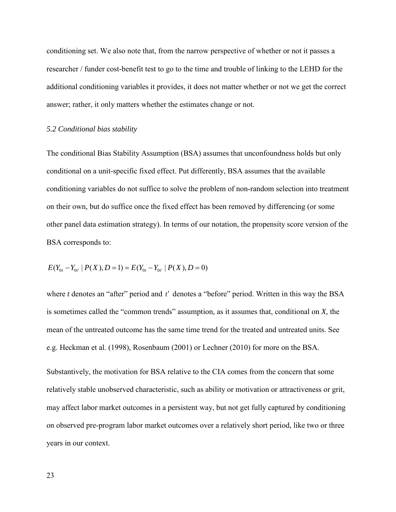conditioning set. We also note that, from the narrow perspective of whether or not it passes a researcher / funder cost-benefit test to go to the time and trouble of linking to the LEHD for the additional conditioning variables it provides, it does not matter whether or not we get the correct answer; rather, it only matters whether the estimates change or not.

#### *5.2 Conditional bias stability*

The conditional Bias Stability Assumption (BSA) assumes that unconfoundness holds but only conditional on a unit-specific fixed effect. Put differently, BSA assumes that the available conditioning variables do not suffice to solve the problem of non-random selection into treatment on their own, but do suffice once the fixed effect has been removed by differencing (or some other panel data estimation strategy). In terms of our notation, the propensity score version of the BSA corresponds to:

$$
E(Y_{0t} - Y_{0t'} | P(X), D = 1) = E(Y_{0t} - Y_{0t'} | P(X), D = 0)
$$

where *t* denotes an "after" period and *t'* denotes a "before" period. Written in this way the BSA is sometimes called the "common trends" assumption, as it assumes that, conditional on *X*, the mean of the untreated outcome has the same time trend for the treated and untreated units. See e.g. Heckman et al. (1998), Rosenbaum (2001) or Lechner (2010) for more on the BSA.

Substantively, the motivation for BSA relative to the CIA comes from the concern that some relatively stable unobserved characteristic, such as ability or motivation or attractiveness or grit, may affect labor market outcomes in a persistent way, but not get fully captured by conditioning on observed pre-program labor market outcomes over a relatively short period, like two or three years in our context.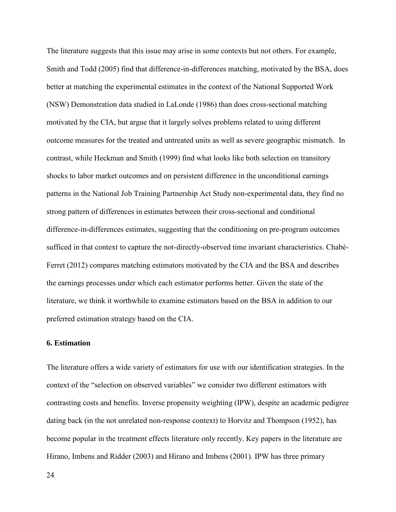The literature suggests that this issue may arise in some contexts but not others. For example, Smith and Todd (2005) find that difference-in-differences matching, motivated by the BSA, does better at matching the experimental estimates in the context of the National Supported Work (NSW) Demonstration data studied in LaLonde (1986) than does cross-sectional matching motivated by the CIA, but argue that it largely solves problems related to using different outcome measures for the treated and untreated units as well as severe geographic mismatch. In contrast, while Heckman and Smith (1999) find what looks like both selection on transitory shocks to labor market outcomes and on persistent difference in the unconditional earnings patterns in the National Job Training Partnership Act Study non-experimental data, they find no strong pattern of differences in estimates between their cross-sectional and conditional difference-in-differences estimates, suggesting that the conditioning on pre-program outcomes sufficed in that context to capture the not-directly-observed time invariant characteristics. Chabé-Ferret (2012) compares matching estimators motivated by the CIA and the BSA and describes the earnings processes under which each estimator performs better. Given the state of the literature, we think it worthwhile to examine estimators based on the BSA in addition to our preferred estimation strategy based on the CIA.

#### **6. Estimation**

The literature offers a wide variety of estimators for use with our identification strategies. In the context of the "selection on observed variables" we consider two different estimators with contrasting costs and benefits. Inverse propensity weighting (IPW), despite an academic pedigree dating back (in the not unrelated non-response context) to Horvitz and Thompson (1952), has become popular in the treatment effects literature only recently. Key papers in the literature are Hirano, Imbens and Ridder (2003) and Hirano and Imbens (2001). IPW has three primary

24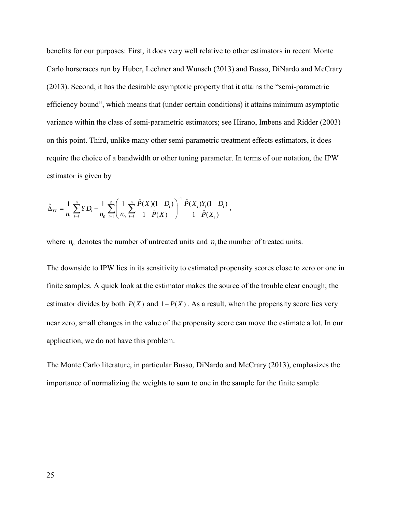benefits for our purposes: First, it does very well relative to other estimators in recent Monte Carlo horseraces run by Huber, Lechner and Wunsch (2013) and Busso, DiNardo and McCrary (2013). Second, it has the desirable asymptotic property that it attains the "semi-parametric efficiency bound", which means that (under certain conditions) it attains minimum asymptotic variance within the class of semi-parametric estimators; see Hirano, Imbens and Ridder (2003) on this point. Third, unlike many other semi-parametric treatment effects estimators, it does require the choice of a bandwidth or other tuning parameter. In terms of our notation, the IPW estimator is given by

$$
\hat{\Delta}_{TT} = \frac{1}{n_1} \sum_{i=1}^n Y_i D_i - \frac{1}{n_0} \sum_{i=1}^n \left( \frac{1}{n_0} \sum_{i=1}^n \frac{\hat{P}(X)(1-D_i)}{1-\hat{P}(X)} \right)^{-1} \frac{\hat{P}(X_i)Y_i(1-D_i)}{1-\hat{P}(X_i)},
$$

where  $n_0$  denotes the number of untreated units and  $n_1$  the number of treated units.

The downside to IPW lies in its sensitivity to estimated propensity scores close to zero or one in finite samples. A quick look at the estimator makes the source of the trouble clear enough; the estimator divides by both  $P(X)$  and  $1 - P(X)$ . As a result, when the propensity score lies very near zero, small changes in the value of the propensity score can move the estimate a lot. In our application, we do not have this problem.

The Monte Carlo literature, in particular Busso, DiNardo and McCrary (2013), emphasizes the importance of normalizing the weights to sum to one in the sample for the finite sample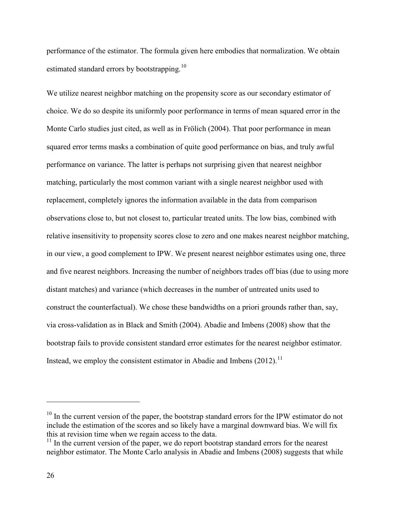performance of the estimator. The formula given here embodies that normalization. We obtain estimated standard errors by bootstrapping.<sup>[10](#page-27-0)</sup>

We utilize nearest neighbor matching on the propensity score as our secondary estimator of choice. We do so despite its uniformly poor performance in terms of mean squared error in the Monte Carlo studies just cited, as well as in Frölich (2004). That poor performance in mean squared error terms masks a combination of quite good performance on bias, and truly awful performance on variance. The latter is perhaps not surprising given that nearest neighbor matching, particularly the most common variant with a single nearest neighbor used with replacement, completely ignores the information available in the data from comparison observations close to, but not closest to, particular treated units. The low bias, combined with relative insensitivity to propensity scores close to zero and one makes nearest neighbor matching, in our view, a good complement to IPW. We present nearest neighbor estimates using one, three and five nearest neighbors. Increasing the number of neighbors trades off bias (due to using more distant matches) and variance (which decreases in the number of untreated units used to construct the counterfactual). We chose these bandwidths on a priori grounds rather than, say, via cross-validation as in Black and Smith (2004). Abadie and Imbens (2008) show that the bootstrap fails to provide consistent standard error estimates for the nearest neighbor estimator. Instead, we employ the consistent estimator in Abadie and Imbens  $(2012)$ .<sup>[11](#page-27-1)</sup>

<span id="page-27-0"></span><sup>&</sup>lt;sup>10</sup> In the current version of the paper, the bootstrap standard errors for the IPW estimator do not include the estimation of the scores and so likely have a marginal downward bias. We will fix this at revision time when we regain access to the data.

<span id="page-27-1"></span> $11$  In the current version of the paper, we do report bootstrap standard errors for the nearest neighbor estimator. The Monte Carlo analysis in Abadie and Imbens (2008) suggests that while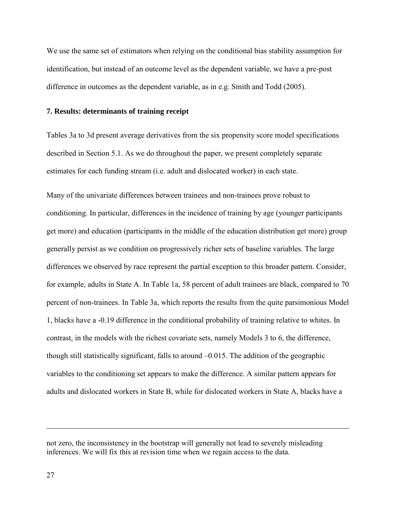We use the same set of estimators when relying on the conditional bias stability assumption for identification, but instead of an outcome level as the dependent variable, we have a pre-post difference in outcomes as the dependent variable, as in e.g. Smith and Todd (2005).

#### **7. Results: determinants of training receipt**

Tables 3a to 3d present average derivatives from the six propensity score model specifications described in Section 5.1. As we do throughout the paper, we present completely separate estimates for each funding stream (i.e. adult and dislocated worker) in each state.

Many of the univariate differences between trainees and non-trainees prove robust to conditioning. In particular, differences in the incidence of training by age (younger participants get more) and education (participants in the middle of the education distribution get more) group generally persist as we condition on progressively richer sets of baseline variables. The large differences we observed by race represent the partial exception to this broader pattern. Consider, for example, adults in State A. In Table 1a, 58 percent of adult trainees are black, compared to 70 percent of non-trainees. In Table 3a, which reports the results from the quite parsimonious Model 1, blacks have a -0.19 difference in the conditional probability of training relative to whites. In contrast, in the models with the richest covariate sets, namely Models 3 to 6, the difference, though still statistically significant, falls to around –0.015. The addition of the geographic variables to the conditioning set appears to make the difference. A similar pattern appears for adults and dislocated workers in State B, while for dislocated workers in State A, blacks have a

not zero, the inconsistency in the bootstrap will generally not lead to severely misleading inferences. We will fix this at revision time when we regain access to the data.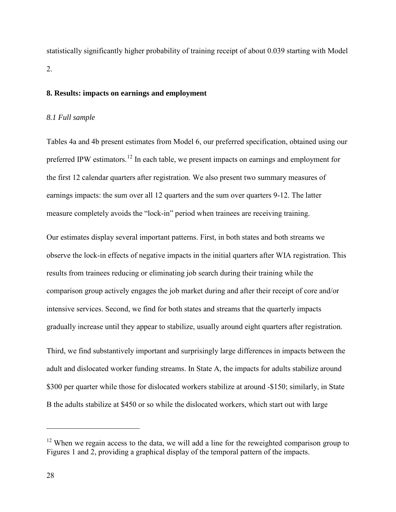statistically significantly higher probability of training receipt of about 0.039 starting with Model 2.

#### **8. Results: impacts on earnings and employment**

#### *8.1 Full sample*

Tables 4a and 4b present estimates from Model 6, our preferred specification, obtained using our preferred IPW estimators.<sup>[12](#page-29-0)</sup> In each table, we present impacts on earnings and employment for the first 12 calendar quarters after registration. We also present two summary measures of earnings impacts: the sum over all 12 quarters and the sum over quarters 9-12. The latter measure completely avoids the "lock-in" period when trainees are receiving training.

Our estimates display several important patterns. First, in both states and both streams we observe the lock-in effects of negative impacts in the initial quarters after WIA registration. This results from trainees reducing or eliminating job search during their training while the comparison group actively engages the job market during and after their receipt of core and/or intensive services. Second, we find for both states and streams that the quarterly impacts gradually increase until they appear to stabilize, usually around eight quarters after registration.

Third, we find substantively important and surprisingly large differences in impacts between the adult and dislocated worker funding streams. In State A, the impacts for adults stabilize around \$300 per quarter while those for dislocated workers stabilize at around -\$150; similarly, in State B the adults stabilize at \$450 or so while the dislocated workers, which start out with large

<span id="page-29-0"></span> $12$  When we regain access to the data, we will add a line for the reweighted comparison group to Figures 1 and 2, providing a graphical display of the temporal pattern of the impacts.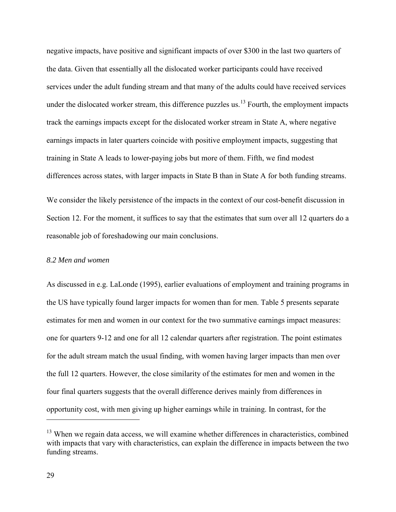negative impacts, have positive and significant impacts of over \$300 in the last two quarters of the data. Given that essentially all the dislocated worker participants could have received services under the adult funding stream and that many of the adults could have received services under the dislocated worker stream, this difference puzzles us. $^{13}$  Fourth, the employment impacts track the earnings impacts except for the dislocated worker stream in State A, where negative earnings impacts in later quarters coincide with positive employment impacts, suggesting that training in State A leads to lower-paying jobs but more of them. Fifth, we find modest differences across states, with larger impacts in State B than in State A for both funding streams.

We consider the likely persistence of the impacts in the context of our cost-benefit discussion in Section 12. For the moment, it suffices to say that the estimates that sum over all 12 quarters do a reasonable job of foreshadowing our main conclusions.

#### *8.2 Men and women*

As discussed in e.g. LaLonde (1995), earlier evaluations of employment and training programs in the US have typically found larger impacts for women than for men. Table 5 presents separate estimates for men and women in our context for the two summative earnings impact measures: one for quarters 9-12 and one for all 12 calendar quarters after registration. The point estimates for the adult stream match the usual finding, with women having larger impacts than men over the full 12 quarters. However, the close similarity of the estimates for men and women in the four final quarters suggests that the overall difference derives mainly from differences in opportunity cost, with men giving up higher earnings while in training. In contrast, for the

<span id="page-30-0"></span> $13$  When we regain data access, we will examine whether differences in characteristics, combined with impacts that vary with characteristics, can explain the difference in impacts between the two funding streams.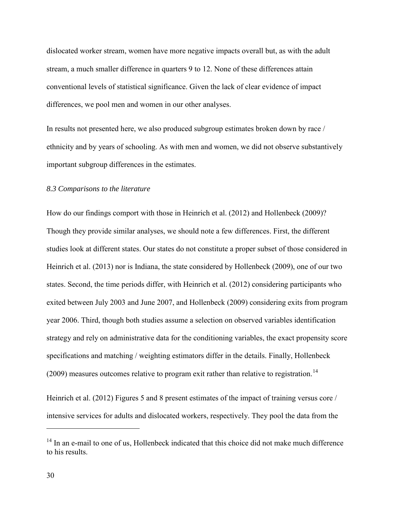dislocated worker stream, women have more negative impacts overall but, as with the adult stream, a much smaller difference in quarters 9 to 12. None of these differences attain conventional levels of statistical significance. Given the lack of clear evidence of impact differences, we pool men and women in our other analyses.

In results not presented here, we also produced subgroup estimates broken down by race / ethnicity and by years of schooling. As with men and women, we did not observe substantively important subgroup differences in the estimates.

#### *8.3 Comparisons to the literature*

How do our findings comport with those in Heinrich et al. (2012) and Hollenbeck (2009)? Though they provide similar analyses, we should note a few differences. First, the different studies look at different states. Our states do not constitute a proper subset of those considered in Heinrich et al. (2013) nor is Indiana, the state considered by Hollenbeck (2009), one of our two states. Second, the time periods differ, with Heinrich et al. (2012) considering participants who exited between July 2003 and June 2007, and Hollenbeck (2009) considering exits from program year 2006. Third, though both studies assume a selection on observed variables identification strategy and rely on administrative data for the conditioning variables, the exact propensity score specifications and matching / weighting estimators differ in the details. Finally, Hollenbeck  $(2009)$  measures outcomes relative to program exit rather than relative to registration.<sup>[14](#page-31-0)</sup>

Heinrich et al. (2012) Figures 5 and 8 present estimates of the impact of training versus core / intensive services for adults and dislocated workers, respectively. They pool the data from the

<span id="page-31-0"></span><sup>&</sup>lt;sup>14</sup> In an e-mail to one of us, Hollenbeck indicated that this choice did not make much difference to his results.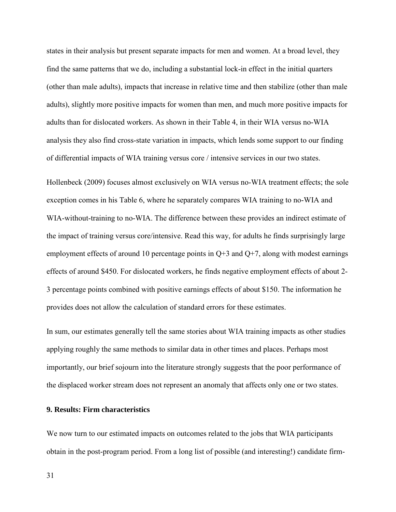states in their analysis but present separate impacts for men and women. At a broad level, they find the same patterns that we do, including a substantial lock-in effect in the initial quarters (other than male adults), impacts that increase in relative time and then stabilize (other than male adults), slightly more positive impacts for women than men, and much more positive impacts for adults than for dislocated workers. As shown in their Table 4, in their WIA versus no-WIA analysis they also find cross-state variation in impacts, which lends some support to our finding of differential impacts of WIA training versus core / intensive services in our two states.

Hollenbeck (2009) focuses almost exclusively on WIA versus no-WIA treatment effects; the sole exception comes in his Table 6, where he separately compares WIA training to no-WIA and WIA-without-training to no-WIA. The difference between these provides an indirect estimate of the impact of training versus core/intensive. Read this way, for adults he finds surprisingly large employment effects of around 10 percentage points in  $Q+3$  and  $Q+7$ , along with modest earnings effects of around \$450. For dislocated workers, he finds negative employment effects of about 2- 3 percentage points combined with positive earnings effects of about \$150. The information he provides does not allow the calculation of standard errors for these estimates.

In sum, our estimates generally tell the same stories about WIA training impacts as other studies applying roughly the same methods to similar data in other times and places. Perhaps most importantly, our brief sojourn into the literature strongly suggests that the poor performance of the displaced worker stream does not represent an anomaly that affects only one or two states.

#### **9. Results: Firm characteristics**

We now turn to our estimated impacts on outcomes related to the jobs that WIA participants obtain in the post-program period. From a long list of possible (and interesting!) candidate firm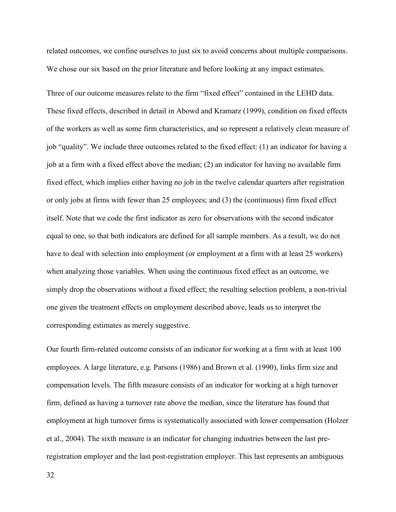related outcomes, we confine ourselves to just six to avoid concerns about multiple comparisons. We chose our six based on the prior literature and before looking at any impact estimates.

Three of our outcome measures relate to the firm "fixed effect" contained in the LEHD data. These fixed effects, described in detail in Abowd and Kramarz (1999), condition on fixed effects of the workers as well as some firm characteristics, and so represent a relatively clean measure of job "quality". We include three outcomes related to the fixed effect: (1) an indicator for having a job at a firm with a fixed effect above the median; (2) an indicator for having no available firm fixed effect, which implies either having no job in the twelve calendar quarters after registration or only jobs at firms with fewer than 25 employees; and (3) the (continuous) firm fixed effect itself. Note that we code the first indicator as zero for observations with the second indicator equal to one, so that both indicators are defined for all sample members. As a result, we do not have to deal with selection into employment (or employment at a firm with at least 25 workers) when analyzing those variables. When using the continuous fixed effect as an outcome, we simply drop the observations without a fixed effect; the resulting selection problem, a non-trivial one given the treatment effects on employment described above, leads us to interpret the corresponding estimates as merely suggestive.

Our fourth firm-related outcome consists of an indicator for working at a firm with at least 100 employees. A large literature, e.g. Parsons (1986) and Brown et al. (1990), links firm size and compensation levels. The fifth measure consists of an indicator for working at a high turnover firm, defined as having a turnover rate above the median, since the literature has found that employment at high turnover firms is systematically associated with lower compensation (Holzer et al., 2004). The sixth measure is an indicator for changing industries between the last preregistration employer and the last post-registration employer. This last represents an ambiguous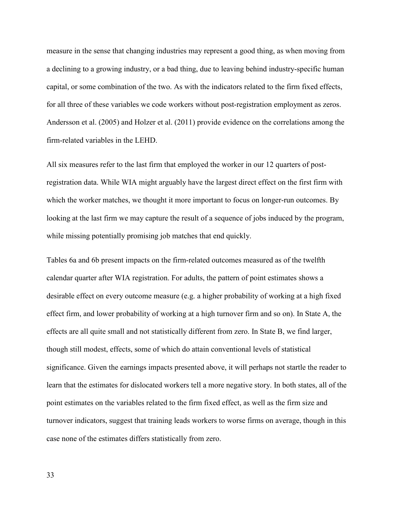measure in the sense that changing industries may represent a good thing, as when moving from a declining to a growing industry, or a bad thing, due to leaving behind industry-specific human capital, or some combination of the two. As with the indicators related to the firm fixed effects, for all three of these variables we code workers without post-registration employment as zeros. Andersson et al. (2005) and Holzer et al. (2011) provide evidence on the correlations among the firm-related variables in the LEHD.

All six measures refer to the last firm that employed the worker in our 12 quarters of postregistration data. While WIA might arguably have the largest direct effect on the first firm with which the worker matches, we thought it more important to focus on longer-run outcomes. By looking at the last firm we may capture the result of a sequence of jobs induced by the program, while missing potentially promising job matches that end quickly.

Tables 6a and 6b present impacts on the firm-related outcomes measured as of the twelfth calendar quarter after WIA registration. For adults, the pattern of point estimates shows a desirable effect on every outcome measure (e.g. a higher probability of working at a high fixed effect firm, and lower probability of working at a high turnover firm and so on). In State A, the effects are all quite small and not statistically different from zero. In State B, we find larger, though still modest, effects, some of which do attain conventional levels of statistical significance. Given the earnings impacts presented above, it will perhaps not startle the reader to learn that the estimates for dislocated workers tell a more negative story. In both states, all of the point estimates on the variables related to the firm fixed effect, as well as the firm size and turnover indicators, suggest that training leads workers to worse firms on average, though in this case none of the estimates differs statistically from zero.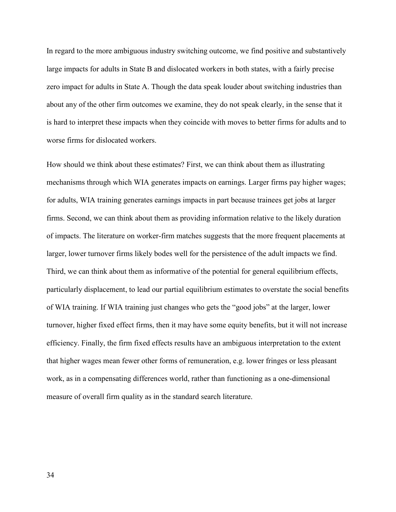In regard to the more ambiguous industry switching outcome, we find positive and substantively large impacts for adults in State B and dislocated workers in both states, with a fairly precise zero impact for adults in State A. Though the data speak louder about switching industries than about any of the other firm outcomes we examine, they do not speak clearly, in the sense that it is hard to interpret these impacts when they coincide with moves to better firms for adults and to worse firms for dislocated workers.

How should we think about these estimates? First, we can think about them as illustrating mechanisms through which WIA generates impacts on earnings. Larger firms pay higher wages; for adults, WIA training generates earnings impacts in part because trainees get jobs at larger firms. Second, we can think about them as providing information relative to the likely duration of impacts. The literature on worker-firm matches suggests that the more frequent placements at larger, lower turnover firms likely bodes well for the persistence of the adult impacts we find. Third, we can think about them as informative of the potential for general equilibrium effects, particularly displacement, to lead our partial equilibrium estimates to overstate the social benefits of WIA training. If WIA training just changes who gets the "good jobs" at the larger, lower turnover, higher fixed effect firms, then it may have some equity benefits, but it will not increase efficiency. Finally, the firm fixed effects results have an ambiguous interpretation to the extent that higher wages mean fewer other forms of remuneration, e.g. lower fringes or less pleasant work, as in a compensating differences world, rather than functioning as a one-dimensional measure of overall firm quality as in the standard search literature.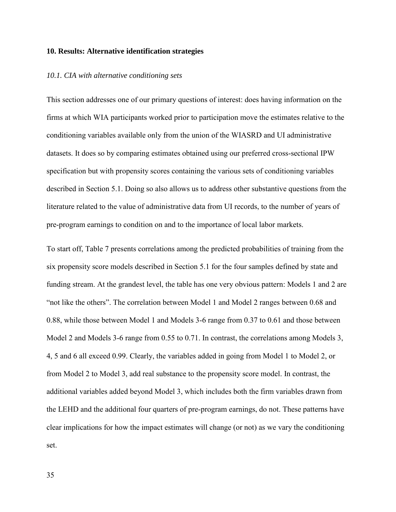## **10. Results: Alternative identification strategies**

## *10.1. CIA with alternative conditioning sets*

This section addresses one of our primary questions of interest: does having information on the firms at which WIA participants worked prior to participation move the estimates relative to the conditioning variables available only from the union of the WIASRD and UI administrative datasets. It does so by comparing estimates obtained using our preferred cross-sectional IPW specification but with propensity scores containing the various sets of conditioning variables described in Section 5.1. Doing so also allows us to address other substantive questions from the literature related to the value of administrative data from UI records, to the number of years of pre-program earnings to condition on and to the importance of local labor markets.

To start off, Table 7 presents correlations among the predicted probabilities of training from the six propensity score models described in Section 5.1 for the four samples defined by state and funding stream. At the grandest level, the table has one very obvious pattern: Models 1 and 2 are "not like the others". The correlation between Model 1 and Model 2 ranges between 0.68 and 0.88, while those between Model 1 and Models 3-6 range from 0.37 to 0.61 and those between Model 2 and Models 3-6 range from 0.55 to 0.71. In contrast, the correlations among Models 3, 4, 5 and 6 all exceed 0.99. Clearly, the variables added in going from Model 1 to Model 2, or from Model 2 to Model 3, add real substance to the propensity score model. In contrast, the additional variables added beyond Model 3, which includes both the firm variables drawn from the LEHD and the additional four quarters of pre-program earnings, do not. These patterns have clear implications for how the impact estimates will change (or not) as we vary the conditioning set.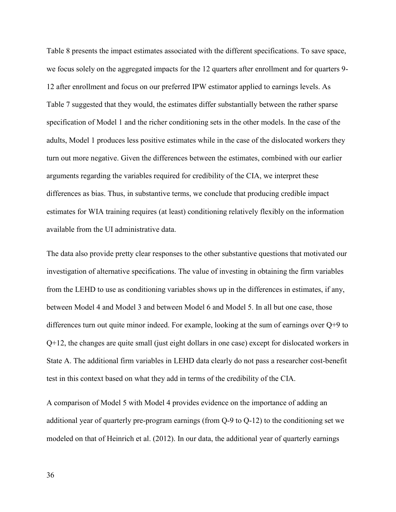Table 8 presents the impact estimates associated with the different specifications. To save space, we focus solely on the aggregated impacts for the 12 quarters after enrollment and for quarters 9- 12 after enrollment and focus on our preferred IPW estimator applied to earnings levels. As Table 7 suggested that they would, the estimates differ substantially between the rather sparse specification of Model 1 and the richer conditioning sets in the other models. In the case of the adults, Model 1 produces less positive estimates while in the case of the dislocated workers they turn out more negative. Given the differences between the estimates, combined with our earlier arguments regarding the variables required for credibility of the CIA, we interpret these differences as bias. Thus, in substantive terms, we conclude that producing credible impact estimates for WIA training requires (at least) conditioning relatively flexibly on the information available from the UI administrative data.

The data also provide pretty clear responses to the other substantive questions that motivated our investigation of alternative specifications. The value of investing in obtaining the firm variables from the LEHD to use as conditioning variables shows up in the differences in estimates, if any, between Model 4 and Model 3 and between Model 6 and Model 5. In all but one case, those differences turn out quite minor indeed. For example, looking at the sum of earnings over Q+9 to Q+12, the changes are quite small (just eight dollars in one case) except for dislocated workers in State A. The additional firm variables in LEHD data clearly do not pass a researcher cost-benefit test in this context based on what they add in terms of the credibility of the CIA.

A comparison of Model 5 with Model 4 provides evidence on the importance of adding an additional year of quarterly pre-program earnings (from Q-9 to Q-12) to the conditioning set we modeled on that of Heinrich et al. (2012). In our data, the additional year of quarterly earnings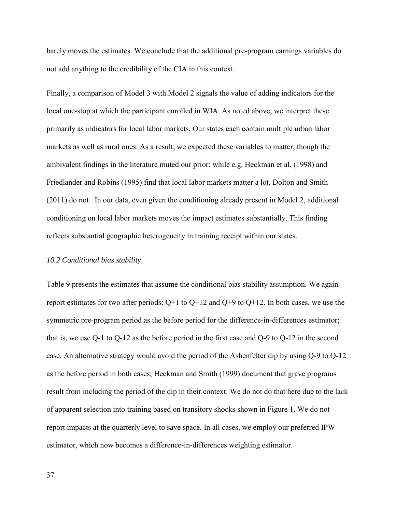barely moves the estimates. We conclude that the additional pre-program earnings variables do not add anything to the credibility of the CIA in this context.

Finally, a comparison of Model 3 with Model 2 signals the value of adding indicators for the local one-stop at which the participant enrolled in WIA. As noted above, we interpret these primarily as indicators for local labor markets. Our states each contain multiple urban labor markets as well as rural ones. As a result, we expected these variables to matter, though the ambivalent findings in the literature muted our prior: while e.g. Heckman et al. (1998) and Friedlander and Robins (1995) find that local labor markets matter a lot, Dolton and Smith (2011) do not. In our data, even given the conditioning already present in Model 2, additional conditioning on local labor markets moves the impact estimates substantially. This finding reflects substantial geographic heterogeneity in training receipt within our states.

## *10.2 Conditional bias stability*

Table 9 presents the estimates that assume the conditional bias stability assumption. We again report estimates for two after periods:  $Q+1$  to  $Q+12$  and  $Q+9$  to  $Q+12$ . In both cases, we use the symmetric pre-program period as the before period for the difference-in-differences estimator; that is, we use Q-1 to Q-12 as the before period in the first case and Q-9 to Q-12 in the second case. An alternative strategy would avoid the period of the Ashenfelter dip by using Q-9 to Q-12 as the before period in both cases; Heckman and Smith (1999) document that grave programs result from including the period of the dip in their context. We do not do that here due to the lack of apparent selection into training based on transitory shocks shown in Figure 1. We do not report impacts at the quarterly level to save space. In all cases, we employ our preferred IPW estimator, which now becomes a difference-in-differences weighting estimator.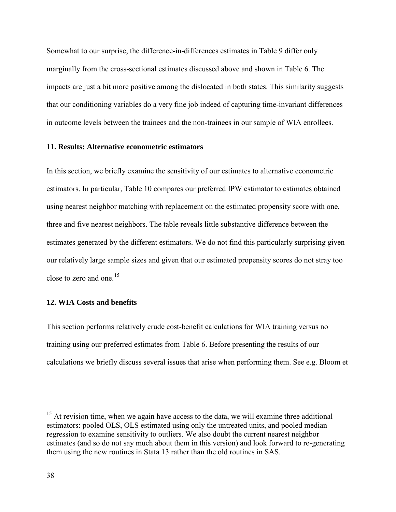Somewhat to our surprise, the difference-in-differences estimates in Table 9 differ only marginally from the cross-sectional estimates discussed above and shown in Table 6. The impacts are just a bit more positive among the dislocated in both states. This similarity suggests that our conditioning variables do a very fine job indeed of capturing time-invariant differences in outcome levels between the trainees and the non-trainees in our sample of WIA enrollees.

# **11. Results: Alternative econometric estimators**

In this section, we briefly examine the sensitivity of our estimates to alternative econometric estimators. In particular, Table 10 compares our preferred IPW estimator to estimates obtained using nearest neighbor matching with replacement on the estimated propensity score with one, three and five nearest neighbors. The table reveals little substantive difference between the estimates generated by the different estimators. We do not find this particularly surprising given our relatively large sample sizes and given that our estimated propensity scores do not stray too close to zero and one.<sup>[15](#page-39-0)</sup>

# **12. WIA Costs and benefits**

This section performs relatively crude cost-benefit calculations for WIA training versus no training using our preferred estimates from Table 6. Before presenting the results of our calculations we briefly discuss several issues that arise when performing them. See e.g. Bloom et

 $\overline{a}$ 

<span id="page-39-0"></span> $15$  At revision time, when we again have access to the data, we will examine three additional estimators: pooled OLS, OLS estimated using only the untreated units, and pooled median regression to examine sensitivity to outliers. We also doubt the current nearest neighbor estimates (and so do not say much about them in this version) and look forward to re-generating them using the new routines in Stata 13 rather than the old routines in SAS.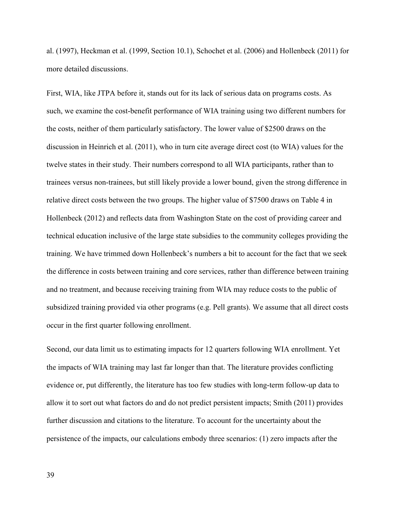al. (1997), Heckman et al. (1999, Section 10.1), Schochet et al. (2006) and Hollenbeck (2011) for more detailed discussions.

First, WIA, like JTPA before it, stands out for its lack of serious data on programs costs. As such, we examine the cost-benefit performance of WIA training using two different numbers for the costs, neither of them particularly satisfactory. The lower value of \$2500 draws on the discussion in Heinrich et al. (2011), who in turn cite average direct cost (to WIA) values for the twelve states in their study. Their numbers correspond to all WIA participants, rather than to trainees versus non-trainees, but still likely provide a lower bound, given the strong difference in relative direct costs between the two groups. The higher value of \$7500 draws on Table 4 in Hollenbeck (2012) and reflects data from Washington State on the cost of providing career and technical education inclusive of the large state subsidies to the community colleges providing the training. We have trimmed down Hollenbeck's numbers a bit to account for the fact that we seek the difference in costs between training and core services, rather than difference between training and no treatment, and because receiving training from WIA may reduce costs to the public of subsidized training provided via other programs (e.g. Pell grants). We assume that all direct costs occur in the first quarter following enrollment.

Second, our data limit us to estimating impacts for 12 quarters following WIA enrollment. Yet the impacts of WIA training may last far longer than that. The literature provides conflicting evidence or, put differently, the literature has too few studies with long-term follow-up data to allow it to sort out what factors do and do not predict persistent impacts; Smith (2011) provides further discussion and citations to the literature. To account for the uncertainty about the persistence of the impacts, our calculations embody three scenarios: (1) zero impacts after the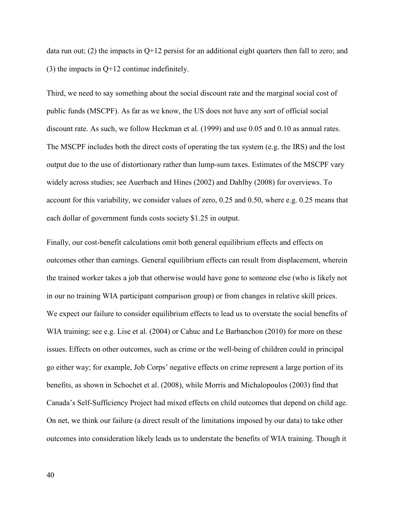data run out; (2) the impacts in  $O+12$  persist for an additional eight quarters then fall to zero; and (3) the impacts in Q+12 continue indefinitely.

Third, we need to say something about the social discount rate and the marginal social cost of public funds (MSCPF). As far as we know, the US does not have any sort of official social discount rate. As such, we follow Heckman et al. (1999) and use 0.05 and 0.10 as annual rates. The MSCPF includes both the direct costs of operating the tax system (e.g. the IRS) and the lost output due to the use of distortionary rather than lump-sum taxes. Estimates of the MSCPF vary widely across studies; see Auerbach and Hines (2002) and Dahlby (2008) for overviews. To account for this variability, we consider values of zero, 0.25 and 0.50, where e.g. 0.25 means that each dollar of government funds costs society \$1.25 in output.

Finally, our cost-benefit calculations omit both general equilibrium effects and effects on outcomes other than earnings. General equilibrium effects can result from displacement, wherein the trained worker takes a job that otherwise would have gone to someone else (who is likely not in our no training WIA participant comparison group) or from changes in relative skill prices. We expect our failure to consider equilibrium effects to lead us to overstate the social benefits of WIA training; see e.g. Lise et al. (2004) or Cahuc and Le Barbanchon (2010) for more on these issues. Effects on other outcomes, such as crime or the well-being of children could in principal go either way; for example, Job Corps' negative effects on crime represent a large portion of its benefits, as shown in Schochet et al. (2008), while Morris and Michalopoulos (2003) find that Canada's Self-Sufficiency Project had mixed effects on child outcomes that depend on child age. On net, we think our failure (a direct result of the limitations imposed by our data) to take other outcomes into consideration likely leads us to understate the benefits of WIA training. Though it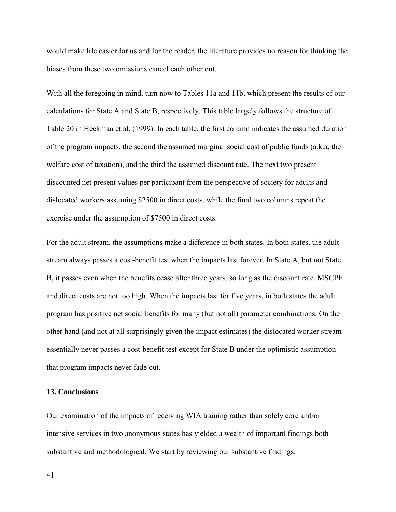would make life easier for us and for the reader, the literature provides no reason for thinking the biases from these two omissions cancel each other out.

With all the foregoing in mind, turn now to Tables 11a and 11b, which present the results of our calculations for State A and State B, respectively. This table largely follows the structure of Table 20 in Heckman et al. (1999). In each table, the first column indicates the assumed duration of the program impacts, the second the assumed marginal social cost of public funds (a.k.a. the welfare cost of taxation), and the third the assumed discount rate. The next two present discounted net present values per participant from the perspective of society for adults and dislocated workers assuming \$2500 in direct costs, while the final two columns repeat the exercise under the assumption of \$7500 in direct costs.

For the adult stream, the assumptions make a difference in both states. In both states, the adult stream always passes a cost-benefit test when the impacts last forever. In State A, but not State B, it passes even when the benefits cease after three years, so long as the discount rate, MSCPF and direct costs are not too high. When the impacts last for five years, in both states the adult program has positive net social benefits for many (but not all) parameter combinations. On the other hand (and not at all surprisingly given the impact estimates) the dislocated worker stream essentially never passes a cost-benefit test except for State B under the optimistic assumption that program impacts never fade out.

# **13. Conclusions**

Our examination of the impacts of receiving WIA training rather than solely core and/or intensive services in two anonymous states has yielded a wealth of important findings both substantive and methodological. We start by reviewing our substantive findings.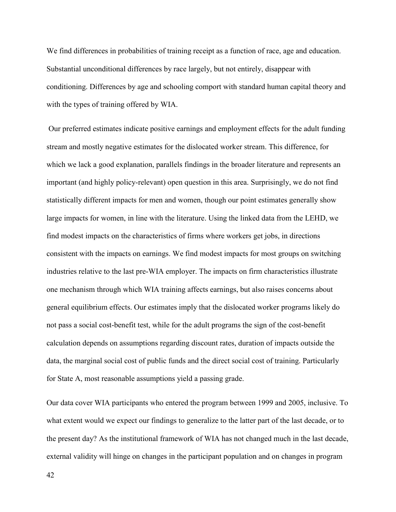We find differences in probabilities of training receipt as a function of race, age and education. Substantial unconditional differences by race largely, but not entirely, disappear with conditioning. Differences by age and schooling comport with standard human capital theory and with the types of training offered by WIA.

Our preferred estimates indicate positive earnings and employment effects for the adult funding stream and mostly negative estimates for the dislocated worker stream. This difference, for which we lack a good explanation, parallels findings in the broader literature and represents an important (and highly policy-relevant) open question in this area. Surprisingly, we do not find statistically different impacts for men and women, though our point estimates generally show large impacts for women, in line with the literature. Using the linked data from the LEHD, we find modest impacts on the characteristics of firms where workers get jobs, in directions consistent with the impacts on earnings. We find modest impacts for most groups on switching industries relative to the last pre-WIA employer. The impacts on firm characteristics illustrate one mechanism through which WIA training affects earnings, but also raises concerns about general equilibrium effects. Our estimates imply that the dislocated worker programs likely do not pass a social cost-benefit test, while for the adult programs the sign of the cost-benefit calculation depends on assumptions regarding discount rates, duration of impacts outside the data, the marginal social cost of public funds and the direct social cost of training. Particularly for State A, most reasonable assumptions yield a passing grade.

Our data cover WIA participants who entered the program between 1999 and 2005, inclusive. To what extent would we expect our findings to generalize to the latter part of the last decade, or to the present day? As the institutional framework of WIA has not changed much in the last decade, external validity will hinge on changes in the participant population and on changes in program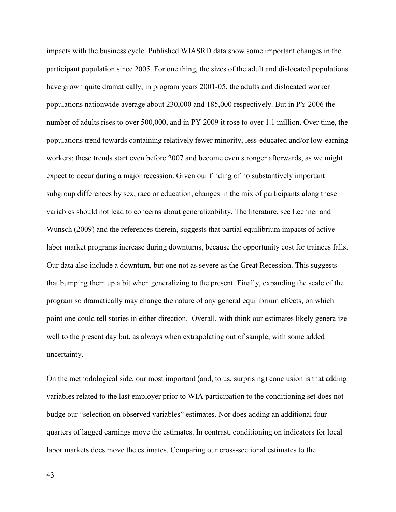impacts with the business cycle. Published WIASRD data show some important changes in the participant population since 2005. For one thing, the sizes of the adult and dislocated populations have grown quite dramatically; in program years 2001-05, the adults and dislocated worker populations nationwide average about 230,000 and 185,000 respectively. But in PY 2006 the number of adults rises to over 500,000, and in PY 2009 it rose to over 1.1 million. Over time, the populations trend towards containing relatively fewer minority, less-educated and/or low-earning workers; these trends start even before 2007 and become even stronger afterwards, as we might expect to occur during a major recession. Given our finding of no substantively important subgroup differences by sex, race or education, changes in the mix of participants along these variables should not lead to concerns about generalizability. The literature, see Lechner and Wunsch (2009) and the references therein, suggests that partial equilibrium impacts of active labor market programs increase during downturns, because the opportunity cost for trainees falls. Our data also include a downturn, but one not as severe as the Great Recession. This suggests that bumping them up a bit when generalizing to the present. Finally, expanding the scale of the program so dramatically may change the nature of any general equilibrium effects, on which point one could tell stories in either direction. Overall, with think our estimates likely generalize well to the present day but, as always when extrapolating out of sample, with some added uncertainty.

On the methodological side, our most important (and, to us, surprising) conclusion is that adding variables related to the last employer prior to WIA participation to the conditioning set does not budge our "selection on observed variables" estimates. Nor does adding an additional four quarters of lagged earnings move the estimates. In contrast, conditioning on indicators for local labor markets does move the estimates. Comparing our cross-sectional estimates to the

43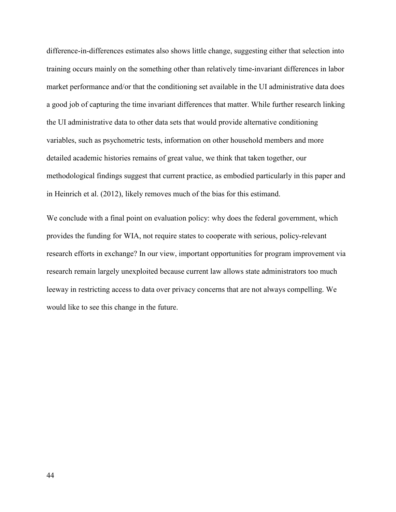difference-in-differences estimates also shows little change, suggesting either that selection into training occurs mainly on the something other than relatively time-invariant differences in labor market performance and/or that the conditioning set available in the UI administrative data does a good job of capturing the time invariant differences that matter. While further research linking the UI administrative data to other data sets that would provide alternative conditioning variables, such as psychometric tests, information on other household members and more detailed academic histories remains of great value, we think that taken together, our methodological findings suggest that current practice, as embodied particularly in this paper and in Heinrich et al. (2012), likely removes much of the bias for this estimand.

We conclude with a final point on evaluation policy: why does the federal government, which provides the funding for WIA, not require states to cooperate with serious, policy-relevant research efforts in exchange? In our view, important opportunities for program improvement via research remain largely unexploited because current law allows state administrators too much leeway in restricting access to data over privacy concerns that are not always compelling. We would like to see this change in the future.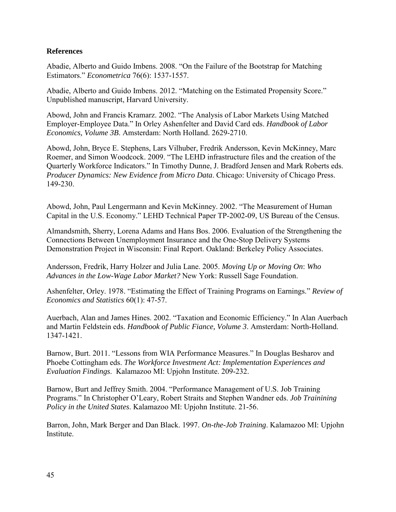# **References**

Abadie, Alberto and Guido Imbens. 2008. "On the Failure of the Bootstrap for Matching Estimators." *Econometrica* 76(6): 1537-1557.

Abadie, Alberto and Guido Imbens. 2012. "Matching on the Estimated Propensity Score." Unpublished manuscript, Harvard University.

Abowd, John and Francis Kramarz. 2002. "The Analysis of Labor Markets Using Matched Employer-Employee Data." In Orley Ashenfelter and David Card eds. *Handbook of Labor Economics, Volume 3B*. Amsterdam: North Holland. 2629-2710.

Abowd, John, Bryce E. Stephens, Lars Vilhuber, Fredrik Andersson, Kevin McKinney, Marc Roemer, and Simon Woodcock. 2009. "The LEHD infrastructure files and the creation of the Quarterly Workforce Indicators." In Timothy Dunne, J. Bradford Jensen and Mark Roberts eds. *Producer Dynamics: New Evidence from Micro Data*. Chicago: University of Chicago Press. 149-230.

Abowd, John, Paul Lengermann and Kevin McKinney. 2002. "The Measurement of Human Capital in the U.S. Economy." LEHD Technical Paper TP-2002-09, US Bureau of the Census.

Almandsmith, Sherry, Lorena Adams and Hans Bos. 2006. Evaluation of the Strengthening the Connections Between Unemployment Insurance and the One-Stop Delivery Systems Demonstration Project in Wisconsin: Final Report. Oakland: Berkeley Policy Associates.

Andersson, Fredrik, Harry Holzer and Julia Lane. 2005. *Moving Up or Moving On*: *Who Advances in the Low-Wage Labor Market?* New York: Russell Sage Foundation.

Ashenfelter, Orley. 1978. "Estimating the Effect of Training Programs on Earnings." *Review of Economics and Statistics* 60(1): 47-57.

Auerbach, Alan and James Hines. 2002. "Taxation and Economic Efficiency." In Alan Auerbach and Martin Feldstein eds. *Handbook of Public Fiance, Volume 3*. Amsterdam: North-Holland. 1347-1421.

Barnow, Burt. 2011. "Lessons from WIA Performance Measures." In Douglas Besharov and Phoebe Cottingham eds. *The Workforce Investment Act: Implementation Experiences and Evaluation Findings*. Kalamazoo MI: Upjohn Institute. 209-232.

Barnow, Burt and Jeffrey Smith. 2004. "Performance Management of U.S. Job Training Programs." In Christopher O'Leary, Robert Straits and Stephen Wandner eds. *Job Trainining Policy in the United States*. Kalamazoo MI: Upjohn Institute. 21-56.

Barron, John, Mark Berger and Dan Black. 1997. *On-the-Job Training*. Kalamazoo MI: Upjohn **Institute**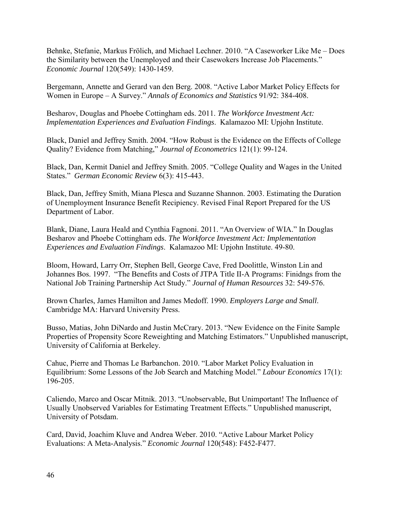Behnke, Stefanie, Markus Frölich, and Michael Lechner. 2010. "A Caseworker Like Me – Does the Similarity between the Unemployed and their Casewokers Increase Job Placements." *Economic Journal* 120(549): 1430-1459.

Bergemann, Annette and Gerard van den Berg. 2008. "Active Labor Market Policy Effects for Women in Europe – A Survey." *Annals of Economics and Statistics* 91/92: 384-408.

Besharov, Douglas and Phoebe Cottingham eds. 2011. *The Workforce Investment Act: Implementation Experiences and Evaluation Findings*. Kalamazoo MI: Upjohn Institute.

Black, Daniel and Jeffrey Smith. 2004. "How Robust is the Evidence on the Effects of College Quality? Evidence from Matching," *Journal of Econometrics* 121(1): 99-124.

Black, Dan, Kermit Daniel and Jeffrey Smith. 2005. "College Quality and Wages in the United States." *German Economic Review* 6(3): 415-443.

Black, Dan, Jeffrey Smith, Miana Plesca and Suzanne Shannon. 2003. Estimating the Duration of Unemployment Insurance Benefit Recipiency. Revised Final Report Prepared for the US Department of Labor.

Blank, Diane, Laura Heald and Cynthia Fagnoni. 2011. "An Overview of WIA." In Douglas Besharov and Phoebe Cottingham eds. *The Workforce Investment Act: Implementation Experiences and Evaluation Findings*. Kalamazoo MI: Upjohn Institute. 49-80.

Bloom, Howard, Larry Orr, Stephen Bell, George Cave, Fred Doolittle, Winston Lin and Johannes Bos. 1997. "The Benefits and Costs of JTPA Title II-A Programs: Finidngs from the National Job Training Partnership Act Study." *Journal of Human Resources* 32: 549-576.

Brown Charles, James Hamilton and James Medoff. 1990. *Employers Large and Small*. Cambridge MA: Harvard University Press.

Busso, Matias, John DiNardo and Justin McCrary. 2013. "New Evidence on the Finite Sample Properties of Propensity Score Reweighting and Matching Estimators." Unpublished manuscript, University of California at Berkeley.

Cahuc, Pierre and Thomas Le Barbanchon. 2010. "Labor Market Policy Evaluation in Equilibrium: Some Lessons of the Job Search and Matching Model." *Labour Economics* 17(1): 196-205.

Caliendo, Marco and Oscar Mitnik. 2013. "Unobservable, But Unimportant! The Influence of Usually Unobserved Variables for Estimating Treatment Effects." Unpublished manuscript, University of Potsdam.

Card, David, Joachim Kluve and Andrea Weber. 2010. "Active Labour Market Policy Evaluations: A Meta-Analysis." *Economic Journal* 120(548): F452-F477.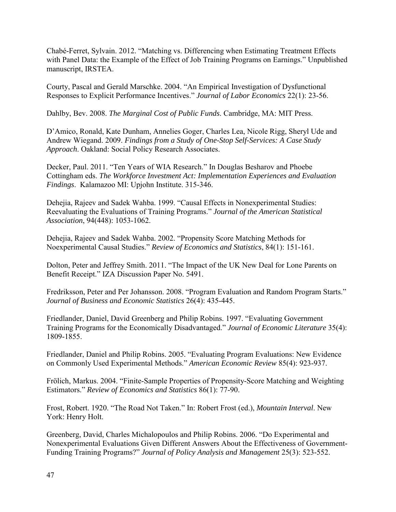Chabé-Ferret, Sylvain. 2012. "Matching vs. Differencing when Estimating Treatment Effects with Panel Data: the Example of the Effect of Job Training Programs on Earnings." Unpublished manuscript, IRSTEA.

Courty, Pascal and Gerald Marschke. 2004. "An Empirical Investigation of Dysfunctional Responses to Explicit Performance Incentives." *Journal of Labor Economics* 22(1): 23-56.

Dahlby, Bev. 2008. *The Marginal Cost of Public Funds*. Cambridge, MA: MIT Press.

D'Amico, Ronald, Kate Dunham, Annelies Goger, Charles Lea, Nicole Rigg, Sheryl Ude and Andrew Wiegand. 2009. *Findings from a Study of One-Stop Self-Services: A Case Study Approach*. Oakland: Social Policy Research Associates.

Decker, Paul. 2011. "Ten Years of WIA Research." In Douglas Besharov and Phoebe Cottingham eds. *The Workforce Investment Act: Implementation Experiences and Evaluation Findings*. Kalamazoo MI: Upjohn Institute. 315-346.

Dehejia, Rajeev and Sadek Wahba. 1999. "Causal Effects in Nonexperimental Studies: Reevaluating the Evaluations of Training Programs." *Journal of the American Statistical Association*, 94(448): 1053-1062.

Dehejia, Rajeev and Sadek Wahba. 2002. "Propensity Score Matching Methods for Noexperimental Causal Studies." *Review of Economics and Statistics*, 84(1): 151-161.

Dolton, Peter and Jeffrey Smith. 2011. "The Impact of the UK New Deal for Lone Parents on Benefit Receipt." IZA Discussion Paper No. 5491.

Fredriksson, Peter and Per Johansson. 2008. "Program Evaluation and Random Program Starts." *Journal of Business and Economic Statistics* 26(4): 435-445.

Friedlander, Daniel, David Greenberg and Philip Robins. 1997. "Evaluating Government Training Programs for the Economically Disadvantaged." *Journal of Economic Literature* 35(4): 1809-1855.

Friedlander, Daniel and Philip Robins. 2005. "Evaluating Program Evaluations: New Evidence on Commonly Used Experimental Methods." *American Economic Review* 85(4): 923-937.

Frölich, Markus. 2004. "Finite-Sample Properties of Propensity-Score Matching and Weighting Estimators." *Review of Economics and Statistics* 86(1): 77-90.

Frost, Robert. 1920. "The Road Not Taken." In: Robert Frost (ed.), *Mountain Interval*. New York: Henry Holt.

Greenberg, David, Charles Michalopoulos and Philip Robins. 2006. "Do Experimental and Nonexperimental Evaluations Given Different Answers About the Effectiveness of Government-Funding Training Programs?" *Journal of Policy Analysis and Management* 25(3): 523-552.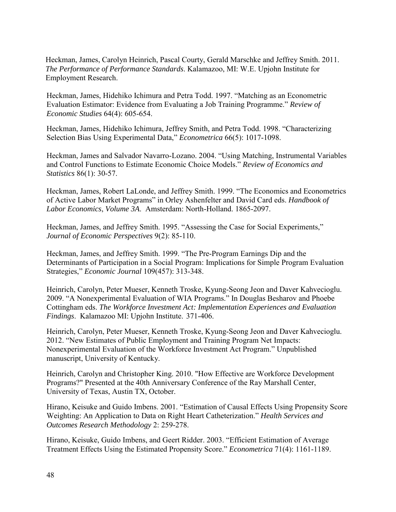Heckman, James, Carolyn Heinrich, Pascal Courty, Gerald Marschke and Jeffrey Smith. 2011. *The Performance of Performance Standards*. Kalamazoo, MI: W.E. Upjohn Institute for Employment Research.

Heckman, James, Hidehiko Ichimura and Petra Todd. 1997. "Matching as an Econometric Evaluation Estimator: Evidence from Evaluating a Job Training Programme." *Review of Economic Studies* 64(4): 605-654.

Heckman, James, Hidehiko Ichimura, Jeffrey Smith, and Petra Todd. 1998. "Characterizing Selection Bias Using Experimental Data," *Econometrica* 66(5): 1017-1098.

Heckman, James and Salvador Navarro-Lozano. 2004. "Using Matching, Instrumental Variables and Control Functions to Estimate Economic Choice Models." *Review of Economics and Statistics* 86(1): 30-57.

Heckman, James, Robert LaLonde, and Jeffrey Smith. 1999. "The Economics and Econometrics of Active Labor Market Programs" in Orley Ashenfelter and David Card eds. *Handbook of Labor Economics*, *Volume 3A*. Amsterdam: North-Holland. 1865-2097.

Heckman, James, and Jeffrey Smith. 1995. "Assessing the Case for Social Experiments," *Journal of Economic Perspectives* 9(2): 85-110.

Heckman, James, and Jeffrey Smith. 1999. "The Pre-Program Earnings Dip and the Determinants of Participation in a Social Program: Implications for Simple Program Evaluation Strategies," *Economic Journal* 109(457): 313-348.

Heinrich, Carolyn, Peter Mueser, Kenneth Troske, Kyung-Seong Jeon and Daver Kahvecioglu. 2009. "A Nonexperimental Evaluation of WIA Programs." In Douglas Besharov and Phoebe Cottingham eds. *The Workforce Investment Act: Implementation Experiences and Evaluation Findings*. Kalamazoo MI: Upjohn Institute. 371-406.

Heinrich, Carolyn, Peter Mueser, Kenneth Troske, Kyung-Seong Jeon and Daver Kahvecioglu. 2012. "New Estimates of Public Employment and Training Program Net Impacts: Nonexperimental Evaluation of the Workforce Investment Act Program." Unpublished manuscript, University of Kentucky.

Heinrich, Carolyn and Christopher King. 2010. "How Effective are Workforce Development Programs?" Presented at the 40th Anniversary Conference of the Ray Marshall Center, University of Texas, Austin TX, October.

Hirano, Keisuke and Guido Imbens. 2001. "Estimation of Causal Effects Using Propensity Score Weighting: An Application to Data on Right Heart Catheterization." *Health Services and Outcomes Research Methodology* 2: 259-278.

Hirano, Keisuke, Guido Imbens, and Geert Ridder. 2003. "Efficient Estimation of Average Treatment Effects Using the Estimated Propensity Score." *Econometrica* 71(4): 1161-1189.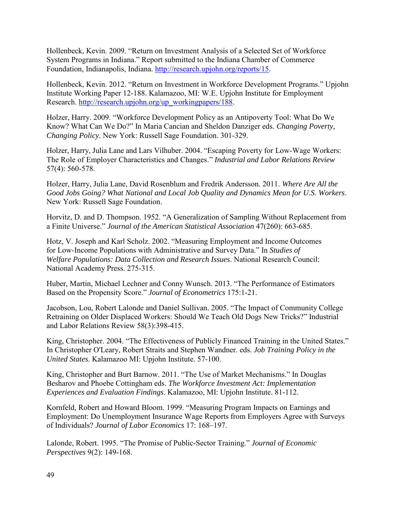Hollenbeck, Kevin. 2009. "Return on Investment Analysis of a Selected Set of Workforce System Programs in Indiana." Report submitted to the Indiana Chamber of Commerce Foundation, Indianapolis, Indiana. [http://research.upjohn.org/reports/15.](http://research.upjohn.org/reports/15)

Hollenbeck, Kevin. 2012. "Return on Investment in Workforce Development Programs." Upjohn Institute Working Paper 12-188. Kalamazoo, MI: W.E. Upjohn Institute for Employment Research. [http://research.upjohn.org/up\\_workingpapers/188.](http://research.upjohn.org/up_workingpapers/188)

Holzer, Harry. 2009. "Workforce Development Policy as an Antipoverty Tool: What Do We Know? What Can We Do?" In Maria Cancian and Sheldon Danziger eds. *Changing Poverty, Changing Policy*. New York: Russell Sage Foundation. 301-329.

Holzer, Harry, Julia Lane and Lars Vilhuber. 2004. "Escaping Poverty for Low-Wage Workers: The Role of Employer Characteristics and Changes." *Industrial and Labor Relations Review* 57(4): 560-578.

Holzer, Harry, Julia Lane, David Rosenblum and Fredrik Andersson. 2011. *Where Are All the Good Jobs Going? What National and Local Job Quality and Dynamics Mean for U.S. Workers*. New York: Russell Sage Foundation.

Horvitz, D. and D. Thompson. 1952. "A Generalization of Sampling Without Replacement from a Finite Universe." *Journal of the American Statistical Association* 47(260): 663-685.

Hotz, V. Joseph and Karl Scholz. 2002. "Measuring Employment and Income Outcomes for Low-Income Populations with Administrative and Survey Data." In *Studies of Welfare Populations: Data Collection and Research Issues*. National Research Council: National Academy Press. 275-315.

Huber, Martin, Michael Lechner and Conny Wunsch. 2013. "The Performance of Estimators Based on the Propensity Score." *Journal of Econometrics* 175:1-21.

Jacobson, Lou, Robert Lalonde and Daniel Sullivan. 2005. "The Impact of Community College Retraining on Older Displaced Workers: Should We Teach Old Dogs New Tricks?" Industrial and Labor Relations Review 58(3):398-415.

King, Christopher. 2004. "The Effectiveness of Publicly Financed Training in the United States." In Christopher O'Leary, Robert Straits and Stephen Wandner. eds. *Job Training Policy in the United States*. Kalamazoo MI: Upjohn Institute. 57-100.

King, Christopher and Burt Barnow. 2011. "The Use of Market Mechanisms." In Douglas Besharov and Phoebe Cottingham eds. *The Workforce Investment Act: Implementation Experiences and Evaluation Findings*. Kalamazoo, MI: Upjohn Institute. 81-112.

Kornfeld, Robert and Howard Bloom. 1999. "Measuring Program Impacts on Earnings and Employment: Do Unemployment Insurance Wage Reports from Employers Agree with Surveys of Individuals? *Journal of Labor Economics* 17: 168–197.

Lalonde, Robert. 1995. "The Promise of Public-Sector Training." *Journal of Economic Perspectives* 9(2): 149-168.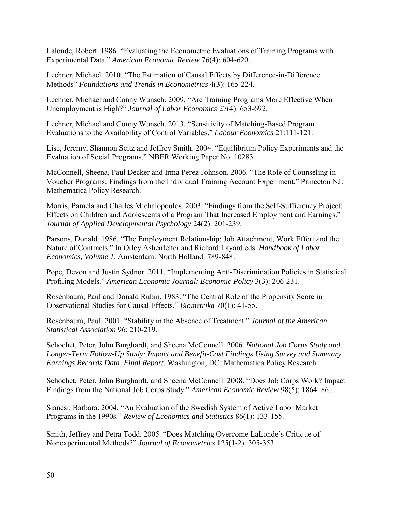Lalonde, Robert. 1986. "Evaluating the Econometric Evaluations of Training Programs with Experimental Data." *American Economic Review* 76(4): 604-620.

Lechner, Michael. 2010. "The Estimation of Causal Effects by Difference-in-Difference Methods" *Foundations and Trends in Econometrics* 4(3): 165-224.

Lechner, Michael and Conny Wunsch. 2009. "Are Training Programs More Effective When Unemployment is High?" *Journal of Labor Economics* 27(4): 653-692.

Lechner, Michael and Conny Wunsch. 2013. "Sensitivity of Matching-Based Program Evaluations to the Availability of Control Variables." *Labour Economics* 21:111-121.

Lise, Jeremy, Shannon Seitz and Jeffrey Smith. 2004. "Equilibrium Policy Experiments and the Evaluation of Social Programs." NBER Working Paper No. 10283.

McConnell, Sheena, Paul Decker and Irma Perez-Johnson. 2006. "The Role of Counseling in Voucher Programs: Findings from the Individual Training Account Experiment." Princeton NJ: Mathematica Policy Research.

Morris, Pamela and Charles Michalopoulos. 2003. "Findings from the Self-Sufficiency Project: Effects on Children and Adolescents of a Program That Increased Employment and Earnings." *Journal of Applied Developmental Psychology* 24(2): 201-239.

Parsons, Donald. 1986. "The Employment Relationship: Job Attachment, Work Effort and the Nature of Contracts." In Orley Ashenfelter and Richard Layard eds. *Handbook of Labor Economics, Volume 1*. Amsterdam: North Holland. 789-848.

Pope, Devon and Justin Sydnor. 2011. "Implementing Anti-Discrimination Policies in Statistical Profiling Models." *American Economic Journal: Economic Policy* 3(3): 206-231.

Rosenbaum, Paul and Donald Rubin. 1983. "The Central Role of the Propensity Score in Observational Studies for Causal Effects." *Biometrika* 70(1): 41-55.

Rosenbaum, Paul. 2001. "Stability in the Absence of Treatment." *Journal of the American Statistical Association* 96: 210-219.

Schochet, Peter, John Burghardt, and Sheena McConnell. 2006. *National Job Corps Study and Longer-Term Follow-Up Study: Impact and Benefit-Cost Findings Using Survey and Summary Earnings Records Data, Final Report*. Washington, DC: Mathematica Policy Research.

Schochet, Peter, John Burghardt, and Sheena McConnell. 2008. "Does Job Corps Work? Impact Findings from the National Job Corps Study." *American Economic Review* 98(5): 1864–86.

Sianesi, Barbara. 2004. "An Evaluation of the Swedish System of Active Labor Market Programs in the 1990s." *Review of Economics and Statistics* 86(1): 133-155.

Smith, Jeffrey and Petra Todd. 2005. "Does Matching Overcome LaLonde's Critique of Nonexperimental Methods?" *Journal of Econometrics* 125(1-2): 305-353.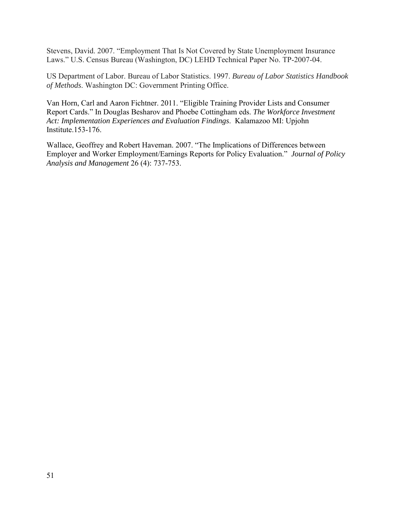Stevens, David. 2007. "Employment That Is Not Covered by State Unemployment Insurance Laws." U.S. Census Bureau (Washington, DC) LEHD Technical Paper No. TP-2007-04.

US Department of Labor. Bureau of Labor Statistics. 1997. *Bureau of Labor Statistics Handbook of Methods*. Washington DC: Government Printing Office.

Van Horn, Carl and Aaron Fichtner. 2011. "Eligible Training Provider Lists and Consumer Report Cards." In Douglas Besharov and Phoebe Cottingham eds. *The Workforce Investment Act: Implementation Experiences and Evaluation Findings*. Kalamazoo MI: Upjohn Institute.153-176.

Wallace, Geoffrey and Robert Haveman. 2007. "The Implications of Differences between Employer and Worker Employment/Earnings Reports for Policy Evaluation." *Journal of Policy Analysis and Management* 26 (4): 737-753.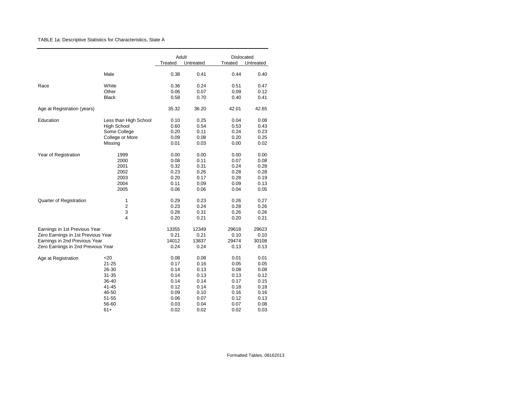### TABLE 1a: Descriptive Statistics for Characteristics, State A

|                                    |                       | Adult   | Untreated | <b>Dislocated</b><br>Treated |           |
|------------------------------------|-----------------------|---------|-----------|------------------------------|-----------|
|                                    |                       | Treated |           |                              | Untreated |
|                                    | Male                  | 0.38    | 0.41      | 0.44                         | 0.40      |
| Race                               | White                 | 0.36    | 0.24      | 0.51                         | 0.47      |
|                                    | Other                 | 0.06    | 0.07      | 0.09                         | 0.12      |
|                                    | <b>Black</b>          | 0.58    | 0.70      | 0.40                         | 0.41      |
| Age at Registration (years)        |                       | 35.32   | 36.20     | 42.01                        | 42.65     |
| Education                          | Less than High School | 0.10    | 0.25      | 0.04                         | 0.08      |
|                                    | <b>High School</b>    | 0.60    | 0.54      | 0.53                         | 0.43      |
|                                    | Some College          | 0.20    | 0.11      | 0.24                         | 0.23      |
|                                    | College or More       | 0.09    | 0.08      | 0.20                         | 0.25      |
|                                    | Missing               | 0.01    | 0.03      | 0.00                         | 0.02      |
| Year of Registration               | 1999                  | 0.00    | 0.00      | 0.00                         | 0.00      |
|                                    | 2000                  | 0.08    | 0.11      | 0.07                         | 0.08      |
|                                    | 2001                  | 0.32    | 0.31      | 0.24                         | 0.28      |
|                                    | 2002                  | 0.23    | 0.26      | 0.28                         | 0.28      |
|                                    | 2003                  | 0.20    | 0.17      | 0.28                         | 0.19      |
|                                    | 2004                  | 0.11    | 0.09      | 0.09                         | 0.13      |
|                                    | 2005                  | 0.06    | 0.06      | 0.04                         | 0.05      |
| Quarter of Registration            | 1                     | 0.29    | 0.23      | 0.26                         | 0.27      |
|                                    | $\overline{c}$        | 0.23    | 0.24      | 0.28                         | 0.26      |
|                                    | 3                     | 0.28    | 0.31      | 0.26                         | 0.26      |
|                                    | 4                     | 0.20    | 0.21      | 0.20                         | 0.21      |
| Earnings in 1st Previous Year      |                       | 13355   | 12349     | 29618                        | 29623     |
| Zero Earnings in 1st Previous Year |                       | 0.21    | 0.21      | 0.10                         | 0.10      |
| Earnings in 2nd Previous Year      |                       | 14012   | 13837     | 29474                        | 30108     |
| Zero Earnings in 2nd Previous Year |                       | 0.24    | 0.24      | 0.13                         | 0.13      |
| Age at Registration                | $<$ 20                | 0.08    | 0.08      | 0.01                         | 0.01      |
|                                    | $21 - 25$             | 0.17    | 0.16      | 0.05                         | 0.05      |
|                                    | 26-30                 | 0.14    | 0.13      | 0.08                         | 0.08      |
|                                    | $31 - 35$             | 0.14    | 0.13      | 0.13                         | 0.12      |
|                                    | 36-40                 | 0.14    | 0.14      | 0.17                         | 0.15      |
|                                    | 41-45                 | 0.12    | 0.14      | 0.18                         | 0.18      |
|                                    | 46-50                 | 0.09    | 0.10      | 0.16                         | 0.16      |
|                                    | 51-55                 | 0.06    | 0.07      | 0.12                         | 0.13      |
|                                    | 56-60                 | 0.03    | 0.04      | 0.07                         | 0.08      |
|                                    | 61+                   | 0.02    | 0.02      | 0.02                         | 0.03      |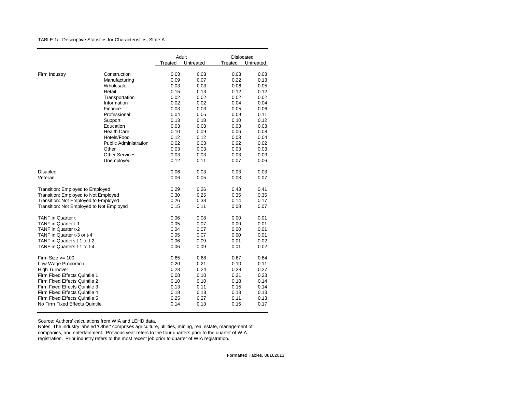TABLE 1a: Descriptive Statistics for Characteristics, State A

|                                          |                              | Adult   |           |         | Dislocated |
|------------------------------------------|------------------------------|---------|-----------|---------|------------|
|                                          |                              | Treated | Untreated | Treated | Untreated  |
| Firm Industry                            | Construction                 | 0.03    | 0.03      | 0.03    | 0.03       |
|                                          | Manufacturing                | 0.09    | 0.07      | 0.22    | 0.13       |
|                                          | Wholesale                    | 0.03    | 0.03      | 0.06    | 0.05       |
|                                          | Retail                       | 0.15    | 0.13      | 0.12    | 0.12       |
|                                          | Transportation               | 0.02    | 0.02      | 0.02    | 0.02       |
|                                          | Information                  | 0.02    | 0.02      | 0.04    | 0.04       |
|                                          | Finance                      | 0.03    | 0.03      | 0.05    | 0.06       |
|                                          | Professional                 | 0.04    | 0.05      | 0.09    | 0.11       |
|                                          | Support                      | 0.13    | 0.18      | 0.10    | 0.12       |
|                                          | Education                    | 0.03    | 0.03      | 0.03    | 0.03       |
|                                          | <b>Health Care</b>           | 0.10    | 0.09      | 0.06    | 0.08       |
|                                          | Hotels/Food                  | 0.12    | 0.12      | 0.03    | 0.04       |
|                                          | <b>Public Administration</b> | 0.02    | 0.03      | 0.02    | 0.02       |
|                                          | Other                        | 0.03    | 0.03      | 0.03    | 0.03       |
|                                          | <b>Other Services</b>        | 0.03    | 0.03      | 0.03    | 0.03       |
|                                          | Unemployed                   | 0.12    | 0.11      | 0.07    | 0.06       |
| <b>Disabled</b>                          |                              | 0.06    | 0.03      | 0.03    | 0.03       |
| Veteran                                  |                              | 0.06    | 0.05      | 0.08    | 0.07       |
| Transition: Employed to Employed         |                              | 0.29    | 0.26      | 0.43    | 0.41       |
| Transition: Employed to Not Employed     |                              | 0.30    | 0.25      | 0.35    | 0.35       |
| Transition: Not Employed to Employed     |                              | 0.26    | 0.38      | 0.14    | 0.17       |
| Transition: Not Employed to Not Employed |                              | 0.15    | 0.11      | 0.08    | 0.07       |
|                                          |                              |         |           |         |            |
| <b>TANF</b> in Quarter t                 |                              | 0.06    | 0.08      | 0.00    | 0.01       |
| TANF in Quarter t-1                      |                              | 0.05    | 0.07      | 0.00    | 0.01       |
| TANF in Quarter t-2                      |                              | 0.04    | 0.07      | 0.00    | 0.01       |
| TANF in Quarter t-3 or t-4               |                              | 0.05    | 0.07      | 0.00    | 0.01       |
| TANF in Quarters t-1 to t-2              |                              | 0.06    | 0.09      | 0.01    | 0.02       |
| TANF in Quarters t-1 to t-4              |                              | 0.06    | 0.09      | 0.01    | 0.02       |
| Firm Size $\ge$ 100                      |                              | 0.65    | 0.68      | 0.67    | 0.64       |
| Low-Wage Proportion                      |                              | 0.20    | 0.21      | 0.10    | 0.11       |
| <b>High Turnover</b>                     |                              | 0.23    | 0.24      | 0.28    | 0.27       |
| Firm Fixed Effects Quintile 1            |                              | 0.08    | 0.10      | 0.21    | 0.23       |
| Firm Fixed Effects Quintile 2            |                              | 0.10    | 0.10      | 0.18    | 0.14       |
| Firm Fixed Effects Quintile 3            |                              | 0.13    | 0.11      | 0.15    | 0.14       |
| Firm Fixed Effects Quintile 4            |                              | 0.18    | 0.18      | 0.13    | 0.13       |
| Firm Fixed Effects Quintile 5            |                              | 0.25    | 0.27      | 0.11    | 0.13       |
| No Firm Fixed Effects Quintile           |                              | 0.14    | 0.13      | 0.15    | 0.17       |

Source: Authors' calculations from WIA and LEHD data.

Notes: The industry labeled 'Other' comprises agriculture, utilities, mining, real estate, management of companies, and entertainment. Previous year refers to the four quarters prior to the quarter of WIA registration. Prior industry refers to the most recent job prior to quarter of WIA registration.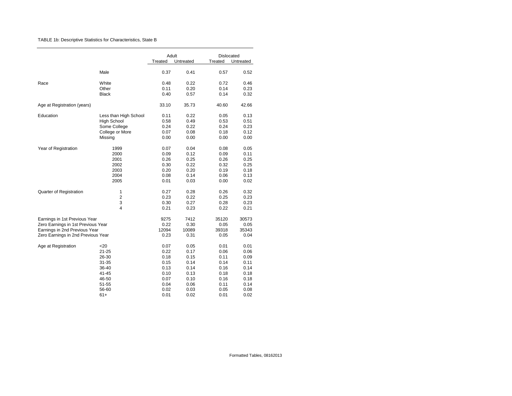### TABLE 1b: Descriptive Statistics for Characteristics, State B

|                                    |                       | Adult   |           | Dislocated |           |
|------------------------------------|-----------------------|---------|-----------|------------|-----------|
|                                    |                       | Treated | Untreated | Treated    | Untreated |
|                                    | Male                  | 0.37    | 0.41      | 0.57       | 0.52      |
| Race                               | White                 | 0.48    | 0.22      | 0.72       | 0.46      |
|                                    | Other                 | 0.11    | 0.20      | 0.14       | 0.23      |
|                                    | <b>Black</b>          | 0.40    | 0.57      | 0.14       | 0.32      |
| Age at Registration (years)        |                       | 33.10   | 35.73     | 40.60      | 42.66     |
| Education                          | Less than High School | 0.11    | 0.22      | 0.05       | 0.13      |
|                                    | <b>High School</b>    | 0.58    | 0.49      | 0.53       | 0.51      |
|                                    | Some College          | 0.24    | 0.22      | 0.24       | 0.23      |
|                                    | College or More       | 0.07    | 0.08      | 0.18       | 0.12      |
|                                    | Missing               | 0.00    | 0.00      | 0.00       | 0.00      |
| Year of Registration               | 1999                  | 0.07    | 0.04      | 0.08       | 0.05      |
|                                    | 2000                  | 0.09    | 0.12      | 0.09       | 0.11      |
|                                    | 2001                  | 0.26    | 0.25      | 0.26       | 0.25      |
|                                    | 2002                  | 0.30    | 0.22      | 0.32       | 0.25      |
|                                    | 2003                  | 0.20    | 0.20      | 0.19       | 0.18      |
|                                    | 2004                  | 0.08    | 0.14      | 0.06       | 0.13      |
|                                    | 2005                  | 0.01    | 0.03      | 0.00       | 0.02      |
| Quarter of Registration            | $\mathbf{1}$          | 0.27    | 0.28      | 0.26       | 0.32      |
|                                    | $\overline{2}$        | 0.23    | 0.22      | 0.25       | 0.23      |
|                                    | 3                     | 0.30    | 0.27      | 0.28       | 0.23      |
|                                    | 4                     | 0.21    | 0.23      | 0.22       | 0.21      |
| Earnings in 1st Previous Year      |                       | 9275    | 7412      | 35120      | 30573     |
| Zero Earnings in 1st Previous Year |                       | 0.22    | 0.30      | 0.05       | 0.05      |
| Earnings in 2nd Previous Year      |                       | 12094   | 10089     | 39318      | 35343     |
| Zero Earnings in 2nd Previous Year |                       | 0.23    | 0.31      | 0.05       | 0.04      |
| Age at Registration                | $<$ 20                | 0.07    | 0.05      | 0.01       | 0.01      |
|                                    | 21-25                 | 0.22    | 0.17      | 0.06       | 0.06      |
|                                    | 26-30                 | 0.18    | 0.15      | 0.11       | 0.09      |
|                                    | 31-35                 | 0.15    | 0.14      | 0.14       | 0.11      |
|                                    | 36-40                 | 0.13    | 0.14      | 0.16       | 0.14      |
|                                    | $41 - 45$             | 0.10    | 0.13      | 0.18       | 0.18      |
|                                    | 46-50                 | 0.07    | 0.10      | 0.16       | 0.18      |
|                                    | 51-55                 | 0.04    | 0.06      | 0.11       | 0.14      |
|                                    | 56-60                 | 0.02    | 0.03      | 0.05       | 0.08      |
|                                    | $61+$                 | 0.01    | 0.02      | 0.01       | 0.02      |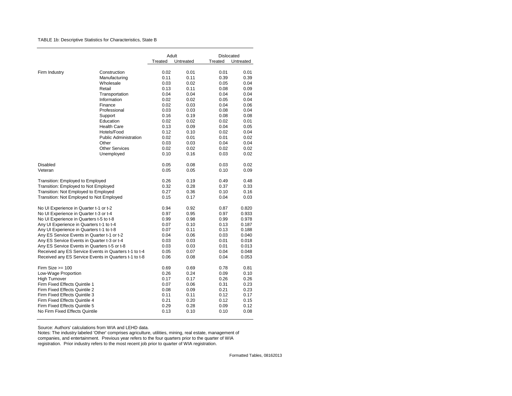### TABLE 1b: Descriptive Statistics for Characteristics, State B

|                                                       |                              |         |                    | Dislocated |           |  |  |
|-------------------------------------------------------|------------------------------|---------|--------------------|------------|-----------|--|--|
|                                                       |                              | Treated | Adult<br>Untreated | Treated    |           |  |  |
|                                                       |                              |         |                    |            | Untreated |  |  |
| Firm Industry                                         | Construction                 | 0.02    | 0.01               | 0.01       | 0.01      |  |  |
|                                                       | Manufacturing                | 0.11    | 0.11               | 0.39       | 0.39      |  |  |
|                                                       | Wholesale                    | 0.03    | 0.02               | 0.05       | 0.04      |  |  |
|                                                       | Retail                       | 0.13    | 0.11               | 0.08       | 0.09      |  |  |
|                                                       | Transportation               | 0.04    | 0.04               | 0.04       | 0.04      |  |  |
|                                                       | Information                  | 0.02    | 0.02               | 0.05       | 0.04      |  |  |
|                                                       | Finance                      | 0.02    | 0.03               | 0.04       | 0.06      |  |  |
|                                                       | Professional                 | 0.03    | 0.03               | 0.08       | 0.04      |  |  |
|                                                       | Support                      | 0.16    | 0.19               | 0.08       | 0.08      |  |  |
|                                                       | Education                    | 0.02    | 0.02               | 0.02       | 0.01      |  |  |
|                                                       | <b>Health Care</b>           | 0.13    | 0.09               | 0.04       | 0.05      |  |  |
|                                                       | Hotels/Food                  | 0.12    | 0.10               | 0.02       | 0.04      |  |  |
|                                                       | <b>Public Administration</b> | 0.02    | 0.01               | 0.01       | 0.02      |  |  |
|                                                       | Other                        | 0.03    | 0.03               | 0.04       | 0.04      |  |  |
|                                                       | <b>Other Services</b>        | 0.02    | 0.02               | 0.02       | 0.02      |  |  |
|                                                       | Unemployed                   | 0.10    | 0.16               | 0.03       | 0.02      |  |  |
|                                                       |                              |         |                    |            |           |  |  |
| Disabled                                              |                              | 0.05    | 0.08               | 0.03       | 0.02      |  |  |
| Veteran                                               |                              | 0.05    | 0.05               | 0.10       | 0.09      |  |  |
|                                                       |                              |         |                    |            |           |  |  |
| Transition: Employed to Employed                      |                              | 0.26    | 0.19               | 0.49       | 0.48      |  |  |
| Transition: Employed to Not Employed                  |                              | 0.32    | 0.28               | 0.37       | 0.33      |  |  |
| Transition: Not Employed to Employed                  |                              | 0.27    | 0.36               | 0.10       | 0.16      |  |  |
| Transition: Not Employed to Not Employed              |                              | 0.15    | 0.17               | 0.04       | 0.03      |  |  |
|                                                       |                              |         |                    |            |           |  |  |
| No UI Experience in Quarter t-1 or t-2                |                              | 0.94    | 0.92               | 0.87       | 0.820     |  |  |
| No UI Experience in Quarter t-3 or t-4                |                              | 0.97    | 0.95               | 0.97       | 0.933     |  |  |
| No UI Experience in Quarters t-5 to t-8               |                              | 0.99    | 0.98               | 0.99       | 0.978     |  |  |
| Any UI Experience in Quarters t-1 to t-4              |                              | 0.07    | 0.10               | 0.13       | 0.187     |  |  |
| Any UI Experience in Quarters t-1 to t-8              |                              | 0.07    | 0.11               | 0.13       | 0.188     |  |  |
| Any ES Service Events in Quarter t-1 or t-2           |                              | 0.04    | 0.06               | 0.03       | 0.040     |  |  |
| Any ES Service Events in Quarter t-3 or t-4           |                              | 0.03    | 0.03               | 0.01       | 0.018     |  |  |
| Any ES Service Events in Quarters t-5 or t-8          |                              | 0.03    | 0.03               | 0.01       | 0.013     |  |  |
| Received any ES Service Events in Quarters t-1 to t-4 |                              | 0.05    | 0.07               | 0.04       | 0.048     |  |  |
| Received any ES Service Events in Quarters t-1 to t-8 |                              | 0.06    | 0.08               | 0.04       | 0.053     |  |  |
| Firm Size $>= 100$                                    |                              | 0.69    | 0.69               | 0.78       | 0.81      |  |  |
|                                                       |                              | 0.26    | 0.24               | 0.09       | 0.10      |  |  |
| Low-Wage Proportion                                   |                              | 0.17    | 0.17               | 0.26       | 0.26      |  |  |
| <b>High Turnover</b><br>Firm Fixed Effects Quintile 1 |                              | 0.07    | 0.06               | 0.31       | 0.23      |  |  |
| Firm Fixed Effects Quintile 2                         |                              | 0.08    | 0.09               | 0.21       | 0.23      |  |  |
| Firm Fixed Effects Quintile 3                         |                              | 0.11    | 0.11               | 0.12       | 0.17      |  |  |
| Firm Fixed Effects Quintile 4                         |                              | 0.21    | 0.20               | 0.12       | 0.15      |  |  |
| Firm Fixed Effects Quintile 5                         |                              | 0.29    | 0.28               | 0.09       | 0.12      |  |  |
| No Firm Fixed Effects Quintile                        |                              | 0.13    | 0.10               | 0.10       | 0.08      |  |  |
|                                                       |                              |         |                    |            |           |  |  |

Source: Authors' calculations from WIA and LEHD data.

Notes: The industry labeled 'Other' comprises agriculture, utilities, mining, real estate, management of companies, and entertainment. Previous year refers to the four quarters prior to the quarter of WIA registration. Prior industry refers to the most recent job prior to quarter of WIA registration.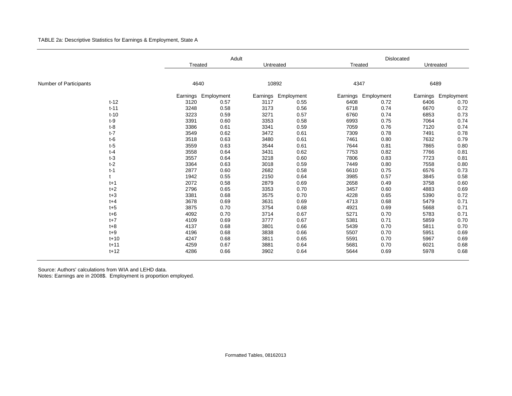TABLE 2a: Descriptive Statistics for Earnings & Employment, State A

|                        |          | Adult    |            |           |                     | Dislocated |            |           |            |  |  |
|------------------------|----------|----------|------------|-----------|---------------------|------------|------------|-----------|------------|--|--|
|                        |          | Treated  |            | Untreated |                     | Treated    |            | Untreated |            |  |  |
|                        |          |          |            |           |                     |            |            |           |            |  |  |
| Number of Participants |          | 4640     |            | 10892     |                     | 4347       |            | 6489      |            |  |  |
|                        |          | Earnings | Employment |           | Earnings Employment | Earnings   | Employment | Earnings  | Employment |  |  |
|                        | $t-12$   | 3120     | 0.57       | 3117      | 0.55                | 6408       | 0.72       | 6406      | 0.70       |  |  |
|                        | $t - 11$ | 3248     | 0.58       | 3173      | 0.56                | 6718       | 0.74       | 6670      | 0.72       |  |  |
|                        | $t-10$   | 3223     | 0.59       | 3271      | 0.57                | 6760       | 0.74       | 6853      | 0.73       |  |  |
|                        | $t-9$    | 3391     | 0.60       | 3353      | 0.58                | 6993       | 0.75       | 7064      | 0.74       |  |  |
|                        | $t-8$    | 3386     | 0.61       | 3341      | 0.59                | 7059       | 0.76       | 7120      | 0.74       |  |  |
| $t-7$                  |          | 3549     | 0.62       | 3472      | 0.61                | 7309       | 0.78       | 7491      | 0.78       |  |  |
|                        | $t-6$    | 3518     | 0.63       | 3480      | 0.61                | 7461       | 0.80       | 7632      | 0.79       |  |  |
| $t-5$                  |          | 3559     | 0.63       | 3544      | 0.61                | 7644       | 0.81       | 7865      | 0.80       |  |  |
| $t-4$                  |          | 3558     | 0.64       | 3431      | 0.62                | 7753       | 0.82       | 7766      | 0.81       |  |  |
| $t-3$                  |          | 3557     | 0.64       | 3218      | 0.60                | 7806       | 0.83       | 7723      | 0.81       |  |  |
| $t-2$                  |          | 3364     | 0.63       | 3018      | 0.59                | 7449       | 0.80       | 7558      | 0.80       |  |  |
| $t-1$                  |          | 2877     | 0.60       | 2682      | 0.58                | 6610       | 0.75       | 6576      | 0.73       |  |  |
|                        |          | 1942     | 0.55       | 2150      | 0.64                | 3985       | 0.57       | 3845      | 0.58       |  |  |
|                        | $t+1$    | 2072     | 0.58       | 2879      | 0.69                | 2658       | 0.49       | 3758      | 0.60       |  |  |
|                        | $t+2$    | 2796     | 0.65       | 3353      | 0.70                | 3457       | 0.60       | 4883      | 0.69       |  |  |
|                        | $t + 3$  | 3381     | 0.68       | 3575      | 0.70                | 4228       | 0.65       | 5390      | 0.72       |  |  |
|                        | $t + 4$  | 3678     | 0.69       | 3631      | 0.69                | 4713       | 0.68       | 5479      | 0.71       |  |  |
|                        | $t+5$    | 3875     | 0.70       | 3754      | 0.68                | 4921       | 0.69       | 5668      | 0.71       |  |  |
|                        | $t + 6$  | 4092     | 0.70       | 3714      | 0.67                | 5271       | 0.70       | 5783      | 0.71       |  |  |
|                        | $t+7$    | 4109     | 0.69       | 3777      | 0.67                | 5381       | 0.71       | 5859      | 0.70       |  |  |
|                        | $t+8$    | 4137     | 0.68       | 3801      | 0.66                | 5439       | 0.70       | 5811      | 0.70       |  |  |
|                        | $t+9$    | 4196     | 0.68       | 3838      | 0.66                | 5507       | 0.70       | 5951      | 0.69       |  |  |
|                        | $t + 10$ | 4247     | 0.68       | 3811      | 0.65                | 5591       | 0.70       | 5967      | 0.69       |  |  |
|                        | $t + 11$ | 4259     | 0.67       | 3881      | 0.64                | 5681       | 0.70       | 6021      | 0.68       |  |  |
|                        | $t + 12$ | 4286     | 0.66       | 3902      | 0.64                | 5644       | 0.69       | 5978      | 0.68       |  |  |

Source: Authors' calculations from WIA and LEHD data.

Notes: Earnings are in 2008\$. Employment is proportion employed.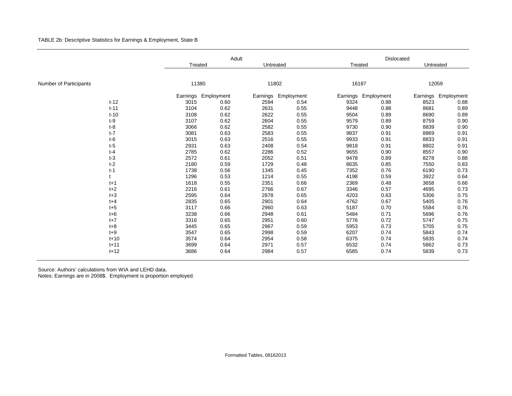## TABLE 2b: Descriptive Statistics for Earnings & Employment, State B

|                        |          | Adult    |            |           |            |          | Dislocated |           |                     |  |  |
|------------------------|----------|----------|------------|-----------|------------|----------|------------|-----------|---------------------|--|--|
|                        |          | Treated  |            | Untreated |            | Treated  |            | Untreated |                     |  |  |
|                        |          |          |            |           |            |          |            |           |                     |  |  |
| Number of Participants |          | 11380    |            | 11802     |            | 16187    |            | 12059     |                     |  |  |
|                        |          | Earnings | Employment | Earnings  | Employment | Earnings | Employment |           | Earnings Employment |  |  |
|                        | $t-12$   | 3015     | 0.60       | 2594      | 0.54       | 9324     | 0.88       | 8523      | 0.88                |  |  |
|                        | $t - 11$ | 3104     | 0.62       | 2631      | 0.55       | 9448     | 0.88       | 8681      | 0.89                |  |  |
|                        | $t-10$   | 3108     | 0.62       | 2622      | 0.55       | 9504     | 0.89       | 8690      | 0.89                |  |  |
|                        | $t-9$    | 3107     | 0.62       | 2604      | 0.55       | 9579     | 0.89       | 8759      | 0.90                |  |  |
|                        | $t-8$    | 3066     | 0.62       | 2582      | 0.55       | 9730     | 0.90       | 8839      | 0.90                |  |  |
|                        | $t-7$    | 3081     | 0.63       | 2583      | 0.55       | 9837     | 0.91       | 8869      | 0.91                |  |  |
|                        | $t-6$    | 3015     | 0.63       | 2516      | 0.55       | 9933     | 0.91       | 8833      | 0.91                |  |  |
|                        | $t-5$    | 2931     | 0.63       | 2408      | 0.54       | 9818     | 0.91       | 8802      | 0.91                |  |  |
|                        | $t-4$    | 2785     | 0.62       | 2286      | 0.52       | 9655     | 0.90       | 8557      | 0.90                |  |  |
|                        | $t-3$    | 2572     | 0.61       | 2052      | 0.51       | 9478     | 0.89       | 8278      | 0.88                |  |  |
|                        | $t-2$    | 2180     | 0.59       | 1729      | 0.48       | 8635     | 0.85       | 7550      | 0.83                |  |  |
|                        | $t-1$    | 1738     | 0.56       | 1345      | 0.45       | 7352     | 0.76       | 6190      | 0.73                |  |  |
|                        |          | 1296     | 0.53       | 1214      | 0.55       | 4198     | 0.59       | 3922      | 0.64                |  |  |
|                        | $t+1$    | 1618     | 0.55       | 2351      | 0.66       | 2369     | 0.48       | 3658      | 0.66                |  |  |
|                        | $t+2$    | 2216     | 0.61       | 2766      | 0.67       | 3346     | 0.57       | 4695      | 0.73                |  |  |
|                        | $t + 3$  | 2595     | 0.64       | 2878      | 0.65       | 4203     | 0.63       | 5306      | 0.75                |  |  |
|                        | $t + 4$  | 2835     | 0.65       | 2901      | 0.64       | 4762     | 0.67       | 5405      | 0.76                |  |  |
|                        | $t+5$    | 3117     | 0.66       | 2960      | 0.63       | 5187     | 0.70       | 5584      | 0.76                |  |  |
|                        | $t + 6$  | 3238     | 0.66       | 2948      | 0.61       | 5484     | 0.71       | 5696      | 0.76                |  |  |
|                        | $t+7$    | 3316     | 0.65       | 2951      | 0.60       | 5776     | 0.72       | 5747      | 0.75                |  |  |
|                        | $t + 8$  | 3445     | 0.65       | 2967      | 0.59       | 5953     | 0.73       | 5705      | 0.75                |  |  |
|                        | $t+9$    | 3547     | 0.65       | 2998      | 0.59       | 6207     | 0.74       | 5843      | 0.74                |  |  |
|                        | $t + 10$ | 3574     | 0.64       | 2954      | 0.58       | 6375     | 0.74       | 5835      | 0.74                |  |  |
|                        | $t + 11$ | 3699     | 0.64       | 2971      | 0.57       | 6532     | 0.74       | 5862      | 0.73                |  |  |
|                        | $t + 12$ | 3686     | 0.64       | 2984      | 0.57       | 6585     | 0.74       | 5839      | 0.73                |  |  |

Source: Authors' calculations from WIA and LEHD data.

Notes: Earnings are in 2008\$. Employment is proportion employed.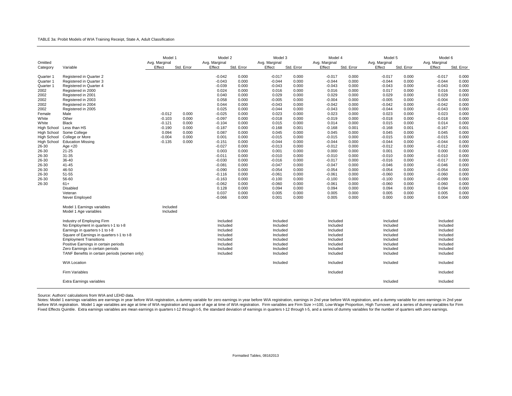#### TABLE 3a: Probit Models of WIA Training Receipt, State A, Adult Classification

| Omitted                                                                                                                                                                                                                                                                        |                                                                                                                                                                                                                                                                                                                                                                                                                                                                | Model 1<br>Avg. Marginal                                                                |                                                                           | Model 2<br>Avg. Marginal                                                                                                                                                                                                                                                                         |                                                                                                                                                                                                                                                      | Model 3<br>Avg. Marginal                                                                                                                                                                                                                                                                               |                                                                                                                                                                                                                                                      | Model 4<br>Avg. Marginal                                                                                                                                                                                                                                                                               |                                                                                                                                                                                                                                                      | Model 5<br>Avg. Marginal                                                                                                                                                                                                                                                                               |                                                                                                                                                                                                                                                      | Model 6<br>Avg. Marginal                                                                                                                                                                                                                                                                               |                                                                                                                                                                                                                                                      |
|--------------------------------------------------------------------------------------------------------------------------------------------------------------------------------------------------------------------------------------------------------------------------------|----------------------------------------------------------------------------------------------------------------------------------------------------------------------------------------------------------------------------------------------------------------------------------------------------------------------------------------------------------------------------------------------------------------------------------------------------------------|-----------------------------------------------------------------------------------------|---------------------------------------------------------------------------|--------------------------------------------------------------------------------------------------------------------------------------------------------------------------------------------------------------------------------------------------------------------------------------------------|------------------------------------------------------------------------------------------------------------------------------------------------------------------------------------------------------------------------------------------------------|--------------------------------------------------------------------------------------------------------------------------------------------------------------------------------------------------------------------------------------------------------------------------------------------------------|------------------------------------------------------------------------------------------------------------------------------------------------------------------------------------------------------------------------------------------------------|--------------------------------------------------------------------------------------------------------------------------------------------------------------------------------------------------------------------------------------------------------------------------------------------------------|------------------------------------------------------------------------------------------------------------------------------------------------------------------------------------------------------------------------------------------------------|--------------------------------------------------------------------------------------------------------------------------------------------------------------------------------------------------------------------------------------------------------------------------------------------------------|------------------------------------------------------------------------------------------------------------------------------------------------------------------------------------------------------------------------------------------------------|--------------------------------------------------------------------------------------------------------------------------------------------------------------------------------------------------------------------------------------------------------------------------------------------------------|------------------------------------------------------------------------------------------------------------------------------------------------------------------------------------------------------------------------------------------------------|
| Category<br>Quarter 1<br>Quarter 1<br>Quarter 1<br>2002<br>2002<br>2002<br>2002<br>2002<br>Female<br>White<br>White<br>High School<br>High School<br><b>High School</b><br><b>High School</b><br>26-30<br>26-30<br>26-30<br>26-30<br>26-30<br>26-30<br>26-30<br>26-30<br>26-30 | Variable<br>Registered in Quarter 2<br>Registered in Quarter 3<br>Registered in Quarter 4<br>Registered in 2000<br>Registered in 2001<br>Registered in 2003<br>Registered in 2004<br>Registered in 2005<br>Male<br>Other<br><b>Black</b><br>Less than HS<br>Some College<br>College or More<br><b>Education Missing</b><br>Age $<$ 20<br>$21 - 25$<br>31-35<br>36-40<br>$41 - 45$<br>46-50<br>51-55<br>56-60<br>$61+$<br><b>Disabled</b><br>Veteran            | Effect<br>$-0.012$<br>$-0.103$<br>$-0.121$<br>$-0.190$<br>0.094<br>$-0.004$<br>$-0.135$ | Std. Error<br>0.000<br>0.000<br>0.000<br>0.000<br>0.000<br>0.000<br>0.000 | Effect<br>$-0.042$<br>$-0.043$<br>$-0.039$<br>0.024<br>0.040<br>0.058<br>0.044<br>0.025<br>$-0.025$<br>$-0.097$<br>$-0.104$<br>$-0.187$<br>0.087<br>0.001<br>$-0.151$<br>$-0.027$<br>0.003<br>$-0.011$<br>$-0.030$<br>$-0.081$<br>$-0.090$<br>$-0.116$<br>$-0.163$<br>$-0.062$<br>0.128<br>0.037 | Std. Error<br>0.000<br>0.000<br>0.000<br>0.000<br>0.000<br>0.000<br>0.000<br>0.000<br>0.000<br>0.000<br>0.000<br>0.000<br>0.000<br>0.000<br>0.000<br>0.000<br>0.000<br>0.000<br>0.000<br>0.000<br>0.000<br>0.000<br>0.000<br>0.000<br>0.000<br>0.000 | Effect<br>$-0.017$<br>$-0.044$<br>$-0.043$<br>0.016<br>0.029<br>$-0.005$<br>$-0.043$<br>$-0.044$<br>0.023<br>$-0.018$<br>0.015<br>$-0.168$<br>0.045<br>$-0.015$<br>$-0.044$<br>$-0.013$<br>0.001<br>$-0.010$<br>$-0.016$<br>$-0.047$<br>$-0.054$<br>$-0.061$<br>$-0.100$<br>$-0.060$<br>0.094<br>0.005 | Std. Error<br>0.000<br>0.000<br>0.000<br>0.000<br>0.000<br>0.000<br>0.000<br>0.000<br>0.000<br>0.000<br>0.000<br>0.001<br>0.000<br>0.000<br>0.000<br>0.000<br>0.000<br>0.000<br>0.000<br>0.000<br>0.000<br>0.000<br>0.000<br>0.000<br>0.000<br>0.000 | Effect<br>$-0.017$<br>$-0.044$<br>$-0.043$<br>0.016<br>0.029<br>$-0.004$<br>$-0.042$<br>$-0.043$<br>0.023<br>$-0.019$<br>0.014<br>$-0.168$<br>0.045<br>$-0.015$<br>$-0.044$<br>$-0.012$<br>0.000<br>$-0.010$<br>$-0.017$<br>$-0.047$<br>$-0.054$<br>$-0.061$<br>$-0.100$<br>$-0.061$<br>0.094<br>0.005 | Std. Error<br>0.000<br>0.000<br>0.000<br>0.000<br>0.000<br>0.000<br>0.000<br>0.000<br>0.000<br>0.000<br>0.000<br>0.001<br>0.000<br>0.000<br>0.000<br>0.000<br>0.000<br>0.000<br>0.000<br>0.000<br>0.000<br>0.000<br>0.000<br>0.000<br>0.000<br>0.000 | Effect<br>$-0.017$<br>$-0.044$<br>$-0.043$<br>0.017<br>0.029<br>$-0.005$<br>$-0.042$<br>$-0.044$<br>0.023<br>$-0.018$<br>0.015<br>$-0.168$<br>0.045<br>$-0.015$<br>$-0.044$<br>$-0.012$<br>0.001<br>$-0.010$<br>$-0.016$<br>$-0.046$<br>$-0.054$<br>$-0.060$<br>$-0.100$<br>$-0.060$<br>0.094<br>0.005 | Std. Error<br>0.000<br>0.000<br>0.000<br>0.000<br>0.000<br>0.000<br>0.000<br>0.000<br>0.000<br>0.000<br>0.000<br>0.001<br>0.000<br>0.000<br>0.000<br>0.000<br>0.000<br>0.000<br>0.000<br>0.000<br>0.000<br>0.000<br>0.000<br>0.000<br>0.000<br>0.000 | Effect<br>$-0.017$<br>$-0.044$<br>$-0.043$<br>0.016<br>0.029<br>$-0.004$<br>$-0.042$<br>$-0.043$<br>0.023<br>$-0.018$<br>0.014<br>$-0.167$<br>0.045<br>$-0.015$<br>$-0.044$<br>$-0.012$<br>0.000<br>$-0.010$<br>$-0.017$<br>$-0.046$<br>$-0.054$<br>$-0.060$<br>$-0.099$<br>$-0.060$<br>0.094<br>0.005 | Std. Error<br>0.000<br>0.000<br>0.000<br>0.000<br>0.000<br>0.000<br>0.000<br>0.000<br>0.000<br>0.000<br>0.000<br>0.001<br>0.000<br>0.000<br>0.000<br>0.000<br>0.000<br>0.000<br>0.000<br>0.000<br>0.000<br>0.000<br>0.000<br>0.000<br>0.000<br>0.000 |
|                                                                                                                                                                                                                                                                                | Never Employed<br>Model 1 Earnings variables<br>Model 1 Age variables<br>Industry of Employing Firm<br>No Employment in quarters t-1 to t-8<br>Earnings in quarters t-1 to t-8<br>Square of Earnings in quarters t-1 to t-8<br><b>Employment Transitions</b><br>Positive Earnings in certain periods<br>Zero Earnings in certain periods<br>TANF Benefits in certain periods (women only)<br><b>WIA Location</b><br>Firm Variables<br>Extra Earnings variables | Included<br>Included                                                                    |                                                                           | $-0.066$<br>Included<br>Included<br>Included<br>Included<br>Included<br>Included<br>Included<br>Included                                                                                                                                                                                         | 0.000                                                                                                                                                                                                                                                | 0.001<br>Included<br>Included<br>Included<br>Included<br>Included<br>Included<br>Included<br>Included<br>Included                                                                                                                                                                                      | 0.000                                                                                                                                                                                                                                                | 0.005<br>Included<br>Included<br>Included<br>Included<br>Included<br>Included<br>Included<br>Included<br>Included<br>Included                                                                                                                                                                          | 0.000                                                                                                                                                                                                                                                | 0.000<br>Included<br>Included<br>Included<br>Included<br>Included<br>Included<br>Included<br>Included<br>Included<br>Included                                                                                                                                                                          | 0.000                                                                                                                                                                                                                                                | 0.004<br>Included<br>Included<br>Included<br>Included<br>Included<br>Included<br>Included<br>Included<br>Included<br>Included<br>Included                                                                                                                                                              | 0.000                                                                                                                                                                                                                                                |

Source: Authors' calculations from WIA and LEHD data.

Notes: Model 1 earnings variables are earnings in year before WIA registration, a dummy variable for zero earnings in year before WIA registration, earnings in 2nd year before WIA registration, earnings in 2nd year before before WIA registration. Model 1 age variables are age at time of WIA registration and square of age at time of WIA registration. Firm variables are Firm Size >=100, Low-Wage Proportion, High Turnover, and a series of dumm Fixed Effects Quintile. Extra earnings variables are mean earnings in quarters t-12 through t-5, the standard deviation of earnings in quarters t-12 through t-5, and a series of dummy variables for the number of quarters w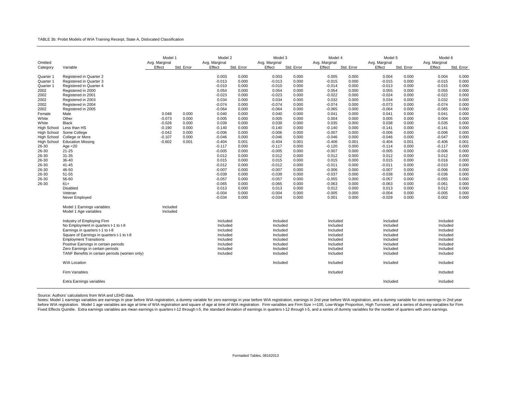#### TABLE 3b: Probit Models of WIA Training Receipt, State A, Dislocated Classification

| Omitted<br>Variable<br>Category                                                                                                                                                                                                                                                                                                                                                                                                                                                                                                                                                                                                                                                                           | Model 1<br>Avg. Marginal<br>Effect                                            | Std. Error                                                  | Model 2<br>Avg. Marginal<br>Effect                                                                                                                                                                                                                                            | Std. Error                                                                                                                                                                                                                    | Model 3<br>Avg. Marginal<br>Effect                                                                                                                                                                                                                                            | Std. Error                                                                                                                                                                                                                    | Model 4<br>Avg. Marginal<br>Effect                                                                                                                                                                                                                                            | Std. Error                                                                                                                                                                                                                    | Model 5<br>Avg. Marginal<br>Effect                                                                                                                                                                                                                                            | Std. Error                                                                                                                                                                                                                    | Model 6<br>Avg. Marginal<br>Effect                                                                                                                                                                                                                                            | Std. Error                                                                                                                                                                                                                    |
|-----------------------------------------------------------------------------------------------------------------------------------------------------------------------------------------------------------------------------------------------------------------------------------------------------------------------------------------------------------------------------------------------------------------------------------------------------------------------------------------------------------------------------------------------------------------------------------------------------------------------------------------------------------------------------------------------------------|-------------------------------------------------------------------------------|-------------------------------------------------------------|-------------------------------------------------------------------------------------------------------------------------------------------------------------------------------------------------------------------------------------------------------------------------------|-------------------------------------------------------------------------------------------------------------------------------------------------------------------------------------------------------------------------------|-------------------------------------------------------------------------------------------------------------------------------------------------------------------------------------------------------------------------------------------------------------------------------|-------------------------------------------------------------------------------------------------------------------------------------------------------------------------------------------------------------------------------|-------------------------------------------------------------------------------------------------------------------------------------------------------------------------------------------------------------------------------------------------------------------------------|-------------------------------------------------------------------------------------------------------------------------------------------------------------------------------------------------------------------------------|-------------------------------------------------------------------------------------------------------------------------------------------------------------------------------------------------------------------------------------------------------------------------------|-------------------------------------------------------------------------------------------------------------------------------------------------------------------------------------------------------------------------------|-------------------------------------------------------------------------------------------------------------------------------------------------------------------------------------------------------------------------------------------------------------------------------|-------------------------------------------------------------------------------------------------------------------------------------------------------------------------------------------------------------------------------|
| Registered in Quarter 2<br>Quarter 1<br>Quarter 1<br>Registered in Quarter 3<br>Quarter 1<br>Registered in Quarter 4<br>2002<br>Registered in 2000<br>2002<br>Registered in 2001<br>2002<br>Registered in 2003<br>2002<br>Registered in 2004<br>2002<br>Registered in 2005<br>Female<br>Male<br>White<br>Other<br>White<br><b>Black</b><br><b>High School</b><br>Less than HS<br><b>High School</b><br>Some College<br>College or More<br><b>High School</b><br><b>High School</b><br><b>Education Missing</b><br>26-30<br>Age $<$ 20<br>26-30<br>$21 - 25$<br>31-35<br>26-30<br>26-30<br>36-40<br>26-30<br>$41 - 45$<br>26-30<br>46-50<br>26-30<br>51-55<br>26-30<br>56-60<br>26-30<br>$61+$<br>Disabled | 0.048<br>$-0.073$<br>$-0.028$<br>$-0.190$<br>$-0.042$<br>$-0.107$<br>$-0.602$ | 0.000<br>0.000<br>0.000<br>0.000<br>0.000<br>0.000<br>0.001 | 0.003<br>$-0.013$<br>$-0.010$<br>0.054<br>$-0.023$<br>0.034<br>$-0.074$<br>$-0.064$<br>0.040<br>0.005<br>0.039<br>$-0.140$<br>$-0.006$<br>$-0.046$<br>$-0.404$<br>$-0.117$<br>$-0.005$<br>0.012<br>0.015<br>$-0.012$<br>$-0.007$<br>$-0.039$<br>$-0.057$<br>$-0.065$<br>0.013 | 0.000<br>0.000<br>0.000<br>0.000<br>0.000<br>0.000<br>0.000<br>0.000<br>0.000<br>0.000<br>0.000<br>0.000<br>0.000<br>0.000<br>0.001<br>0.000<br>0.000<br>0.000<br>0.000<br>0.000<br>0.000<br>0.000<br>0.000<br>0.000<br>0.000 | 0.003<br>$-0.013$<br>$-0.010$<br>0.054<br>$-0.023$<br>0.034<br>$-0.074$<br>$-0.064$<br>0.040<br>0.005<br>0.039<br>$-0.140$<br>$-0.006$<br>$-0.046$<br>$-0.404$<br>$-0.117$<br>$-0.005$<br>0.012<br>0.015<br>$-0.012$<br>$-0.007$<br>$-0.039$<br>$-0.057$<br>$-0.065$<br>0.013 | 0.000<br>0.000<br>0.000<br>0.000<br>0.000<br>0.000<br>0.000<br>0.000<br>0.000<br>0.000<br>0.000<br>0.000<br>0.000<br>0.000<br>0.001<br>0.000<br>0.000<br>0.000<br>0.000<br>0.000<br>0.000<br>0.000<br>0.000<br>0.000<br>0.000 | 0.005<br>$-0.015$<br>$-0.014$<br>0.054<br>$-0.022$<br>0.032<br>$-0.074$<br>$-0.065$<br>0.041<br>0.004<br>0.035<br>$-0.140$<br>$-0.007$<br>$-0.046$<br>$-0.406$<br>$-0.120$<br>$-0.007$<br>0.012<br>0.015<br>$-0.011$<br>$-0.006$<br>$-0.037$<br>$-0.055$<br>$-0.063$<br>0.012 | 0.000<br>0.000<br>0.000<br>0.000<br>0.000<br>0.000<br>0.000<br>0.000<br>0.000<br>0.000<br>0.000<br>0.000<br>0.000<br>0.000<br>0.001<br>0.000<br>0.000<br>0.000<br>0.000<br>0.000<br>0.000<br>0.000<br>0.000<br>0.000<br>0.000 | 0.004<br>$-0.015$<br>$-0.013$<br>0.055<br>$-0.024$<br>0.034<br>$-0.073$<br>$-0.064$<br>0.041<br>0.005<br>0.038<br>$-0.141$<br>$-0.006$<br>$-0.046$<br>$-0.404$<br>$-0.114$<br>$-0.005$<br>0.012<br>0.015<br>$-0.011$<br>$-0.007$<br>$-0.038$<br>$-0.057$<br>$-0.063$<br>0.013 | 0.000<br>0.000<br>0.000<br>0.000<br>0.000<br>0.000<br>0.000<br>0.000<br>0.000<br>0.000<br>0.000<br>0.000<br>0.000<br>0.000<br>0.001<br>0.000<br>0.000<br>0.000<br>0.000<br>0.000<br>0.000<br>0.000<br>0.000<br>0.000<br>0.000 | 0.004<br>$-0.015$<br>$-0.015$<br>0.055<br>$-0.022$<br>0.032<br>$-0.074$<br>$-0.065$<br>0.041<br>0.004<br>0.035<br>$-0.141$<br>$-0.006$<br>$-0.047$<br>$-0.406$<br>$-0.117$<br>$-0.006$<br>0.012<br>0.016<br>$-0.010$<br>$-0.006$<br>$-0.036$<br>$-0.055$<br>$-0.061$<br>0.012 | 0.000<br>0.000<br>0.000<br>0.000<br>0.000<br>0.000<br>0.000<br>0.000<br>0.000<br>0.000<br>0.000<br>0.000<br>0.000<br>0.000<br>0.001<br>0.000<br>0.000<br>0.000<br>0.000<br>0.000<br>0.000<br>0.000<br>0.000<br>0.000<br>0.000 |
| Veteran<br>Never Employed<br>Model 1 Earnings variables                                                                                                                                                                                                                                                                                                                                                                                                                                                                                                                                                                                                                                                   | Included                                                                      |                                                             | $-0.004$<br>$-0.034$                                                                                                                                                                                                                                                          | 0.000<br>0.000                                                                                                                                                                                                                | $-0.004$<br>$-0.034$                                                                                                                                                                                                                                                          | 0.000<br>0.000                                                                                                                                                                                                                | $-0.005$<br>0.001                                                                                                                                                                                                                                                             | 0.000<br>0.000                                                                                                                                                                                                                | $-0.004$<br>$-0.029$                                                                                                                                                                                                                                                          | 0.000<br>0.000                                                                                                                                                                                                                | $-0.005$<br>0.002                                                                                                                                                                                                                                                             | 0.000<br>0.000                                                                                                                                                                                                                |
| Model 1 Age variables<br>Industry of Employing Firm<br>No Employment in quarters t-1 to t-8<br>Earnings in quarters t-1 to t-8<br>Square of Earnings in quarters t-1 to t-8<br><b>Employment Transitions</b><br>Positive Earnings in certain periods<br>Zero Earnings in certain periods<br>TANF Benefits in certain periods (women only)<br><b>WIA Location</b><br><b>Firm Variables</b><br>Extra Earnings variables                                                                                                                                                                                                                                                                                     | Included                                                                      |                                                             | Included<br>Included<br>Included<br>Included<br>Included<br>Included<br>Included<br>Included                                                                                                                                                                                  |                                                                                                                                                                                                                               | Included<br>Included<br>Included<br>Included<br>Included<br>Included<br>Included<br>Included<br>Included                                                                                                                                                                      |                                                                                                                                                                                                                               | Included<br>Included<br>Included<br>Included<br>Included<br>Included<br>Included<br>Included<br>Included<br>Included                                                                                                                                                          |                                                                                                                                                                                                                               | Included<br>Included<br>Included<br>Included<br>Included<br>Included<br>Included<br>Included<br>Included<br>Included                                                                                                                                                          |                                                                                                                                                                                                                               | Included<br>Included<br>Included<br>Included<br>Included<br>Included<br>Included<br>Included<br>Included<br>Included<br>Included                                                                                                                                              |                                                                                                                                                                                                                               |

Source: Authors' calculations from WIA and LEHD data.

Notes: Model 1 earnings variables are earnings in year before WIA registration, a dummy variable for zero earnings in year before WIA registration, earnings in 2nd year before WIA registration, earnings in 2nd year before before WIA registration. Model 1 age variables are age at time of WIA registration and square of age at time of WIA registration. Firm variables are Firm Size >=100, Low-Wage Proportion, High Turnover, and a series of dumm Fixed Effects Quintile. Extra earnings variables are mean earnings in quarters t-12 through t-5, the standard deviation of earnings in quarters t-12 through t-5, and a series of dummy variables for the number of quarters w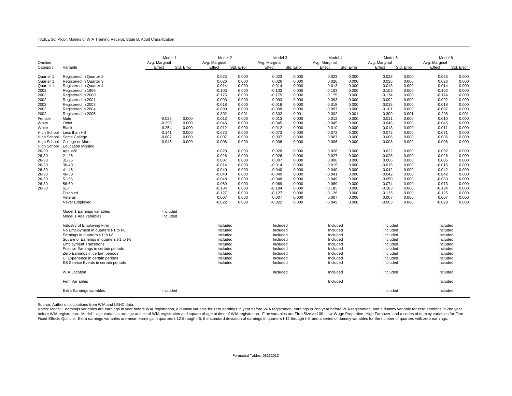### TABLE 3c: Probit Models of WIA Training Receipt, State B, Adult Classification

| Omitted                                                                                                                                                                                                                  |                                                                                                                                                                                                                                                                                                                                                                                             | Model 1<br>Avg. Marginal                                             |                                                                            | Model 2<br>Avg. Marginal                                                                                                                                                                                             |                                                                                                                                                                                  | Model 3<br>Avg. Marginal                                                                                                                                                                                             |                                                                                                                                                                                  | Model 4<br>Avg. Marginal                                                                                                                                                                                             |                                                                                                                                                                                  | Model 5<br>Avg. Marginal                                                                                                                                                                                             |                                                                                                                                                                                  | Model 6<br>Avg. Marginal                                                                                                                                                                                             |                                                                                                                                                                                  |
|--------------------------------------------------------------------------------------------------------------------------------------------------------------------------------------------------------------------------|---------------------------------------------------------------------------------------------------------------------------------------------------------------------------------------------------------------------------------------------------------------------------------------------------------------------------------------------------------------------------------------------|----------------------------------------------------------------------|----------------------------------------------------------------------------|----------------------------------------------------------------------------------------------------------------------------------------------------------------------------------------------------------------------|----------------------------------------------------------------------------------------------------------------------------------------------------------------------------------|----------------------------------------------------------------------------------------------------------------------------------------------------------------------------------------------------------------------|----------------------------------------------------------------------------------------------------------------------------------------------------------------------------------|----------------------------------------------------------------------------------------------------------------------------------------------------------------------------------------------------------------------|----------------------------------------------------------------------------------------------------------------------------------------------------------------------------------|----------------------------------------------------------------------------------------------------------------------------------------------------------------------------------------------------------------------|----------------------------------------------------------------------------------------------------------------------------------------------------------------------------------|----------------------------------------------------------------------------------------------------------------------------------------------------------------------------------------------------------------------|----------------------------------------------------------------------------------------------------------------------------------------------------------------------------------|
| Category                                                                                                                                                                                                                 | Variable                                                                                                                                                                                                                                                                                                                                                                                    | Effect                                                               | Std. Error                                                                 | Effect                                                                                                                                                                                                               | Std. Error                                                                                                                                                                       | Effect                                                                                                                                                                                                               | Std. Error                                                                                                                                                                       | Effect                                                                                                                                                                                                               | Std. Error                                                                                                                                                                       | Effect                                                                                                                                                                                                               | Std. Error                                                                                                                                                                       | Effect                                                                                                                                                                                                               | Std. Error                                                                                                                                                                       |
| Quarter 1<br>Quarter 1<br>Quarter 1<br>2002<br>2002<br>2002<br>2002<br>2002<br>2002<br>Female<br>White<br>White<br>High School<br>High School<br>High School<br>High School<br>26-30<br>26-30<br>26-30<br>26-30<br>26-30 | Registered in Quarter 2<br>Registered in Quarter 3<br>Registered in Quarter 4<br>Registered in 1999<br>Registered in 2000<br>Registered in 2001<br>Registered in 2003<br>Registered in 2004<br>Registered in 2005<br>Male<br>Other<br><b>Black</b><br>Less than HS<br>Some College<br>College or More<br><b>Education Missing</b><br>Age $<$ 20<br>$21 - 25$<br>31-35<br>36-40<br>$41 - 45$ | $-0.022$<br>$-0.296$<br>$-0.254$<br>$-0.141$<br>$-0.007$<br>$-0.046$ | 0.000<br>0.000<br>0.000<br>0.000<br>0.000<br>0.000<br>$\ddot{\phantom{1}}$ | 0.023<br>0.026<br>0.014<br>$-0.103$<br>$-0.175$<br>$-0.093$<br>$-0.018$<br>$-0.098$<br>$-0.302$<br>0.013<br>$-0.045$<br>$-0.012$<br>$-0.073$<br>0.007<br>$-0.006$<br>0.028<br>0.026<br>0.007<br>$-0.014$<br>$-0.040$ | 0.000<br>0.000<br>0.000<br>0.000<br>0.000<br>0.000<br>0.000<br>0.000<br>0.001<br>0.000<br>0.000<br>0.000<br>0.000<br>0.000<br>0.000<br>0.000<br>0.000<br>0.000<br>0.000<br>0.000 | 0.023<br>0.026<br>0.014<br>$-0.103$<br>$-0.175$<br>$-0.093$<br>$-0.018$<br>$-0.098$<br>$-0.302$<br>0.013<br>$-0.045$<br>$-0.012$<br>$-0.073$<br>0.007<br>$-0.006$<br>0.028<br>0.026<br>0.007<br>$-0.014$<br>$-0.040$ | 0.000<br>0.000<br>0.000<br>0.000<br>0.000<br>0.000<br>0.000<br>0.000<br>0.001<br>0.000<br>0.000<br>0.000<br>0.000<br>0.000<br>0.000<br>0.000<br>0.000<br>0.000<br>0.000<br>0.000 | 0.023<br>0.026<br>0.013<br>$-0.103$<br>$-0.175$<br>$-0.093$<br>$-0.018$<br>$-0.097$<br>$-0.302$<br>0.012<br>$-0.045$<br>$-0.010$<br>$-0.072$<br>0.007<br>$-0.006$<br>0.028<br>0.027<br>0.006<br>$-0.015$<br>$-0.040$ | 0.000<br>0.000<br>0.000<br>0.000<br>0.000<br>0.000<br>0.000<br>0.000<br>0.001<br>0.000<br>0.000<br>0.000<br>0.000<br>0.000<br>0.000<br>0.000<br>0.000<br>0.000<br>0.000<br>0.000 | 0.023<br>0.025<br>0.013<br>$-0.102$<br>$-0.174$<br>$-0.092$<br>$-0.018$<br>$-0.101$<br>$-0.309$<br>0.011<br>$-0.045$<br>$-0.013$<br>$-0.072$<br>0.006<br>$-0.008$<br>0.032<br>0.028<br>0.006<br>$-0.015$<br>$-0.042$ | 0.000<br>0.000<br>0.000<br>0.000<br>0.000<br>0.000<br>0.000<br>0.000<br>0.001<br>0.000<br>0.000<br>0.000<br>0.000<br>0.000<br>0.000<br>0.000<br>0.000<br>0.000<br>0.000<br>0.000 | 0.023<br>0.026<br>0.014<br>$-0.102$<br>$-0.174$<br>$-0.092$<br>$-0.018$<br>$-0.097$<br>$-0.298$<br>0.010<br>$-0.045$<br>$-0.011$<br>$-0.071$<br>0.006<br>$-0.008$<br>0.032<br>0.028<br>0.005<br>$-0.015$<br>$-0.042$ | 0.000<br>0.000<br>0.000<br>0.000<br>0.000<br>0.000<br>0.000<br>0.000<br>0.001<br>0.000<br>0.000<br>0.000<br>0.000<br>0.000<br>0.000<br>0.000<br>0.000<br>0.000<br>0.000<br>0.000 |
| 26-30<br>26-30<br>26-30<br>26-30                                                                                                                                                                                         | 46-50<br>51-55<br>56-60<br>$61+$<br>Disabled<br>Veteran<br>Never Employed                                                                                                                                                                                                                                                                                                                   |                                                                      |                                                                            | $-0.040$<br>$-0.048$<br>$-0.069$<br>$-0.184$<br>$-0.127$<br>0.007<br>$-0.022$                                                                                                                                        | 0.000<br>0.000<br>0.000<br>0.000<br>0.000<br>0.000<br>0.000                                                                                                                      | $-0.040$<br>$-0.048$<br>$-0.069$<br>$-0.184$<br>$-0.127$<br>0.007<br>$-0.022$                                                                                                                                        | 0.000<br>0.000<br>0.000<br>0.000<br>0.000<br>0.000<br>0.000                                                                                                                      | $-0.041$<br>$-0.049$<br>$-0.069$<br>$-0.185$<br>$-0.126$<br>0.007<br>$-0.049$                                                                                                                                        | 0.000<br>0.000<br>0.000<br>0.000<br>0.000<br>0.000<br>0.000                                                                                                                      | $-0.042$<br>$-0.050$<br>$-0.074$<br>$-0.183$<br>$-0.125$<br>0.007<br>$-0.003$                                                                                                                                        | 0.000<br>0.000<br>0.000<br>0.000<br>0.000<br>0.000<br>0.000                                                                                                                      | $-0.042$<br>$-0.050$<br>$-0.073$<br>$-0.184$<br>$-0.125$<br>0.007<br>$-0.028$                                                                                                                                        | 0.000<br>0.000<br>0.000<br>0.000<br>0.000<br>0.000<br>0.000                                                                                                                      |
|                                                                                                                                                                                                                          | Model 1 Earnings variables<br>Model 1 Age variables                                                                                                                                                                                                                                                                                                                                         | Included<br>Included                                                 |                                                                            |                                                                                                                                                                                                                      |                                                                                                                                                                                  |                                                                                                                                                                                                                      |                                                                                                                                                                                  |                                                                                                                                                                                                                      |                                                                                                                                                                                  |                                                                                                                                                                                                                      |                                                                                                                                                                                  |                                                                                                                                                                                                                      |                                                                                                                                                                                  |
|                                                                                                                                                                                                                          | Industry of Employing Firm<br>No Employment in quarters t-1 to t-8<br>Earnings in quarters t-1 to t-8<br>Square of Earnings in quarters t-1 to t-8<br><b>Employment Transitions</b><br>Positive Earnings in certain periods<br>Zero Earnings in certain periods<br>UI Experience in certain periods<br>ES Service Events in certain periods                                                 |                                                                      |                                                                            | Included<br>Included<br>Included<br>Included<br>Included<br>Included<br>Included<br>Included<br>Included                                                                                                             |                                                                                                                                                                                  | Included<br>Included<br>Included<br>Included<br>Included<br>Included<br>Included<br>Included<br>Included                                                                                                             |                                                                                                                                                                                  | Included<br>Included<br>Included<br>Included<br>Included<br>Included<br>Included<br>Included<br>Included                                                                                                             |                                                                                                                                                                                  | Included<br>Included<br>Included<br>Included<br>Included<br>Included<br>Included<br>Included<br>Included                                                                                                             |                                                                                                                                                                                  | Included<br>Included<br>Included<br>Included<br>Included<br>Included<br>Included<br>Included<br>Included                                                                                                             |                                                                                                                                                                                  |
|                                                                                                                                                                                                                          | <b>WIA Location</b>                                                                                                                                                                                                                                                                                                                                                                         |                                                                      |                                                                            |                                                                                                                                                                                                                      |                                                                                                                                                                                  | Included                                                                                                                                                                                                             |                                                                                                                                                                                  | Included                                                                                                                                                                                                             |                                                                                                                                                                                  | Included                                                                                                                                                                                                             |                                                                                                                                                                                  | Included                                                                                                                                                                                                             |                                                                                                                                                                                  |
|                                                                                                                                                                                                                          | <b>Firm Variables</b>                                                                                                                                                                                                                                                                                                                                                                       |                                                                      |                                                                            |                                                                                                                                                                                                                      |                                                                                                                                                                                  |                                                                                                                                                                                                                      |                                                                                                                                                                                  | Included                                                                                                                                                                                                             |                                                                                                                                                                                  |                                                                                                                                                                                                                      |                                                                                                                                                                                  | Included                                                                                                                                                                                                             |                                                                                                                                                                                  |
|                                                                                                                                                                                                                          | Extra Earnings variables                                                                                                                                                                                                                                                                                                                                                                    | Included                                                             |                                                                            |                                                                                                                                                                                                                      |                                                                                                                                                                                  |                                                                                                                                                                                                                      |                                                                                                                                                                                  |                                                                                                                                                                                                                      |                                                                                                                                                                                  | Included                                                                                                                                                                                                             |                                                                                                                                                                                  | Included                                                                                                                                                                                                             |                                                                                                                                                                                  |

Source: Authors' calculations from WIA and LEHD data.

Notes: Model 1 earnings variables are earnings in year before WIA registration, a dummy variable for zero earnings in year before WIA registration, earnings in 2nd year before WIA registration, and a dummy variable for zer Fixed Effects Quintile. Extra earnings variables are mean earnings in quarters t-12 through t-5, the standard deviation of earnings in quarters t-12 through t-5, and a series of dummy variables for the number of quarters w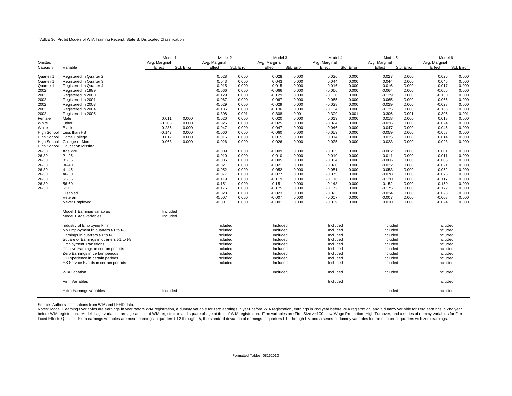#### TABLE 3d: Probit Models of WIA Training Receipt, State B, Dislocated Classification

| Omitted                                                                                                                                                                                                                                                             |                                                                                                                                                                                                                                                                                                                                                                                                                                                               | Model 1<br>Avg. Marginal                                    |                                                               | Model 2<br>Avg. Marginal                                                                                                                                                                                                                                                                        |                                                                                                                                                                                                                                        | Model 3<br>Avg. Marginal                                                                                                                                                                                                                                                                        |                                                                                                                                                                                                                                        | Model 4<br>Avg. Marginal                                                                                                                                                                                                                                                                        |                                                                                                                                                                                                                                        | Model 5<br>Avg. Marginal                                                                                                                                                                                                                                                                        |                                                                                                                                                                                                                                        | Model 6<br>Avg. Marginal                                                                                                                                                                                                                                                                     |                                                                                                                                                                                                                                        |
|---------------------------------------------------------------------------------------------------------------------------------------------------------------------------------------------------------------------------------------------------------------------|---------------------------------------------------------------------------------------------------------------------------------------------------------------------------------------------------------------------------------------------------------------------------------------------------------------------------------------------------------------------------------------------------------------------------------------------------------------|-------------------------------------------------------------|---------------------------------------------------------------|-------------------------------------------------------------------------------------------------------------------------------------------------------------------------------------------------------------------------------------------------------------------------------------------------|----------------------------------------------------------------------------------------------------------------------------------------------------------------------------------------------------------------------------------------|-------------------------------------------------------------------------------------------------------------------------------------------------------------------------------------------------------------------------------------------------------------------------------------------------|----------------------------------------------------------------------------------------------------------------------------------------------------------------------------------------------------------------------------------------|-------------------------------------------------------------------------------------------------------------------------------------------------------------------------------------------------------------------------------------------------------------------------------------------------|----------------------------------------------------------------------------------------------------------------------------------------------------------------------------------------------------------------------------------------|-------------------------------------------------------------------------------------------------------------------------------------------------------------------------------------------------------------------------------------------------------------------------------------------------|----------------------------------------------------------------------------------------------------------------------------------------------------------------------------------------------------------------------------------------|----------------------------------------------------------------------------------------------------------------------------------------------------------------------------------------------------------------------------------------------------------------------------------------------|----------------------------------------------------------------------------------------------------------------------------------------------------------------------------------------------------------------------------------------|
| Category                                                                                                                                                                                                                                                            | Variable                                                                                                                                                                                                                                                                                                                                                                                                                                                      | Effect                                                      | Std. Error                                                    | Effect                                                                                                                                                                                                                                                                                          | Std. Error                                                                                                                                                                                                                             | Effect                                                                                                                                                                                                                                                                                          | Std. Error                                                                                                                                                                                                                             | Effect                                                                                                                                                                                                                                                                                          | Std. Error                                                                                                                                                                                                                             | Effect                                                                                                                                                                                                                                                                                          | Std. Error                                                                                                                                                                                                                             | Effect                                                                                                                                                                                                                                                                                       | Std. Error                                                                                                                                                                                                                             |
| Quarter 1<br>Quarter 1<br>Quarter 1<br>2002<br>2002<br>2002<br>2002<br>2002<br>2002<br>Female<br>White<br>White<br>High School<br>High School<br>High School<br><b>High School</b><br>26-30<br>26-30<br>26-30<br>26-30<br>26-30<br>26-30<br>26-30<br>26-30<br>26-30 | Registered in Quarter 2<br>Registered in Quarter 3<br>Registered in Quarter 4<br>Registered in 1999<br>Registered in 2000<br>Registered in 2001<br>Registered in 2003<br>Registered in 2004<br>Registered in 2005<br>Male<br>Other<br><b>Black</b><br>Less than HS<br>Some College<br>College or More<br><b>Education Missing</b><br>Age $<$ 20<br>$21 - 25$<br>31-35<br>36-40<br>$41 - 45$<br>46-50<br>51-55<br>56-60<br>$61+$<br><b>Disabled</b><br>Veteran | 0.011<br>$-0.203$<br>$-0.285$<br>$-0.143$<br>0.012<br>0.063 | 0.000<br>0.000<br>0.000<br>0.000<br>0.000<br>0.000<br>$\cdot$ | 0.028<br>0.043<br>0.015<br>$-0.066$<br>$-0.129$<br>$-0.067$<br>$-0.029$<br>$-0.136$<br>$-0.308$<br>0.020<br>$-0.025$<br>$-0.047$<br>$-0.060$<br>0.015<br>0.026<br>$-0.009$<br>0.010<br>$-0.005$<br>$-0.021$<br>$-0.052$<br>$-0.077$<br>$-0.119$<br>$-0.151$<br>$-0.175$<br>$-0.023$<br>$-0.007$ | 0.000<br>0.000<br>0.000<br>0.000<br>0.000<br>0.000<br>0.000<br>0.000<br>0.001<br>0.000<br>0.000<br>0.000<br>0.000<br>0.000<br>0.000<br>0.000<br>0.000<br>0.000<br>0.000<br>0.000<br>0.000<br>0.000<br>0.000<br>0.000<br>0.000<br>0.000 | 0.028<br>0.043<br>0.015<br>$-0.066$<br>$-0.129$<br>$-0.067$<br>$-0.029$<br>$-0.136$<br>$-0.308$<br>0.020<br>$-0.025$<br>$-0.047$<br>$-0.060$<br>0.015<br>0.026<br>$-0.009$<br>0.010<br>$-0.005$<br>$-0.021$<br>$-0.052$<br>$-0.077$<br>$-0.119$<br>$-0.151$<br>$-0.175$<br>$-0.023$<br>$-0.007$ | 0.000<br>0.000<br>0.000<br>0.000<br>0.000<br>0.000<br>0.000<br>0.000<br>0.001<br>0.000<br>0.000<br>0.000<br>0.000<br>0.000<br>0.000<br>0.000<br>0.000<br>0.000<br>0.000<br>0.000<br>0.000<br>0.000<br>0.000<br>0.000<br>0.000<br>0.000 | 0.026<br>0.044<br>0.016<br>$-0.066$<br>$-0.130$<br>$-0.065$<br>$-0.028$<br>$-0.134$<br>$-0.309$<br>0.019<br>$-0.024$<br>$-0.046$<br>$-0.059$<br>0.014<br>0.025<br>$-0.005$<br>0.010<br>$-0.004$<br>$-0.020$<br>$-0.051$<br>$-0.075$<br>$-0.116$<br>$-0.148$<br>$-0.172$<br>$-0.023$<br>$-0.007$ | 0.000<br>0.000<br>0.000<br>0.000<br>0.000<br>0.000<br>0.000<br>0.000<br>0.001<br>0.000<br>0.000<br>0.000<br>0.000<br>0.000<br>0.000<br>0.000<br>0.000<br>0.000<br>0.000<br>0.000<br>0.000<br>0.000<br>0.000<br>0.000<br>0.000<br>0.000 | 0.027<br>0.044<br>0.016<br>$-0.064$<br>$-0.129$<br>$-0.065$<br>$-0.029$<br>$-0.135$<br>$-0.306$<br>0.018<br>$-0.026$<br>$-0.047$<br>$-0.059$<br>0.015<br>0.023<br>$-0.002$<br>0.011<br>$-0.006$<br>$-0.022$<br>$-0.053$<br>$-0.078$<br>$-0.120$<br>$-0.152$<br>$-0.175$<br>$-0.024$<br>$-0.007$ | 0.000<br>0.000<br>0.000<br>0.000<br>0.000<br>0.000<br>0.000<br>0.000<br>0.001<br>0.000<br>0.000<br>0.000<br>0.000<br>0.000<br>0.000<br>0.000<br>0.000<br>0.000<br>0.000<br>0.000<br>0.000<br>0.000<br>0.000<br>0.000<br>0.000<br>0.000 | 0.026<br>0.045<br>0.017<br>$-0.065$<br>$-0.130$<br>$-0.065$<br>$-0.028$<br>$-0.133$<br>$-0.306$<br>0.018<br>$-0.024$<br>$-0.045$<br>$-0.058$<br>0.014<br>0.023<br>0.001<br>0.011<br>$-0.005$<br>$-0.021$<br>$-0.052$<br>$-0.076$<br>$-0.117$<br>$-0.150$<br>$-0.172$<br>$-0.023$<br>$-0.008$ | 0.000<br>0.000<br>0.000<br>0.000<br>0.000<br>0.000<br>0.000<br>0.000<br>0.001<br>0.000<br>0.000<br>0.000<br>0.000<br>0.000<br>0.000<br>0.000<br>0.000<br>0.000<br>0.000<br>0.000<br>0.000<br>0.000<br>0.000<br>0.000<br>0.000<br>0.000 |
|                                                                                                                                                                                                                                                                     | Never Employed<br>Model 1 Earnings variables<br>Model 1 Age variables                                                                                                                                                                                                                                                                                                                                                                                         | Included<br>Included                                        |                                                               | $-0.001$                                                                                                                                                                                                                                                                                        | 0.000                                                                                                                                                                                                                                  | $-0.001$                                                                                                                                                                                                                                                                                        | 0.000                                                                                                                                                                                                                                  | $-0.039$                                                                                                                                                                                                                                                                                        | 0.000                                                                                                                                                                                                                                  | 0.010                                                                                                                                                                                                                                                                                           | 0.000                                                                                                                                                                                                                                  | $-0.024$                                                                                                                                                                                                                                                                                     | 0.000                                                                                                                                                                                                                                  |
|                                                                                                                                                                                                                                                                     | Industry of Employing Firm<br>No Employment in quarters t-1 to t-8<br>Earnings in quarters t-1 to t-8<br>Square of Earnings in quarters t-1 to t-8<br><b>Employment Transitions</b><br>Positive Earnings in certain periods<br>Zero Earnings in certain periods<br>UI Experience in certain periods<br>ES Service Events in certain periods<br><b>WIA Location</b><br><b>Firm Variables</b>                                                                   |                                                             |                                                               | Included<br>Included<br>Included<br>Included<br>Included<br>Included<br>Included<br>Included<br>Included                                                                                                                                                                                        |                                                                                                                                                                                                                                        | Included<br>Included<br>Included<br>Included<br>Included<br>Included<br>Included<br>Included<br>Included<br>Included                                                                                                                                                                            |                                                                                                                                                                                                                                        | Included<br>Included<br>Included<br>Included<br>Included<br>Included<br>Included<br>Included<br>Included<br>Included<br>Included                                                                                                                                                                |                                                                                                                                                                                                                                        | Included<br>Included<br>Included<br>Included<br>Included<br>Included<br>Included<br>Included<br>Included<br>Included                                                                                                                                                                            |                                                                                                                                                                                                                                        | Included<br>Included<br>Included<br>Included<br>Included<br>Included<br>Included<br>Included<br>Included<br>Included<br>Included                                                                                                                                                             |                                                                                                                                                                                                                                        |
|                                                                                                                                                                                                                                                                     | Extra Earnings variables                                                                                                                                                                                                                                                                                                                                                                                                                                      | Included                                                    |                                                               |                                                                                                                                                                                                                                                                                                 |                                                                                                                                                                                                                                        |                                                                                                                                                                                                                                                                                                 |                                                                                                                                                                                                                                        |                                                                                                                                                                                                                                                                                                 |                                                                                                                                                                                                                                        | Included                                                                                                                                                                                                                                                                                        |                                                                                                                                                                                                                                        | Included                                                                                                                                                                                                                                                                                     |                                                                                                                                                                                                                                        |

Source: Authors' calculations from WIA and LEHD data.

Notes: Model 1 earnings variables are earnings in year before WIA registration, a dummy variable for zero earnings in year before WIA registration, earnings in 2nd year before WIA registration, and a dummy variable for zer Fixed Effects Quintile. Extra earnings variables are mean earnings in quarters t-12 through t-5, the standard deviation of earnings in quarters t-12 through t-5, and a series of dummy variables for the number of quarters w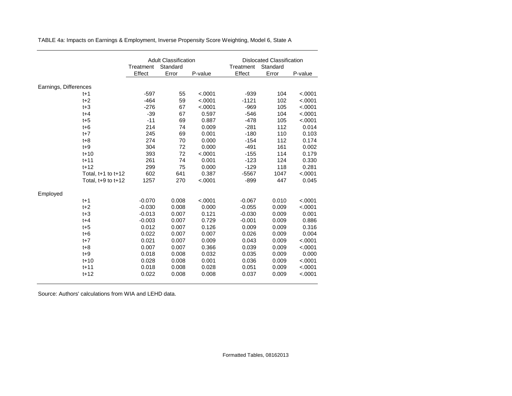|                       |                        |           | <b>Adult Classification</b> |         |           | <b>Dislocated Classification</b> |         |  |  |
|-----------------------|------------------------|-----------|-----------------------------|---------|-----------|----------------------------------|---------|--|--|
|                       |                        | Treatment | Standard                    |         | Treatment | Standard                         |         |  |  |
|                       |                        | Effect    | Error                       | P-value | Effect    | Error                            | P-value |  |  |
| Earnings, Differences |                        |           |                             |         |           |                                  |         |  |  |
|                       | $t+1$                  | $-597$    | 55                          | < .0001 | $-939$    | 104                              | < .0001 |  |  |
|                       | $t+2$                  | $-464$    | 59                          | < .0001 | $-1121$   | 102                              | < .0001 |  |  |
|                       | $t + 3$                | $-276$    | 67                          | < .0001 | $-969$    | 105                              | < .0001 |  |  |
|                       | $t + 4$                | $-39$     | 67                          | 0.597   | $-546$    | 104                              | < .0001 |  |  |
|                       | $t + 5$                | $-11$     | 69                          | 0.887   | $-478$    | 105                              | < .0001 |  |  |
|                       | $t + 6$                | 214       | 74                          | 0.009   | $-281$    | 112                              | 0.014   |  |  |
|                       | $t+7$                  | 245       | 69                          | 0.001   | $-180$    | 110                              | 0.103   |  |  |
|                       | $t + 8$                | 274       | 70                          | 0.000   | $-154$    | 112                              | 0.174   |  |  |
|                       | $t + 9$                | 304       | 72                          | 0.000   | $-491$    | 161                              | 0.002   |  |  |
|                       | $t + 10$               | 393       | 72                          | < .0001 | $-155$    | 114                              | 0.179   |  |  |
|                       | $t + 11$               | 261       | 74                          | 0.001   | $-123$    | 124                              | 0.330   |  |  |
|                       | $t+12$                 | 299       | 75                          | 0.000   | $-129$    | 118                              | 0.281   |  |  |
|                       | Total, $t+1$ to $t+12$ | 602       | 641                         | 0.387   | $-5567$   | 1047                             | < .0001 |  |  |
|                       | Total, $t+9$ to $t+12$ | 1257      | 270                         | < .0001 | $-899$    | 447                              | 0.045   |  |  |
| Employed              |                        |           |                             |         |           |                                  |         |  |  |
|                       | $t+1$                  | $-0.070$  | 0.008                       | < .0001 | $-0.067$  | 0.010                            | < .0001 |  |  |
|                       | $t+2$                  | $-0.030$  | 0.008                       | 0.000   | $-0.055$  | 0.009                            | < .0001 |  |  |
|                       | $t + 3$                | $-0.013$  | 0.007                       | 0.121   | $-0.030$  | 0.009                            | 0.001   |  |  |
|                       | $t + 4$                | $-0.003$  | 0.007                       | 0.729   | $-0.001$  | 0.009                            | 0.886   |  |  |
|                       | $t + 5$                | 0.012     | 0.007                       | 0.126   | 0.009     | 0.009                            | 0.316   |  |  |
|                       | $t + 6$                | 0.022     | 0.007                       | 0.007   | 0.026     | 0.009                            | 0.004   |  |  |
|                       | $t+7$                  | 0.021     | 0.007                       | 0.009   | 0.043     | 0.009                            | < .0001 |  |  |
|                       | $t + 8$                | 0.007     | 0.007                       | 0.366   | 0.039     | 0.009                            | < .0001 |  |  |
|                       | $t + 9$                | 0.018     | 0.008                       | 0.032   | 0.035     | 0.009                            | 0.000   |  |  |
|                       | $t + 10$               | 0.028     | 0.008                       | 0.001   | 0.036     | 0.009                            | < .0001 |  |  |
|                       | $t + 11$               | 0.018     | 0.008                       | 0.028   | 0.051     | 0.009                            | < .0001 |  |  |
|                       | $t+12$                 | 0.022     | 0.008                       | 0.008   | 0.037     | 0.009                            | < .0001 |  |  |

TABLE 4a: Impacts on Earnings & Employment, Inverse Propensity Score Weighting, Model 6, State A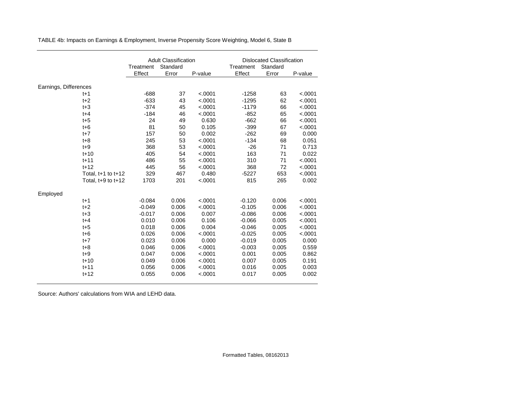|                       |                        |           | <b>Adult Classification</b> |         |           | <b>Dislocated Classification</b> |         |  |  |
|-----------------------|------------------------|-----------|-----------------------------|---------|-----------|----------------------------------|---------|--|--|
|                       |                        | Treatment | Standard                    |         | Treatment | Standard                         |         |  |  |
|                       |                        | Effect    | Error                       | P-value | Effect    | Error                            | P-value |  |  |
| Earnings, Differences |                        |           |                             |         |           |                                  |         |  |  |
| t+1                   |                        | $-688$    | 37                          | < .0001 | $-1258$   | 63                               | < .0001 |  |  |
| $t+2$                 |                        | $-633$    | 43                          | < .0001 | $-1295$   | 62                               | < .0001 |  |  |
| $t + 3$               |                        | $-374$    | 45                          | < .0001 | $-1179$   | 66                               | < .0001 |  |  |
| $t + 4$               |                        | $-184$    | 46                          | < .0001 | $-852$    | 65                               | < .0001 |  |  |
| $t + 5$               |                        | 24        | 49                          | 0.630   | $-662$    | 66                               | < .0001 |  |  |
| $t + 6$               |                        | 81        | 50                          | 0.105   | $-399$    | 67                               | < .0001 |  |  |
| $t+7$                 |                        | 157       | 50                          | 0.002   | $-262$    | 69                               | 0.000   |  |  |
| $t + 8$               |                        | 245       | 53                          | < .0001 | $-134$    | 68                               | 0.051   |  |  |
| $t + 9$               |                        | 368       | 53                          | < .0001 | $-26$     | 71                               | 0.713   |  |  |
| $t + 10$              |                        | 405       | 54                          | < .0001 | 163       | 71                               | 0.022   |  |  |
| $t + 11$              |                        | 486       | 55                          | < .0001 | 310       | 71                               | < .0001 |  |  |
| $t+12$                |                        | 445       | 56                          | < .0001 | 368       | 72                               | < .0001 |  |  |
|                       | Total, $t+1$ to $t+12$ | 329       | 467                         | 0.480   | $-5227$   | 653                              | < .0001 |  |  |
|                       | Total, $t+9$ to $t+12$ | 1703      | 201                         | < .0001 | 815       | 265                              | 0.002   |  |  |
| Employed              |                        |           |                             |         |           |                                  |         |  |  |
| $t+1$                 |                        | $-0.084$  | 0.006                       | < .0001 | $-0.120$  | 0.006                            | < .0001 |  |  |
| $t+2$                 |                        | $-0.049$  | 0.006                       | < .0001 | $-0.105$  | 0.006                            | < .0001 |  |  |
| $t + 3$               |                        | $-0.017$  | 0.006                       | 0.007   | $-0.086$  | 0.006                            | < .0001 |  |  |
| $t + 4$               |                        | 0.010     | 0.006                       | 0.106   | $-0.066$  | 0.005                            | < .0001 |  |  |
| $t + 5$               |                        | 0.018     | 0.006                       | 0.004   | $-0.046$  | 0.005                            | < .0001 |  |  |
| $t + 6$               |                        | 0.026     | 0.006                       | < .0001 | $-0.025$  | 0.005                            | < .0001 |  |  |
| $t+7$                 |                        | 0.023     | 0.006                       | 0.000   | $-0.019$  | 0.005                            | 0.000   |  |  |
| $t + 8$               |                        | 0.046     | 0.006                       | < .0001 | $-0.003$  | 0.005                            | 0.559   |  |  |
| $t + 9$               |                        | 0.047     | 0.006                       | < .0001 | 0.001     | 0.005                            | 0.862   |  |  |
| $t+10$                |                        | 0.049     | 0.006                       | < .0001 | 0.007     | 0.005                            | 0.191   |  |  |
| $t + 11$              |                        | 0.056     | 0.006                       | < .0001 | 0.016     | 0.005                            | 0.003   |  |  |
| $t+12$                |                        | 0.055     | 0.006                       | < .0001 | 0.017     | 0.005                            | 0.002   |  |  |

TABLE 4b: Impacts on Earnings & Employment, Inverse Propensity Score Weighting, Model 6, State B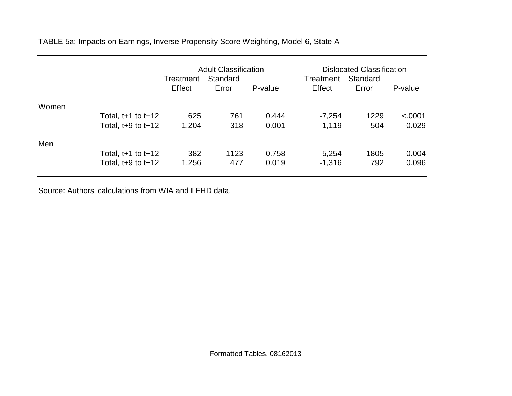TABLE 5a: Impacts on Earnings, Inverse Propensity Score Weighting, Model 6, State A

|       |                        | Treatment | <b>Adult Classification</b><br>Standard |         | <b>Dislocated Classification</b><br>Treatment |       |         |
|-------|------------------------|-----------|-----------------------------------------|---------|-----------------------------------------------|-------|---------|
|       |                        | Effect    | Error                                   | P-value | Effect                                        | Error | P-value |
| Women | Total, $t+1$ to $t+12$ | 625       | 761                                     | 0.444   | $-7,254$                                      | 1229  | < .0001 |
|       | Total, $t+9$ to $t+12$ | 1,204     | 318                                     | 0.001   | $-1,119$                                      | 504   | 0.029   |
| Men   | Total, $t+1$ to $t+12$ | 382       | 1123                                    | 0.758   | $-5,254$                                      | 1805  | 0.004   |
|       | Total, $t+9$ to $t+12$ | 1,256     | 477                                     | 0.019   | $-1,316$                                      | 792   | 0.096   |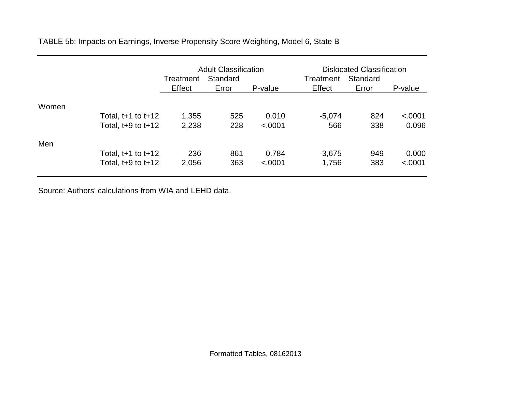TABLE 5b: Impacts on Earnings, Inverse Propensity Score Weighting, Model 6, State B

|       |                        | Treatment | <b>Adult Classification</b><br>Standard |         | <b>Dislocated Classification</b><br>Standard<br>Treatment |       |         |
|-------|------------------------|-----------|-----------------------------------------|---------|-----------------------------------------------------------|-------|---------|
|       |                        | Effect    | Error                                   | P-value | Effect                                                    | Error | P-value |
| Women | Total, $t+1$ to $t+12$ | 1,355     | 525                                     | 0.010   | $-5,074$                                                  | 824   | < .0001 |
|       | Total, $t+9$ to $t+12$ | 2,238     | 228                                     | < .0001 | 566                                                       | 338   | 0.096   |
| Men   | Total, $t+1$ to $t+12$ | 236       | 861                                     | 0.784   | $-3,675$                                                  | 949   | 0.000   |
|       | Total, $t+9$ to $t+12$ | 2,056     | 363                                     | < .0001 | 1,756                                                     | 383   | < .0001 |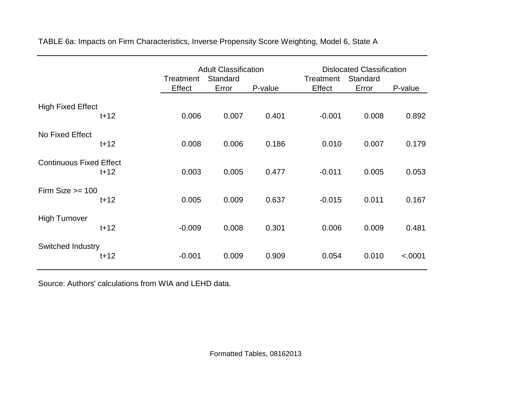|                                |          | <b>Adult Classification</b><br>Standard<br>Treatment<br>Effect<br>Error<br>P-value |       |       | <b>Dislocated Classification</b><br>Treatment<br>Effect | P-value |         |
|--------------------------------|----------|------------------------------------------------------------------------------------|-------|-------|---------------------------------------------------------|---------|---------|
|                                |          |                                                                                    |       |       |                                                         | Error   |         |
| <b>High Fixed Effect</b>       | $t + 12$ | 0.006                                                                              | 0.007 | 0.401 | $-0.001$                                                | 0.008   | 0.892   |
| No Fixed Effect                | $t + 12$ | 0.008                                                                              | 0.006 | 0.186 | 0.010                                                   | 0.007   | 0.179   |
| <b>Continuous Fixed Effect</b> | $t + 12$ | 0.003                                                                              | 0.005 | 0.477 | $-0.011$                                                | 0.005   | 0.053   |
| Firm Size $\ge$ = 100          | $t + 12$ | 0.005                                                                              | 0.009 | 0.637 | $-0.015$                                                | 0.011   | 0.167   |
| <b>High Turnover</b>           | $t+12$   | $-0.009$                                                                           | 0.008 | 0.301 | 0.006                                                   | 0.009   | 0.481   |
| Switched Industry              | $t+12$   | $-0.001$                                                                           | 0.009 | 0.909 | 0.054                                                   | 0.010   | < .0001 |

TABLE 6a: Impacts on Firm Characteristics, Inverse Propensity Score Weighting, Model 6, State A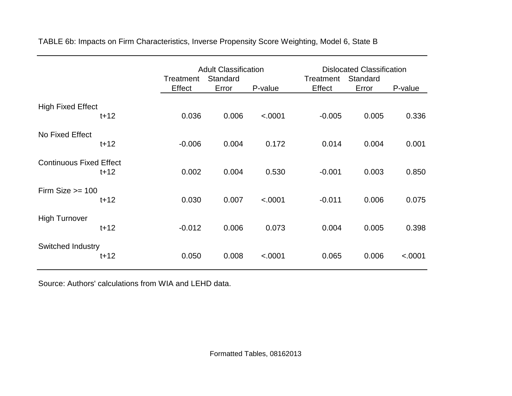|                                |          | Treatment<br>Effect | <b>Adult Classification</b><br>Standard<br>Error | P-value | Treatment<br>Effect | <b>Dislocated Classification</b><br>Standard<br>Error<br>P-value |         |  |
|--------------------------------|----------|---------------------|--------------------------------------------------|---------|---------------------|------------------------------------------------------------------|---------|--|
|                                |          |                     |                                                  |         |                     |                                                                  |         |  |
| <b>High Fixed Effect</b>       | $t + 12$ | 0.036               | 0.006                                            | < .0001 | $-0.005$            | 0.005                                                            | 0.336   |  |
| No Fixed Effect                | $t + 12$ | $-0.006$            | 0.004                                            | 0.172   | 0.014               | 0.004                                                            | 0.001   |  |
| <b>Continuous Fixed Effect</b> | $t + 12$ | 0.002               | 0.004                                            | 0.530   | $-0.001$            | 0.003                                                            | 0.850   |  |
| Firm Size $\ge$ = 100          | $t+12$   | 0.030               | 0.007                                            | < .0001 | $-0.011$            | 0.006                                                            | 0.075   |  |
| <b>High Turnover</b>           | $t+12$   | $-0.012$            | 0.006                                            | 0.073   | 0.004               | 0.005                                                            | 0.398   |  |
| Switched Industry              | $t+12$   | 0.050               | 0.008                                            | < .0001 | 0.065               | 0.006                                                            | < .0001 |  |

TABLE 6b: Impacts on Firm Characteristics, Inverse Propensity Score Weighting, Model 6, State B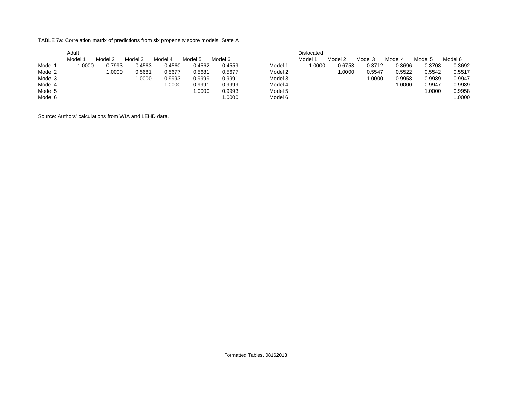TABLE 7a: Correlation matrix of predictions from six propensity score models, State A

|         | Adult              |         |         |         |         |         |         | <b>Dislocated</b> |         |         |         |         |         |
|---------|--------------------|---------|---------|---------|---------|---------|---------|-------------------|---------|---------|---------|---------|---------|
|         | Model <sup>-</sup> | Model 2 | Model 3 | Model 4 | Model 5 | Model 6 |         | Model 1           | Model 2 | Model 3 | Model 4 | Model 5 | Model 6 |
| Model 1 | .0000              | 0.7993  | 0.4563  | 0.4560  | 0.4562  | 0.4559  | Model 1 | 1.0000            | 0.6753  | 0.3712  | 0.3696  | 0.3708  | 0.3692  |
| Model 2 |                    | .0000   | 0.5681  | 0.5677  | 0.5681  | 0.5677  | Model 2 |                   | 1.0000  | 0.5547  | 0.5522  | 0.5542  | 0.5517  |
| Model 3 |                    |         | .0000   | 0.9993  | 0.9999  | 0.9991  | Model 3 |                   |         | 1.0000  | 0.9958  | 0.9989  | 0.9947  |
| Model 4 |                    |         |         | .0000   | 0.9991  | 0.9999  | Model 4 |                   |         |         | 1.0000  | 0.9947  | 0.9989  |
| Model 5 |                    |         |         |         | 1.0000  | 0.9993  | Model 5 |                   |         |         |         | 1.0000  | 0.9958  |
| Model 6 |                    |         |         |         |         | 1.0000  | Model 6 |                   |         |         |         |         | 1.0000  |

Source: Authors' calculations from WIA and LEHD data.

Formatted Tables, 08162013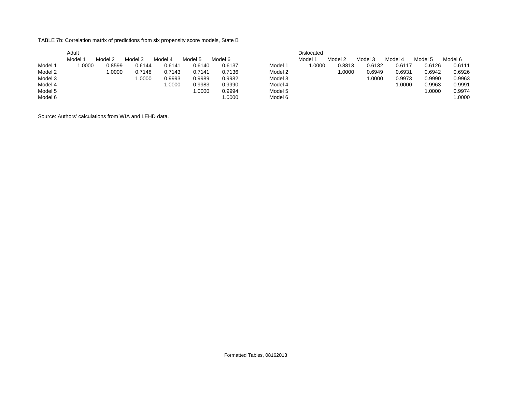TABLE 7b: Correlation matrix of predictions from six propensity score models, State B

|         | Adult              |         |         |         |         |         |         | <b>Dislocated</b> |         |         |         |         |         |
|---------|--------------------|---------|---------|---------|---------|---------|---------|-------------------|---------|---------|---------|---------|---------|
|         | Model <sup>-</sup> | Model 2 | Model 3 | Model 4 | Model 5 | Model 6 |         | Model 1           | Model 2 | Model 3 | Model 4 | Model 5 | Model 6 |
| Model 1 | .0000              | 0.8599  | 0.6144  | 0.6141  | 0.6140  | 0.6137  | Model 1 | 1.0000            | 0.8813  | 0.6132  | 0.6117  | 0.6126  | 0.6111  |
| Model 2 |                    | .0000   | 0.7148  | 0.7143  | 0.7141  | 0.7136  | Model 2 |                   | 1.0000  | 0.6949  | 0.6931  | 0.6942  | 0.6926  |
| Model 3 |                    |         | .0000   | 0.9993  | 0.9989  | 0.9982  | Model 3 |                   |         | 1.0000  | 0.9973  | 0.9990  | 0.9963  |
| Model 4 |                    |         |         | .0000   | 0.9983  | 0.9990  | Model 4 |                   |         |         | 1.0000  | 0.9963  | 0.9991  |
| Model 5 |                    |         |         |         | 1.0000  | 0.9994  | Model 5 |                   |         |         |         | 1.0000  | 0.9974  |
| Model 6 |                    |         |         |         |         | 1.0000  | Model 6 |                   |         |         |         |         | 1.0000  |

Source: Authors' calculations from WIA and LEHD data.

Formatted Tables, 08162013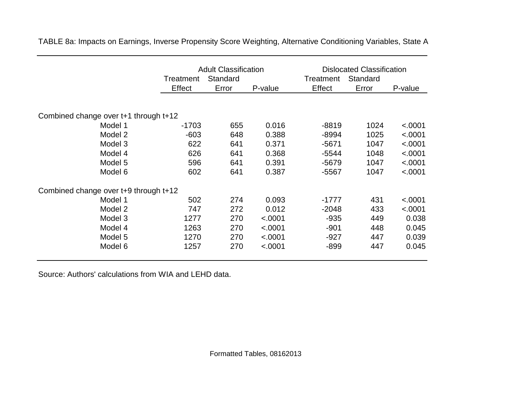|                                       | Treatment | <b>Adult Classification</b><br>Standard |         | <b>Dislocated Classification</b><br>Standard<br>Treatment |       |         |  |
|---------------------------------------|-----------|-----------------------------------------|---------|-----------------------------------------------------------|-------|---------|--|
|                                       | Effect    | Error                                   | P-value | Effect                                                    | Error | P-value |  |
|                                       |           |                                         |         |                                                           |       |         |  |
| Combined change over t+1 through t+12 |           |                                         |         |                                                           |       |         |  |
| Model 1                               | $-1703$   | 655                                     | 0.016   | $-8819$                                                   | 1024  | < .0001 |  |
| Model 2                               | $-603$    | 648                                     | 0.388   | $-8994$                                                   | 1025  | < .0001 |  |
| Model 3                               | 622       | 641                                     | 0.371   | $-5671$                                                   | 1047  | < .0001 |  |
| Model 4                               | 626       | 641                                     | 0.368   | $-5544$                                                   | 1048  | < .0001 |  |
| Model 5                               | 596       | 641                                     | 0.391   | $-5679$                                                   | 1047  | < .0001 |  |
| Model 6                               | 602       | 641                                     | 0.387   | $-5567$                                                   | 1047  | < .0001 |  |
| Combined change over t+9 through t+12 |           |                                         |         |                                                           |       |         |  |
| Model 1                               | 502       | 274                                     | 0.093   | $-1777$                                                   | 431   | < .0001 |  |
| Model 2                               | 747       | 272                                     | 0.012   | $-2048$                                                   | 433   | < .0001 |  |
| Model 3                               | 1277      | 270                                     | < .0001 | $-935$                                                    | 449   | 0.038   |  |
| Model 4                               | 1263      | 270                                     | < .0001 | $-901$                                                    | 448   | 0.045   |  |
| Model 5                               | 1270      | 270                                     | < .0001 | $-927$                                                    | 447   | 0.039   |  |
| Model 6                               | 1257      | 270                                     | < .0001 | $-899$                                                    | 447   | 0.045   |  |

TABLE 8a: Impacts on Earnings, Inverse Propensity Score Weighting, Alternative Conditioning Variables, State A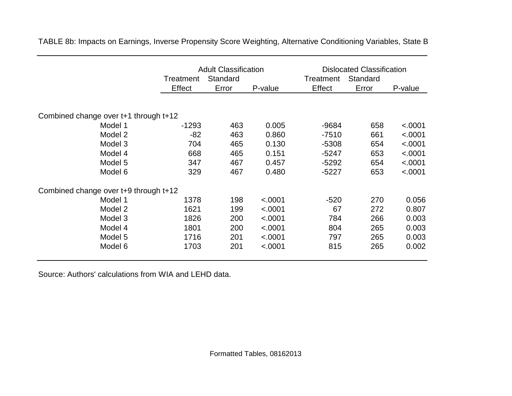|                                       | <b>Adult Classification</b><br>Standard<br>Treatment |       |         | <b>Dislocated Classification</b><br>Treatment |                   |         |
|---------------------------------------|------------------------------------------------------|-------|---------|-----------------------------------------------|-------------------|---------|
|                                       | Effect                                               | Error | P-value | Effect                                        | Standard<br>Error | P-value |
|                                       |                                                      |       |         |                                               |                   |         |
| Combined change over t+1 through t+12 |                                                      |       |         |                                               |                   |         |
| Model 1                               | $-1293$                                              | 463   | 0.005   | $-9684$                                       | 658               | < .0001 |
| Model 2                               | $-82$                                                | 463   | 0.860   | $-7510$                                       | 661               | < .0001 |
| Model 3                               | 704                                                  | 465   | 0.130   | $-5308$                                       | 654               | < .0001 |
| Model 4                               | 668                                                  | 465   | 0.151   | -5247                                         | 653               | < .0001 |
| Model 5                               | 347                                                  | 467   | 0.457   | $-5292$                                       | 654               | < .0001 |
| Model 6                               | 329                                                  | 467   | 0.480   | $-5227$                                       | 653               | < .0001 |
| Combined change over t+9 through t+12 |                                                      |       |         |                                               |                   |         |
| Model 1                               | 1378                                                 | 198   | < .0001 | $-520$                                        | 270               | 0.056   |
| Model 2                               | 1621                                                 | 199   | < .0001 | 67                                            | 272               | 0.807   |
| Model 3                               | 1826                                                 | 200   | < .0001 | 784                                           | 266               | 0.003   |
| Model 4                               | 1801                                                 | 200   | < .0001 | 804                                           | 265               | 0.003   |
| Model 5                               | 1716                                                 | 201   | < .0001 | 797                                           | 265               | 0.003   |
| Model 6                               | 1703                                                 | 201   | < .0001 | 815                                           | 265               | 0.002   |

TABLE 8b: Impacts on Earnings, Inverse Propensity Score Weighting, Alternative Conditioning Variables, State B

Source: Authors' calculations from WIA and LEHD data.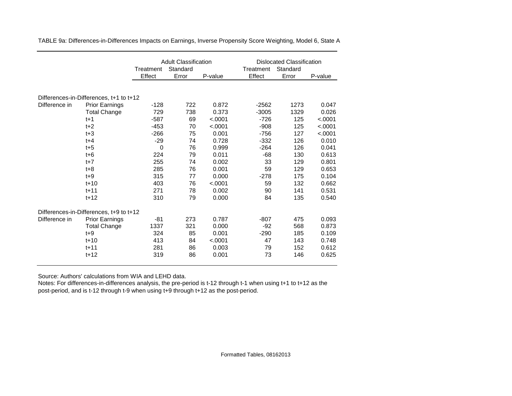|               |                                         | <b>Adult Classification</b> |          |         | <b>Dislocated Classification</b> |          |         |
|---------------|-----------------------------------------|-----------------------------|----------|---------|----------------------------------|----------|---------|
|               |                                         | Treatment                   | Standard |         | Treatment                        | Standard |         |
|               |                                         | Effect                      | Error    | P-value | Effect                           | Error    | P-value |
|               |                                         |                             |          |         |                                  |          |         |
|               | Differences-in-Differences, t+1 to t+12 |                             |          |         |                                  |          |         |
| Difference in | <b>Prior Earnings</b>                   | $-128$                      | 722      | 0.872   | $-2562$                          | 1273     | 0.047   |
|               | <b>Total Change</b>                     | 729                         | 738      | 0.373   | $-3005$                          | 1329     | 0.026   |
|               | $t+1$                                   | $-587$                      | 69       | < .0001 | $-726$                           | 125      | < .0001 |
|               | $t+2$                                   | $-453$                      | 70       | < .0001 | $-908$                           | 125      | < .0001 |
|               | $t + 3$                                 | $-266$                      | 75       | 0.001   | $-756$                           | 127      | < .0001 |
|               | $t + 4$                                 | $-29$                       | 74       | 0.728   | $-332$                           | 126      | 0.010   |
|               | $t + 5$                                 | $\mathbf 0$                 | 76       | 0.999   | $-264$                           | 126      | 0.041   |
|               | $t + 6$                                 | 224                         | 79       | 0.011   | $-68$                            | 130      | 0.613   |
|               | $t+7$                                   | 255                         | 74       | 0.002   | 33                               | 129      | 0.801   |
|               | $t + 8$                                 | 285                         | 76       | 0.001   | 59                               | 129      | 0.653   |
|               | $t + 9$                                 | 315                         | 77       | 0.000   | $-278$                           | 175      | 0.104   |
|               | $t + 10$                                | 403                         | 76       | < .0001 | 59                               | 132      | 0.662   |
|               | $t + 11$                                | 271                         | 78       | 0.002   | 90                               | 141      | 0.531   |
|               | $t + 12$                                | 310                         | 79       | 0.000   | 84                               | 135      | 0.540   |
|               | Differences-in-Differences, t+9 to t+12 |                             |          |         |                                  |          |         |
| Difference in | <b>Prior Earnings</b>                   | -81                         | 273      | 0.787   | $-807$                           | 475      | 0.093   |
|               | <b>Total Change</b>                     | 1337                        | 321      | 0.000   | -92                              | 568      | 0.873   |
|               | $t + 9$                                 | 324                         | 85       | 0.001   | $-290$                           | 185      | 0.109   |
|               | $t + 10$                                | 413                         | 84       | < .0001 | 47                               | 143      | 0.748   |
|               | $t + 11$                                | 281                         | 86       | 0.003   | 79                               | 152      | 0.612   |
|               | $t + 12$                                | 319                         | 86       | 0.001   | 73                               | 146      | 0.625   |

TABLE 9a: Differences-in-Differences Impacts on Earnings, Inverse Propensity Score Weighting, Model 6, State A

Source: Authors' calculations from WIA and LEHD data.

Notes: For differences-in-differences analysis, the pre-period is t-12 through t-1 when using t+1 to t+12 as the post-period, and is t-12 through t-9 when using t+9 through t+12 as the post-period.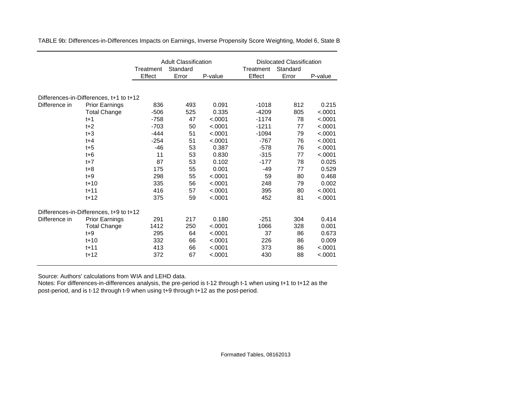|               |                                         | <b>Adult Classification</b> |          |         |           | <b>Dislocated Classification</b> |         |  |
|---------------|-----------------------------------------|-----------------------------|----------|---------|-----------|----------------------------------|---------|--|
|               |                                         | Treatment                   | Standard |         | Treatment | Standard                         |         |  |
|               |                                         | Effect                      | Error    | P-value | Effect    | Error                            | P-value |  |
|               |                                         |                             |          |         |           |                                  |         |  |
|               | Differences-in-Differences, t+1 to t+12 |                             |          |         |           |                                  |         |  |
| Difference in | <b>Prior Earnings</b>                   | 836                         | 493      | 0.091   | $-1018$   | 812                              | 0.215   |  |
|               | <b>Total Change</b>                     | $-506$                      | 525      | 0.335   | $-4209$   | 805                              | < .0001 |  |
|               | $t+1$                                   | $-758$                      | 47       | < .0001 | $-1174$   | 78                               | < .0001 |  |
|               | $t+2$                                   | $-703$                      | 50       | < .0001 | $-1211$   | 77                               | < .0001 |  |
|               | $t + 3$                                 | $-444$                      | 51       | < .0001 | $-1094$   | 79                               | < .0001 |  |
|               | $t + 4$                                 | $-254$                      | 51       | < .0001 | $-767$    | 76                               | < .0001 |  |
|               | $t + 5$                                 | $-46$                       | 53       | 0.387   | $-578$    | 76                               | < .0001 |  |
|               | $t + 6$                                 | 11                          | 53       | 0.830   | $-315$    | 77                               | < .0001 |  |
|               | $t+7$                                   | 87                          | 53       | 0.102   | $-177$    | 78                               | 0.025   |  |
|               | $t + 8$                                 | 175                         | 55       | 0.001   | $-49$     | 77                               | 0.529   |  |
|               | $t+9$                                   | 298                         | 55       | < .0001 | 59        | 80                               | 0.468   |  |
|               | $t + 10$                                | 335                         | 56       | < .0001 | 248       | 79                               | 0.002   |  |
|               | $t + 11$                                | 416                         | 57       | < .0001 | 395       | 80                               | < .0001 |  |
|               | $t + 12$                                | 375                         | 59       | < .0001 | 452       | 81                               | < .0001 |  |
|               | Differences-in-Differences, t+9 to t+12 |                             |          |         |           |                                  |         |  |
| Difference in | <b>Prior Earnings</b>                   | 291                         | 217      | 0.180   | $-251$    | 304                              | 0.414   |  |
|               | <b>Total Change</b>                     | 1412                        | 250      | < .0001 | 1066      | 328                              | 0.001   |  |
|               | $t + 9$                                 | 295                         | 64       | < .0001 | 37        | 86                               | 0.673   |  |
|               | $t + 10$                                | 332                         | 66       | < .0001 | 226       | 86                               | 0.009   |  |
|               | $t + 11$                                | 413                         | 66       | < .0001 | 373       | 86                               | < .0001 |  |
|               | $t + 12$                                | 372                         | 67       | < .0001 | 430       | 88                               | < .0001 |  |

TABLE 9b: Differences-in-Differences Impacts on Earnings, Inverse Propensity Score Weighting, Model 6, State B

Source: Authors' calculations from WIA and LEHD data.

Notes: For differences-in-differences analysis, the pre-period is t-12 through t-1 when using t+1 to t+12 as the post-period, and is t-12 through t-9 when using t+9 through t+12 as the post-period.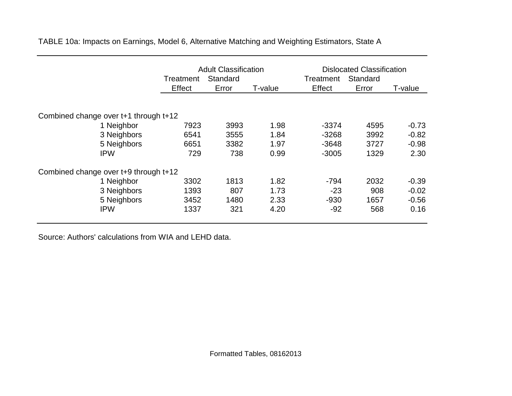|                                       | <b>Adult Classification</b> |                   |         | <b>Dislocated Classification</b><br>Standard |       |         |
|---------------------------------------|-----------------------------|-------------------|---------|----------------------------------------------|-------|---------|
|                                       | Treatment<br>Effect         | Standard<br>Error | T-value | Treatment<br>Effect                          | Error | T-value |
|                                       |                             |                   |         |                                              |       |         |
| Combined change over t+1 through t+12 |                             |                   |         |                                              |       |         |
| 1 Neighbor                            | 7923                        | 3993              | 1.98    | $-3374$                                      | 4595  | $-0.73$ |
| 3 Neighbors                           | 6541                        | 3555              | 1.84    | $-3268$                                      | 3992  | $-0.82$ |
| 5 Neighbors                           | 6651                        | 3382              | 1.97    | $-3648$                                      | 3727  | $-0.98$ |
| <b>IPW</b>                            | 729                         | 738               | 0.99    | $-3005$                                      | 1329  | 2.30    |
| Combined change over t+9 through t+12 |                             |                   |         |                                              |       |         |
| 1 Neighbor                            | 3302                        | 1813              | 1.82    | $-794$                                       | 2032  | $-0.39$ |
| 3 Neighbors                           | 1393                        | 807               | 1.73    | $-23$                                        | 908   | $-0.02$ |
| 5 Neighbors                           | 3452                        | 1480              | 2.33    | $-930$                                       | 1657  | $-0.56$ |
| <b>IPW</b>                            | 1337                        | 321               | 4.20    | $-92$                                        | 568   | 0.16    |

TABLE 10a: Impacts on Earnings, Model 6, Alternative Matching and Weighting Estimators, State A

Source: Authors' calculations from WIA and LEHD data.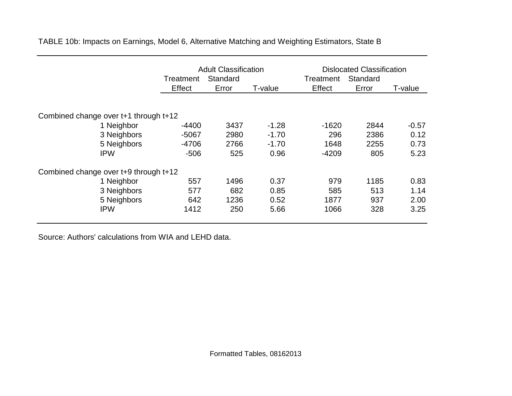|                                       | <b>Adult Classification</b> |          |         | <b>Dislocated Classification</b> |          |         |
|---------------------------------------|-----------------------------|----------|---------|----------------------------------|----------|---------|
|                                       | Treatment                   | Standard |         | Treatment                        | Standard |         |
|                                       | Effect                      | Error    | T-value | Effect                           | Error    | T-value |
| Combined change over t+1 through t+12 |                             |          |         |                                  |          |         |
| 1 Neighbor                            | $-4400$                     | 3437     | $-1.28$ | $-1620$                          | 2844     | $-0.57$ |
| 3 Neighbors                           | $-5067$                     | 2980     | $-1.70$ | 296                              | 2386     | 0.12    |
| 5 Neighbors                           | $-4706$                     | 2766     | $-1.70$ | 1648                             | 2255     | 0.73    |
| <b>IPW</b>                            | $-506$                      | 525      | 0.96    | $-4209$                          | 805      | 5.23    |
| Combined change over t+9 through t+12 |                             |          |         |                                  |          |         |
| 1 Neighbor                            | 557                         | 1496     | 0.37    | 979                              | 1185     | 0.83    |
| 3 Neighbors                           | 577                         | 682      | 0.85    | 585                              | 513      | 1.14    |
| 5 Neighbors                           | 642                         | 1236     | 0.52    | 1877                             | 937      | 2.00    |
| <b>IPW</b>                            | 1412                        | 250      | 5.66    | 1066                             | 328      | 3.25    |

TABLE 10b: Impacts on Earnings, Model 6, Alternative Matching and Weighting Estimators, State B

Source: Authors' calculations from WIA and LEHD data.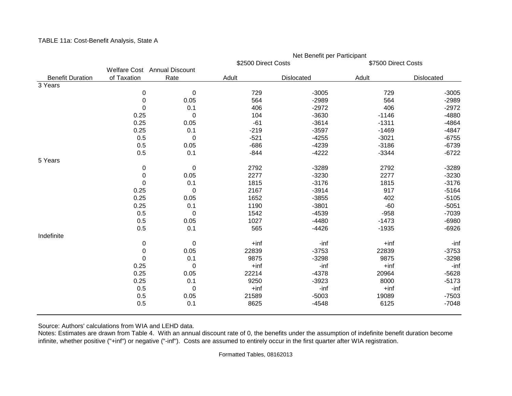|                         |                              |             | Net Benefit per Participant |            |                     |            |  |  |
|-------------------------|------------------------------|-------------|-----------------------------|------------|---------------------|------------|--|--|
|                         |                              |             | \$2500 Direct Costs         |            | \$7500 Direct Costs |            |  |  |
|                         | Welfare Cost Annual Discount |             |                             |            |                     |            |  |  |
| <b>Benefit Duration</b> | of Taxation                  | Rate        | Adult                       | Dislocated | Adult               | Dislocated |  |  |
| 3 Years                 |                              |             |                             |            |                     |            |  |  |
|                         | $\boldsymbol{0}$             | $\mathbf 0$ | 729                         | $-3005$    | 729                 | $-3005$    |  |  |
|                         | $\boldsymbol{0}$             | 0.05        | 564                         | $-2989$    | 564                 | $-2989$    |  |  |
|                         | 0                            | 0.1         | 406                         | $-2972$    | 406                 | $-2972$    |  |  |
|                         | 0.25                         | 0           | 104                         | $-3630$    | $-1146$             | $-4880$    |  |  |
|                         | 0.25                         | 0.05        | $-61$                       | $-3614$    | $-1311$             | $-4864$    |  |  |
|                         | 0.25                         | 0.1         | $-219$                      | $-3597$    | $-1469$             | $-4847$    |  |  |
|                         | 0.5                          | $\mathbf 0$ | $-521$                      | $-4255$    | $-3021$             | $-6755$    |  |  |
|                         | 0.5                          | 0.05        | $-686$                      | $-4239$    | $-3186$             | $-6739$    |  |  |
|                         | 0.5                          | 0.1         | $-844$                      | $-4222$    | $-3344$             | $-6722$    |  |  |
| 5 Years                 |                              |             |                             |            |                     |            |  |  |
|                         | 0                            | 0           | 2792                        | $-3289$    | 2792                | $-3289$    |  |  |
|                         | 0                            | 0.05        | 2277                        | $-3230$    | 2277                | $-3230$    |  |  |
|                         | 0                            | 0.1         | 1815                        | $-3176$    | 1815                | $-3176$    |  |  |
|                         | 0.25                         | $\mathbf 0$ | 2167                        | $-3914$    | 917                 | $-5164$    |  |  |
|                         | 0.25                         | 0.05        | 1652                        | $-3855$    | 402                 | $-5105$    |  |  |
|                         | 0.25                         | 0.1         | 1190                        | $-3801$    | $-60$               | $-5051$    |  |  |
|                         | 0.5                          | $\mathbf 0$ | 1542                        | $-4539$    | $-958$              | $-7039$    |  |  |
|                         | 0.5                          | 0.05        | 1027                        | $-4480$    | $-1473$             | $-6980$    |  |  |
|                         | 0.5                          | 0.1         | 565                         | $-4426$    | $-1935$             | $-6926$    |  |  |
| Indefinite              |                              |             |                             |            |                     |            |  |  |
|                         | 0                            | $\mathbf 0$ | $+$ inf                     | -inf       | $+$ inf             | -inf       |  |  |
|                         | $\boldsymbol{0}$             | 0.05        | 22839                       | $-3753$    | 22839               | $-3753$    |  |  |
|                         | 0                            | 0.1         | 9875                        | $-3298$    | 9875                | $-3298$    |  |  |
|                         | 0.25                         | $\mathbf 0$ | $+$ inf                     | -inf       | $+$ inf             | -inf       |  |  |
|                         | 0.25                         | 0.05        | 22214                       | $-4378$    | 20964               | $-5628$    |  |  |
|                         | 0.25                         | 0.1         | 9250                        | $-3923$    | 8000                | $-5173$    |  |  |
|                         | 0.5                          | 0           | $+$ inf                     | -inf       | $+$ inf             | -inf       |  |  |
|                         | 0.5                          | 0.05        | 21589                       | $-5003$    | 19089               | $-7503$    |  |  |
|                         | 0.5                          | 0.1         | 8625                        | $-4548$    | 6125                | $-7048$    |  |  |
|                         |                              |             |                             |            |                     |            |  |  |

TABLE 11a: Cost-Benefit Analysis, State A

Source: Authors' calculations from WIA and LEHD data.

Notes: Estimates are drawn from Table 4. With an annual discount rate of 0, the benefits under the assumption of indefinite benefit duration become infinite, whether positive ("+inf") or negative ("-inf"). Costs are assumed to entirely occur in the first quarter after WIA registration.

Formatted Tables, 08162013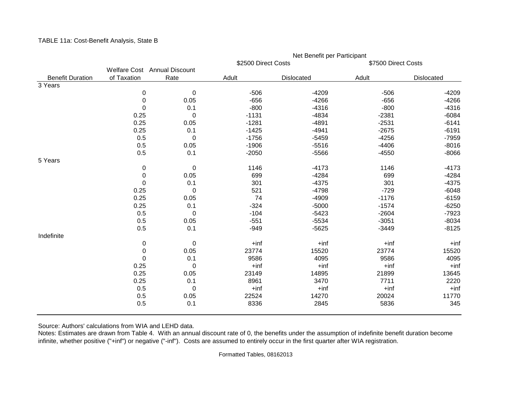|                         |                              |             |                     | Net Benefit per Participant |                     |            |
|-------------------------|------------------------------|-------------|---------------------|-----------------------------|---------------------|------------|
|                         |                              |             | \$2500 Direct Costs |                             | \$7500 Direct Costs |            |
|                         | Welfare Cost Annual Discount |             |                     |                             |                     |            |
| <b>Benefit Duration</b> | of Taxation                  | Rate        | Adult               | Dislocated                  | Adult               | Dislocated |
| 3 Years                 |                              |             |                     |                             |                     |            |
|                         | 0                            | $\pmb{0}$   | $-506$              | $-4209$                     | $-506$              | $-4209$    |
|                         | $\mathbf 0$                  | 0.05        | $-656$              | $-4266$                     | $-656$              | $-4266$    |
|                         | 0                            | 0.1         | $-800$              | $-4316$                     | $-800$              | $-4316$    |
|                         | 0.25                         | $\mathbf 0$ | $-1131$             | $-4834$                     | $-2381$             | $-6084$    |
|                         | 0.25                         | 0.05        | $-1281$             | $-4891$                     | $-2531$             | $-6141$    |
|                         | 0.25                         | 0.1         | $-1425$             | $-4941$                     | $-2675$             | $-6191$    |
|                         | 0.5                          | $\mathbf 0$ | $-1756$             | $-5459$                     | $-4256$             | $-7959$    |
|                         | 0.5                          | 0.05        | $-1906$             | $-5516$                     | $-4406$             | $-8016$    |
|                         | 0.5                          | 0.1         | $-2050$             | $-5566$                     | $-4550$             | $-8066$    |
| 5 Years                 |                              |             |                     |                             |                     |            |
|                         | 0                            | $\pmb{0}$   | 1146                | $-4173$                     | 1146                | $-4173$    |
|                         | $\boldsymbol{0}$             | 0.05        | 699                 | $-4284$                     | 699                 | $-4284$    |
|                         | 0                            | 0.1         | 301                 | $-4375$                     | 301                 | $-4375$    |
|                         | 0.25                         | $\mathbf 0$ | 521                 | $-4798$                     | $-729$              | $-6048$    |
|                         | 0.25                         | 0.05        | 74                  | $-4909$                     | $-1176$             | $-6159$    |
|                         | 0.25                         | 0.1         | $-324$              | $-5000$                     | $-1574$             | $-6250$    |
|                         | 0.5                          | $\mathbf 0$ | $-104$              | $-5423$                     | $-2604$             | $-7923$    |
|                         | 0.5                          | 0.05        | $-551$              | $-5534$                     | $-3051$             | $-8034$    |
|                         | 0.5                          | 0.1         | $-949$              | $-5625$                     | $-3449$             | $-8125$    |
| Indefinite              |                              |             |                     |                             |                     |            |
|                         | 0                            | $\mathbf 0$ | $+$ inf             | $+$ inf                     | $+$ inf             | $+$ inf    |
|                         | $\boldsymbol{0}$             | 0.05        | 23774               | 15520                       | 23774               | 15520      |
|                         | $\Omega$                     | 0.1         | 9586                | 4095                        | 9586                | 4095       |
|                         | 0.25                         | $\mathbf 0$ | $+$ inf             | $+$ inf                     | $+$ inf             | $+$ inf    |
|                         | 0.25                         | 0.05        | 23149               | 14895                       | 21899               | 13645      |
|                         | 0.25                         | 0.1         | 8961                | 3470                        | 7711                | 2220       |
|                         | 0.5                          | 0           | $+$ inf             | $+$ inf                     | $+$ inf             | $+$ inf    |
|                         | 0.5                          | 0.05        | 22524               | 14270                       | 20024               | 11770      |
|                         | 0.5                          | 0.1         | 8336                | 2845                        | 5836                | 345        |
|                         |                              |             |                     |                             |                     |            |

TABLE 11a: Cost-Benefit Analysis, State B

Source: Authors' calculations from WIA and LEHD data.

Notes: Estimates are drawn from Table 4. With an annual discount rate of 0, the benefits under the assumption of indefinite benefit duration become infinite, whether positive ("+inf") or negative ("-inf"). Costs are assumed to entirely occur in the first quarter after WIA registration.

Formatted Tables, 08162013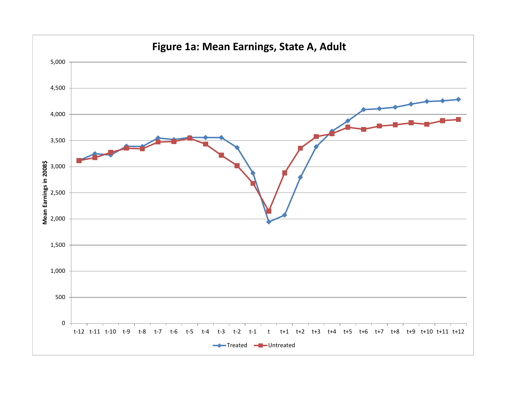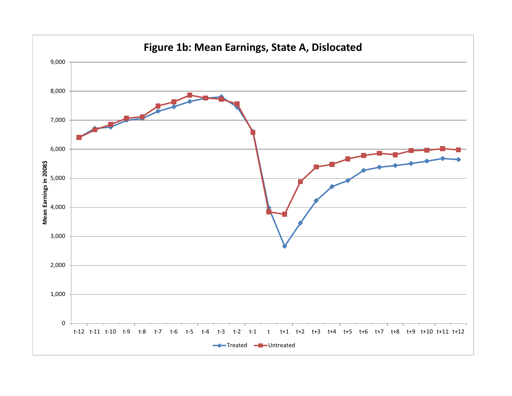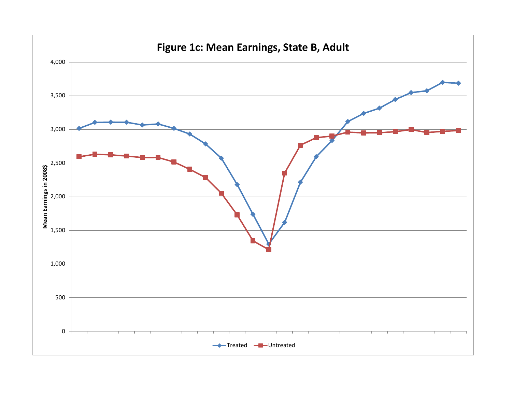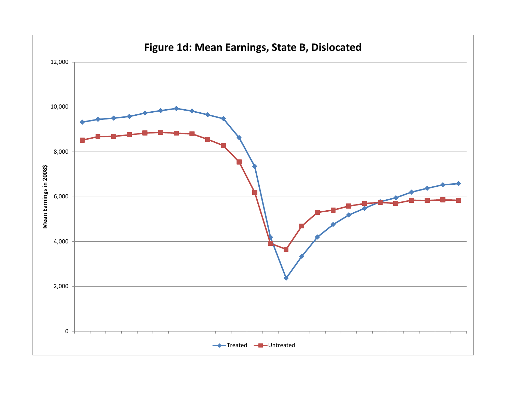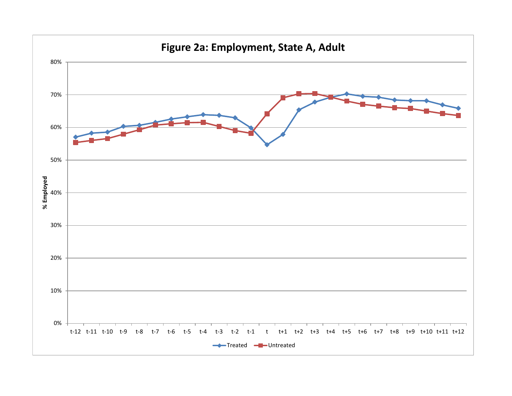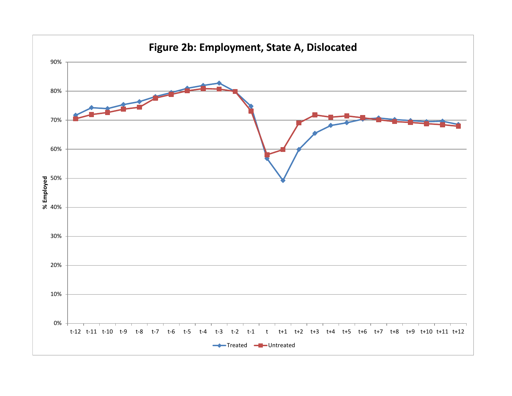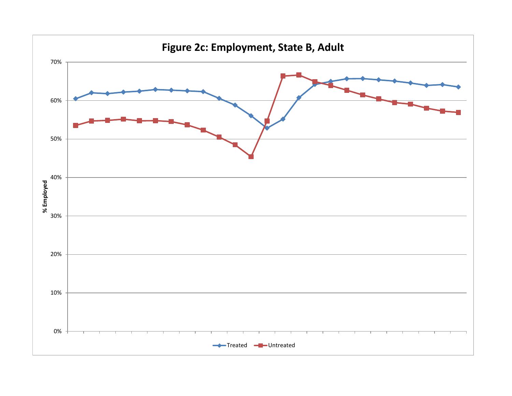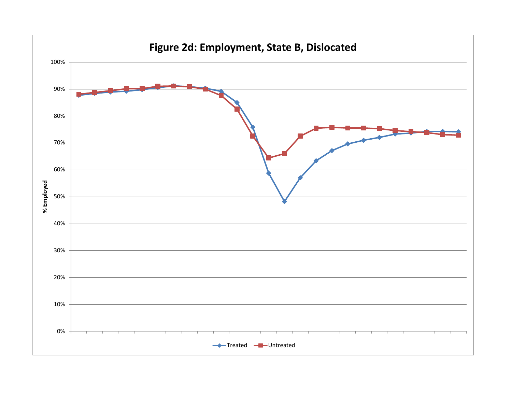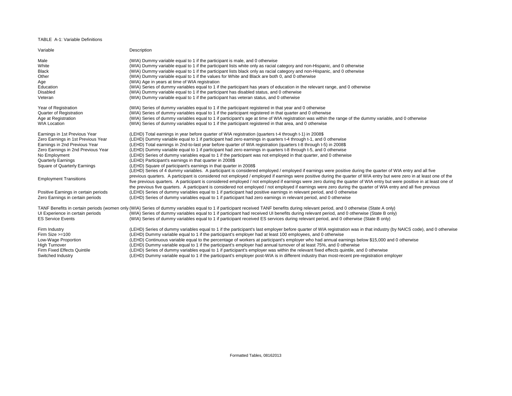## TABLE A-1: Variable Definitions

| Variable                                                                                                                                                                                                                        | Description                                                                                                                                                                                                                                                                                                                                                                                                                                                                                                                                                                                                                                                                                                                                                                                                                                                                      |
|---------------------------------------------------------------------------------------------------------------------------------------------------------------------------------------------------------------------------------|----------------------------------------------------------------------------------------------------------------------------------------------------------------------------------------------------------------------------------------------------------------------------------------------------------------------------------------------------------------------------------------------------------------------------------------------------------------------------------------------------------------------------------------------------------------------------------------------------------------------------------------------------------------------------------------------------------------------------------------------------------------------------------------------------------------------------------------------------------------------------------|
| Male                                                                                                                                                                                                                            | (WIA) Dummy variable equal to 1 if the participant is male, and 0 otherwise                                                                                                                                                                                                                                                                                                                                                                                                                                                                                                                                                                                                                                                                                                                                                                                                      |
| White                                                                                                                                                                                                                           | (WIA) Dummy variable equal to 1 if the participant lists white only as racial category and non-Hispanic, and 0 otherwise                                                                                                                                                                                                                                                                                                                                                                                                                                                                                                                                                                                                                                                                                                                                                         |
| <b>Black</b>                                                                                                                                                                                                                    | (WIA) Dummy variable equal to 1 if the participant lists black only as racial category and non-Hispanic, and 0 otherwise                                                                                                                                                                                                                                                                                                                                                                                                                                                                                                                                                                                                                                                                                                                                                         |
| Other                                                                                                                                                                                                                           | (WIA) Dummy variable equal to 1 if the values for White and Black are both 0, and 0 otherwise                                                                                                                                                                                                                                                                                                                                                                                                                                                                                                                                                                                                                                                                                                                                                                                    |
| Age                                                                                                                                                                                                                             | (WIA) Age in years at time of WIA registration                                                                                                                                                                                                                                                                                                                                                                                                                                                                                                                                                                                                                                                                                                                                                                                                                                   |
| Education                                                                                                                                                                                                                       | (WIA) Series of dummy variables equal to 1 if the participant has years of education in the relevant range, and 0 otherwise                                                                                                                                                                                                                                                                                                                                                                                                                                                                                                                                                                                                                                                                                                                                                      |
| Disabled                                                                                                                                                                                                                        | (WIA) Dummy variable equal to 1 if the participant has disabled status, and 0 otherwise                                                                                                                                                                                                                                                                                                                                                                                                                                                                                                                                                                                                                                                                                                                                                                                          |
| Veteran                                                                                                                                                                                                                         | (WIA) Dummy variable equal to 1 if the participant has veteran status, and 0 otherwise                                                                                                                                                                                                                                                                                                                                                                                                                                                                                                                                                                                                                                                                                                                                                                                           |
| Year of Registration                                                                                                                                                                                                            | (WIA) Series of dummy variables equal to 1 if the participant registered in that year and 0 otherwise                                                                                                                                                                                                                                                                                                                                                                                                                                                                                                                                                                                                                                                                                                                                                                            |
| <b>Quarter of Registration</b>                                                                                                                                                                                                  | (WIA) Series of dummy variables equal to 1 if the participant registered in that quarter and 0 otherwise                                                                                                                                                                                                                                                                                                                                                                                                                                                                                                                                                                                                                                                                                                                                                                         |
| Age at Registration                                                                                                                                                                                                             | (WIA) Series of dummy variables equal to 1 if participant's age at time of WIA registration was within the range of the dummy variable, and 0 otherwise                                                                                                                                                                                                                                                                                                                                                                                                                                                                                                                                                                                                                                                                                                                          |
| <b>WIA Location</b>                                                                                                                                                                                                             | (WIA) Series of dummy variables equal to 1 if the participant registered in that area, and 0 otherwise                                                                                                                                                                                                                                                                                                                                                                                                                                                                                                                                                                                                                                                                                                                                                                           |
| Earnings in 1st Previous Year<br>Zero Earnings in 1st Previous Year<br>Earnings in 2nd Previous Year<br>Zero Earnings in 2nd Previous Year<br>No Employment<br><b>Quarterly Earnings</b><br><b>Square of Quarterly Earnings</b> | (LEHD) Total earnings in year before quarter of WIA registration (quarters t-4 through t-1) in 2008\$<br>(LEHD) Dummy variable equal to 1 if participant had zero earnings in quarters t-4 through t-1, and 0 otherwise<br>(LEHD) Total earnings in 2nd-to-last year before quarter of WIA registration (quarters t-8 through t-5) in 2008\$<br>(LEHD) Dummy variable equal to 1 if participant had zero earnings in quarters t-8 through t-5, and 0 otherwise<br>(LEHD) Series of dummy variables equal to 1 if the participant was not employed in that quarter, and 0 otherwise<br>(LEHD) Participant's earnings in that quarter in 2008\$<br>(LEHD) Square of participant's earnings in that quarter in 2008\$<br>(LEHD) Series of 4 dummy variables. A participant is considered employed / employed if earnings were positive during the quarter of WIA entry and all five |
| <b>Employment Transitions</b>                                                                                                                                                                                                   | previous quarters. A participant is considered not employed / employed if earnings were positive during the quarter of WIA entry but were zero in at least one of the<br>five previous quarters. A participant is considered employed / not employed if earnings were zero during the quarter of WIA entry but were positive in at least one of<br>the previous five quarters. A participant is considered not employed / not employed if earnings were zero during the quarter of WIA entry and all five previous                                                                                                                                                                                                                                                                                                                                                               |
| Positive Earnings in certain periods                                                                                                                                                                                            | (LEHD) Series of dummy variables equal to 1 if participant had positive earnings in relevant period, and 0 otherwise                                                                                                                                                                                                                                                                                                                                                                                                                                                                                                                                                                                                                                                                                                                                                             |
| Zero Earnings in certain periods                                                                                                                                                                                                | (LEHD) Series of dummy variables equal to 1 if participant had zero earnings in relevant period, and 0 otherwise                                                                                                                                                                                                                                                                                                                                                                                                                                                                                                                                                                                                                                                                                                                                                                 |
| UI Experience in certain periods<br><b>ES Service Events</b>                                                                                                                                                                    | TANF Benefits in certain periods (women only (WIA) Series of dummy variables equal to 1 if participant received TANF benefits during relevant period, and 0 otherwise (State A only)<br>(WIA) Series of dummy variables equal to 1 if participant had received UI benefits during relevant period, and 0 otherwise (State B only)<br>(WIA) Series of dummy variables equal to 1 if participant received ES services during relevant period, and 0 otherwise (State B only)                                                                                                                                                                                                                                                                                                                                                                                                       |
| Firm Industry                                                                                                                                                                                                                   | (LEHD) Series of dummy variables equal to 1 if the participant's last employer before quarter of WIA registration was in that industry (by NAICS code), and 0 otherwise                                                                                                                                                                                                                                                                                                                                                                                                                                                                                                                                                                                                                                                                                                          |
| Firm Size $>=100$                                                                                                                                                                                                               | (LEHD) Dummy variable equal to 1 if the participant's employer had at least 100 employees, and 0 otherwise                                                                                                                                                                                                                                                                                                                                                                                                                                                                                                                                                                                                                                                                                                                                                                       |
| Low-Wage Proportion                                                                                                                                                                                                             | (LEHD) Continuous variable equal to the percentage of workers at participant's employer who had annual earnings below \$15,000 and 0 otherwise                                                                                                                                                                                                                                                                                                                                                                                                                                                                                                                                                                                                                                                                                                                                   |
| <b>High Turnover</b>                                                                                                                                                                                                            | (LEHD) Dummy variable equal to 1 if the participant's employer had annual turnover of at least 75%, and 0 otherwise                                                                                                                                                                                                                                                                                                                                                                                                                                                                                                                                                                                                                                                                                                                                                              |
| Firm Fixed Effects Quintile                                                                                                                                                                                                     | (LEHD) Series of dummy variables equal to 1 if participant's employer was within the relevant fixed effects quintile, and 0 otherwise                                                                                                                                                                                                                                                                                                                                                                                                                                                                                                                                                                                                                                                                                                                                            |
| Switched Industry                                                                                                                                                                                                               | (LEHD) Dummy variable equal to 1 if the participant's employer post-WIA is in different industry than most-recent pre-registration employer                                                                                                                                                                                                                                                                                                                                                                                                                                                                                                                                                                                                                                                                                                                                      |